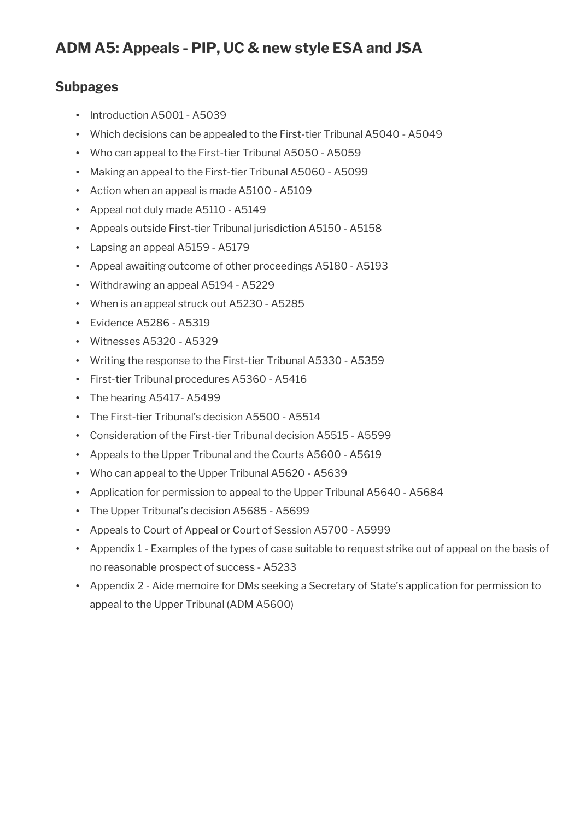# **Subpages**

- Introduction A5001 A5039
- Which decisions can be appealed to the First-tier Tribunal A5040 A5049
- Who can appeal to the First-tier Tribunal A5050 A5059
- Making an appeal to the First-tier Tribunal A5060 A5099
- Action when an appeal is made A5100 A5109
- Appeal not duly made A5110 A5149
- Appeals outside First-tier Tribunal jurisdiction A5150 A5158
- Lapsing an appeal A5159 A5179
- Appeal awaiting outcome of other proceedings A5180 A5193
- Withdrawing an appeal A5194 A5229
- When is an appeal struck out A5230 A5285
- Evidence A5286 A5319
- Witnesses A5320 A5329
- Writing the response to the First-tier Tribunal A5330 A5359
- First-tier Tribunal procedures A5360 A5416
- The hearing A5417- A5499
- The First-tier Tribunal's decision A5500 A5514
- Consideration of the First-tier Tribunal decision A5515 A5599
- Appeals to the Upper Tribunal and the Courts A5600 A5619
- Who can appeal to the Upper Tribunal A5620 A5639
- Application for permission to appeal to the Upper Tribunal A5640 A5684
- The Upper Tribunal's decision A5685 A5699
- Appeals to Court of Appeal or Court of Session A5700 A5999
- Appendix 1 Examples of the types of case suitable to request strike out of appeal on the basis of no reasonable prospect of success - A5233
- Appendix 2 Aide memoire for DMs seeking a Secretary of State's application for permission to appeal to the Upper Tribunal (ADM A5600)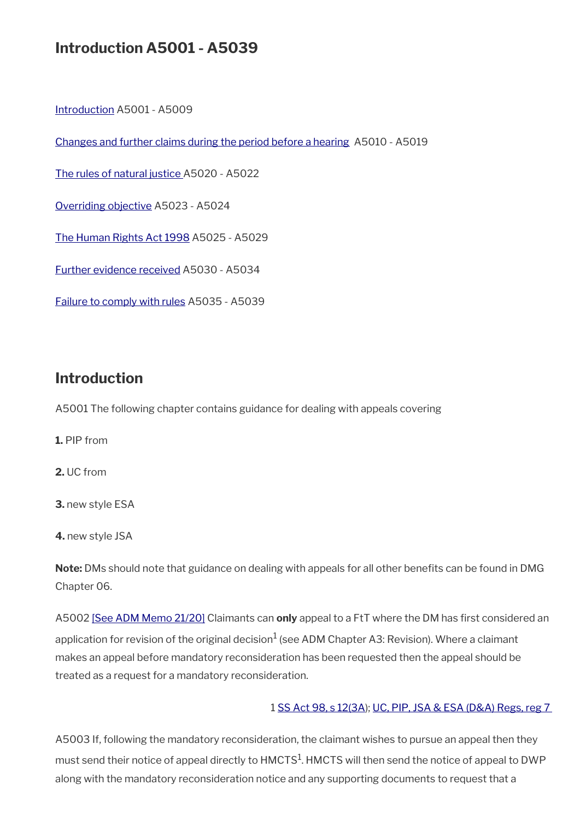# **Introduction A5001 - A5039**

[Introduction](#page-1-0) A5001 - A5009

[Changes and further claims during the period before a hearing](#page-3-0) A5010 - A5019

[The rules of natural justice](#page-4-1) A5020 - A5022

[Overriding objective](#page-4-0) A5023 - A5024

[The Human Rights Act 1998](#page-5-0) A5025 - A5029

[Further evidence received](#page-6-1) A5030 - A5034

[Failure to comply with rules](#page-6-0) A5035 - A5039

# <span id="page-1-0"></span>**Introduction**

A5001 The following chapter contains guidance for dealing with appeals covering

**1.** PIP from

**2.** UC from

**3.** new style ESA

**4.** new style JSA

**Note:** DMs should note that guidance on dealing with appeals for all other benefts can be found in DMG Chapter 06.

A5002 [\[See ADM Memo 21/20\]](http://intranet.dwp.gov.uk/manual/advice-decision-making-adm/2120-esa-mandatory-reconsideration-and-pending-appeal-awards) Claimants can only appeal to a FtT where the DM has first considered an application for revision of the original decision $^1$  (see ADM Chapter A3: Revision). Where a claimant makes an appeal before mandatory reconsideration has been requested then the appeal should be treated as a request for a mandatory reconsideration.

#### 1 [SS Act 98, s 12\(3A](http://www.legislation.gov.uk/ukpga/1998/14/contents)); [UC, PIP, JSA & ESA \(D&A\) Regs, reg 7](http://www.legislation.gov.uk/uksi/2013/381/regulation/7)

A5003 If, following the mandatory reconsideration, the claimant wishes to pursue an appeal then they must send their notice of appeal directly to <code>HMCTS $^{\rm 1}$ .HMCTS</code> will then send the notice of appeal to <code>DWP</code> along with the mandatory reconsideration notice and any supporting documents to request that a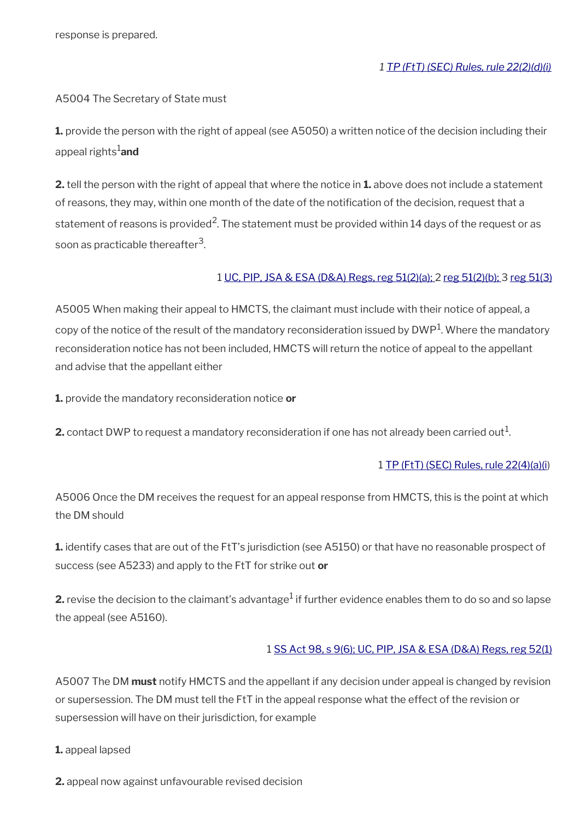#### A5004 The Secretary of State must

**1.** provide the person with the right of appeal (see A5050) a written notice of the decision including their appeal rights1**and**

**2.** tell the person with the right of appeal that where the notice in **1.** above does not include a statement of reasons, they may, within one month of the date of the notification of the decision, request that a statement of reasons is provided<sup>2</sup>. The statement must be provided within 14 days of the request or as soon as practicable thereafter $^3$ .

#### 1 [UC, PIP, JSA & ESA \(D&A\) Regs, reg 51\(2\)\(a\); 2 reg 51\(2\)\(b\); 3](http://www.legislation.gov.uk/uksi/2013/381/regulation/51) [reg 51\(3\)](http://www.legislation.gov.uk/uksi/2013/381/regulation/51)

A5005 When making their appeal to HMCTS, the claimant must include with their notice of appeal, a copy of the notice of the result of the mandatory reconsideration issued by DWP $^1$ . Where the mandatory reconsideration notice has not been included, HMCTS will return the notice of appeal to the appellant and advise that the appellant either

**1.** provide the mandatory reconsideration notice **or**

**2.** contact DWP to request a mandatory reconsideration if one has not already been carried out $^1$ .

#### 1 [TP \(FtT\) \(SEC\) Rules, rule 22\(4\)\(a\)\(i\)](http://www.legislation.gov.uk/uksi/2008/2685/article/22)

A5006 Once the DM receives the request for an appeal response from HMCTS, this is the point at which the DM should

**1.** identify cases that are out of the FtT's jurisdiction (see A5150) or that have no reasonable prospect of success (see A5233) and apply to the FtT for strike out **or**

**2.** revise the decision to the claimant's advantage $^1$  if further evidence enables them to do so and so lapse the appeal (see A5160).

#### 1 [SS Act 98, s 9\(6\);](http://www.legislation.gov.uk/ukpga/1998/14/contents) [UC, PIP, JSA & ESA \(D&A\) Regs, reg 52\(1\)](http://www.legislation.gov.uk/uksi/2013/381/regulation/52)

A5007 The DM **must** notify HMCTS and the appellant if any decision under appeal is changed by revision or supersession. The DM must tell the FtT in the appeal response what the effect of the revision or supersession will have on their jurisdiction, for example

#### **1.** appeal lapsed

**2.** appeal now against unfavourable revised decision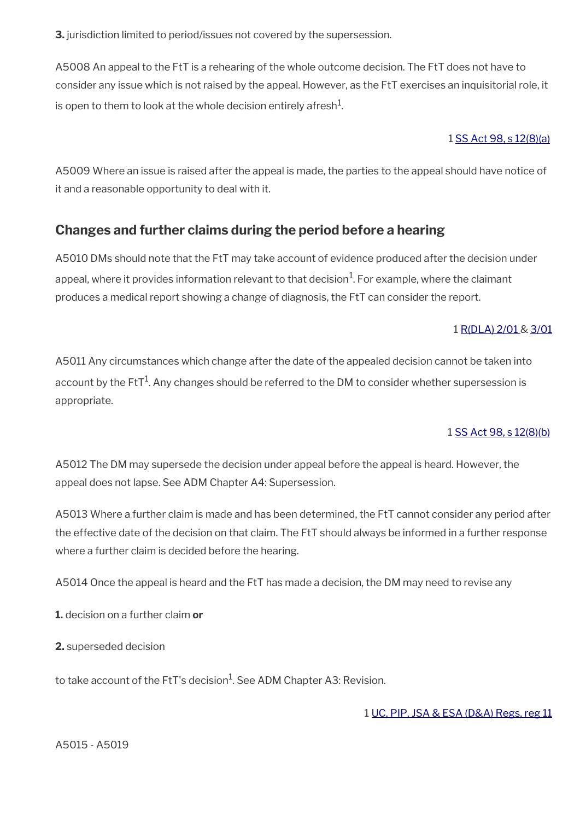**3.** jurisdiction limited to period/issues not covered by the supersession.

A5008 An appeal to the FtT is a rehearing of the whole outcome decision. The FtT does not have to consider any issue which is not raised by the appeal. However, as the FtT exercises an inquisitorial role, it is open to them to look at the whole decision entirely afresh $^{\mathrm{1}}$ .

### 1 [SS Act 98, s 12\(8\)\(a\)](http://www.legislation.gov.uk/ukpga/1998/14/contents)

A5009 Where an issue is raised after the appeal is made, the parties to the appeal should have notice of it and a reasonable opportunity to deal with it.

# <span id="page-3-0"></span>**Changes and further claims during the period before a hearing**

A5010 DMs should note that the FtT may take account of evidence produced after the decision under appeal, where it provides information relevant to that decision $^1$ . For example, where the claimant produces a medical report showing a change of diagnosis, the FtT can consider the report.

### 1 [R\(DLA\) 2/01](http://intranet.dwp.gov.uk/manual/decision-benefit/rdla-2-01) & [3/01](http://intranet.dwp.gov.uk/manual/decision-benefit/rdla-3-01)

A5011 Any circumstances which change after the date of the appealed decision cannot be taken into account by the FtT $^1$ . Any changes should be referred to the DM to consider whether supersession is appropriate.

### 1 [SS Act 98, s 12\(8\)\(b\)](http://www.legislation.gov.uk/ukpga/1998/14/contents)

A5012 The DM may supersede the decision under appeal before the appeal is heard. However, the appeal does not lapse. See ADM Chapter A4: Supersession.

A5013 Where a further claim is made and has been determined, the FtT cannot consider any period after the effective date of the decision on that claim. The FtT should always be informed in a further response where a further claim is decided before the hearing.

A5014 Once the appeal is heard and the FtT has made a decision, the DM may need to revise any

**1.** decision on a further claim **or**

**2.** superseded decision

to take account of the FtT's decision $^1$ . See ADM Chapter A3: Revision.

1 [UC, PIP, JSA & ESA \(D&A\) Regs, reg 11](http://www.legislation.gov.uk/uksi/2013/381/regulation/11)

A5015 - A5019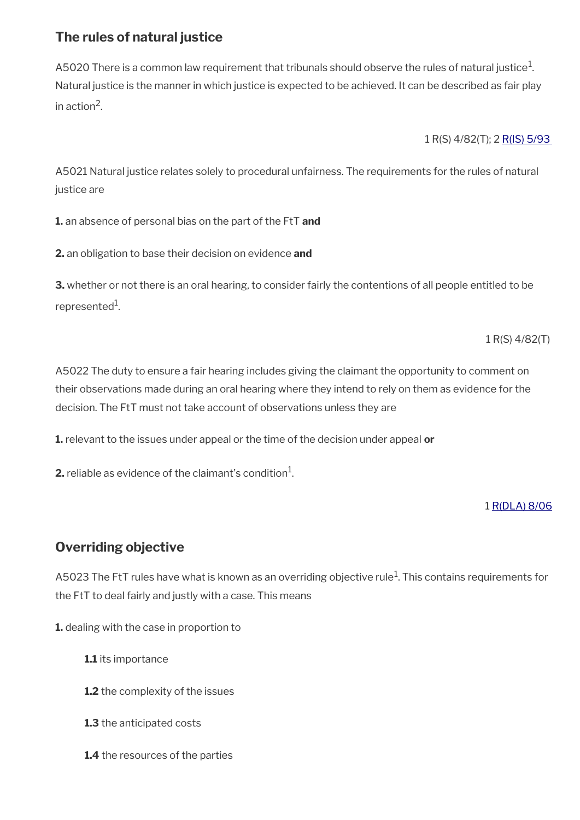# <span id="page-4-1"></span>**The rules of natural justice**

A5020 There is a common law requirement that tribunals should observe the rules of natural justice $^{\rm 1}$ . Natural justice is the manner in which justice is expected to be achieved. It can be described as fair play in action<sup>2</sup>.

1 R(S) 4/82(T); 2 [R\(IS\) 5/93](http://intranet.dwp.gov.uk/manual/decision-benefit/rs-5-93) 

A5021 Natural justice relates solely to procedural unfairness. The requirements for the rules of natural justice are

**1.** an absence of personal bias on the part of the FtT **and** 

**2.** an obligation to base their decision on evidence **and**

**3.** whether or not there is an oral hearing, to consider fairly the contentions of all people entitled to be represented<sup>1</sup>.

1 R(S) 4/82(T)

A5022 The duty to ensure a fair hearing includes giving the claimant the opportunity to comment on their observations made during an oral hearing where they intend to rely on them as evidence for the decision. The FtT must not take account of observations unless they are

**1.** relevant to the issues under appeal or the time of the decision under appeal **or**

**2.** reliable as evidence of the claimant's condition $^1$ .

### 1 [R\(DLA\) 8/06](http://intranet.dwp.gov.uk/manual/decision-benefit/rdla-8-06)

# <span id="page-4-0"></span>**Overriding objective**

<code>A5023</code> The <code>FtT</code> rules have what is known as an overriding objective rule $^1$ . This contains requirements for the FtT to deal fairly and justly with a case. This means

**1.** dealing with the case in proportion to

- **1.1** its importance
- **1.2** the complexity of the issues
- **1.3** the anticipated costs
- **1.4** the resources of the parties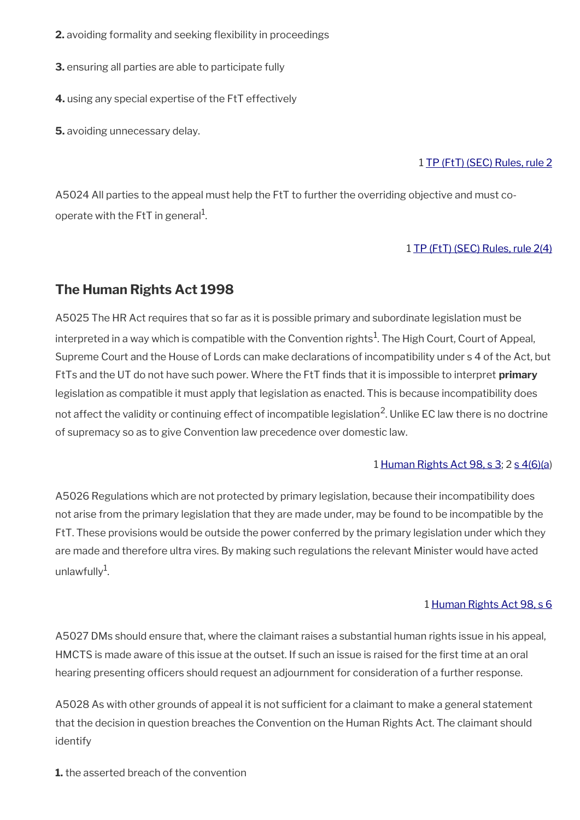- **2.** avoiding formality and seeking flexibility in proceedings
- **3.** ensuring all parties are able to participate fully
- **4.** using any special expertise of the FtT effectively
- **5.** avoiding unnecessary delay.

### 1 [TP \(FtT\) \(SEC\) Rules, rule 2](http://www.legislation.gov.uk/uksi/2008/2685/article/2)

A5024 All parties to the appeal must help the FtT to further the overriding objective and must cooperate with the FtT in general $^{\rm 1}$ .

#### 1 [TP \(FtT\) \(SEC\) Rules, rule 2\(4\)](http://www.legislation.gov.uk/uksi/2008/2685/article/2)

# <span id="page-5-0"></span>**The Human Rights Act 1998**

A5025 The HR Act requires that so far as it is possible primary and subordinate legislation must be interpreted in a way which is compatible with the Convention rights $^1$ . The High Court, Court of Appeal, Supreme Court and the House of Lords can make declarations of incompatibility under s 4 of the Act, but FtTs and the UT do not have such power. Where the FtT fnds that it is impossible to interpret **primary** legislation as compatible it must apply that legislation as enacted. This is because incompatibility does not affect the validity or continuing effect of incompatible legislation<sup>2</sup>. Unlike EC law there is no doctrine of supremacy so as to give Convention law precedence over domestic law.

#### 1 [Human Rights Act 98, s 3;](http://www.legislation.gov.uk/ukpga/1998/42/section/3) 2 [s 4\(6\)\(a](http://www.legislation.gov.uk/ukpga/1998/42/section/4))

A5026 Regulations which are not protected by primary legislation, because their incompatibility does not arise from the primary legislation that they are made under, may be found to be incompatible by the FtT. These provisions would be outside the power conferred by the primary legislation under which they are made and therefore ultra vires. By making such regulations the relevant Minister would have acted unlawfully $^1$ .

#### 1 [Human Rights Act 98, s 6](http://www.legislation.gov.uk/ukpga/1998/42/section/6)

A5027 DMs should ensure that, where the claimant raises a substantial human rights issue in his appeal, HMCTS is made aware of this issue at the outset. If such an issue is raised for the first time at an oral hearing presenting officers should request an adjournment for consideration of a further response.

A5028 As with other grounds of appeal it is not sufficient for a claimant to make a general statement that the decision in question breaches the Convention on the Human Rights Act. The claimant should identify

**1.** the asserted breach of the convention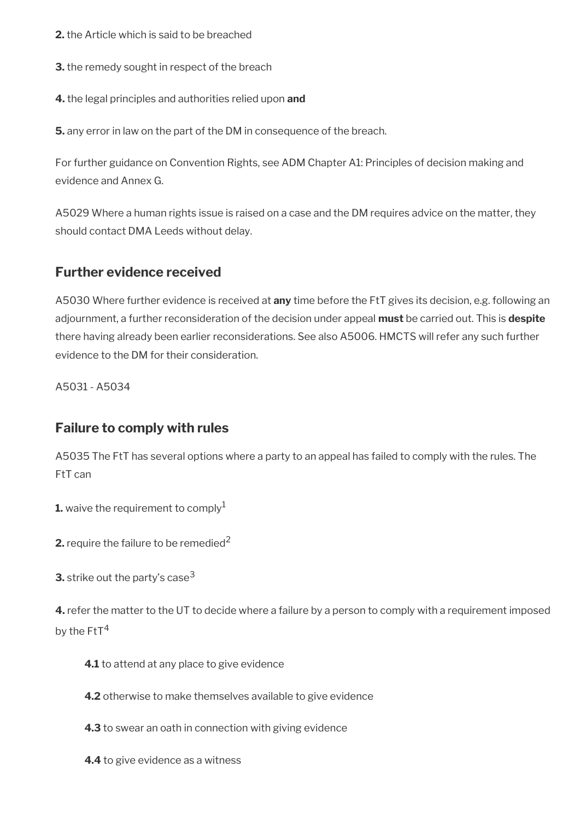- **2.** the Article which is said to be breached
- **3.** the remedy sought in respect of the breach
- **4.** the legal principles and authorities relied upon **and**

**5.** any error in law on the part of the DM in consequence of the breach.

For further guidance on Convention Rights, see ADM Chapter A1: Principles of decision making and evidence and Annex G.

A5029 Where a human rights issue is raised on a case and the DM requires advice on the matter, they should contact DMA Leeds without delay.

# <span id="page-6-1"></span>**Further evidence received**

A5030 Where further evidence is received at **any** time before the FtT gives its decision, e.g. following an adjournment, a further reconsideration of the decision under appeal **must** be carried out. This is **despite** there having already been earlier reconsiderations. See also A5006. HMCTS will refer any such further evidence to the DM for their consideration.

A5031 - A5034

# <span id="page-6-0"></span>**Failure to comply with rules**

A5035 The FtT has several options where a party to an appeal has failed to comply with the rules. The FtT can

**1.** waive the requirement to comply<sup>1</sup>

**2.** require the failure to be remedied<sup>2</sup>

**3.** strike out the party's case<sup>3</sup>

**4.** refer the matter to the UT to decide where a failure by a person to comply with a requirement imposed by the  $Fit<sup>4</sup>$ 

- **4.1** to attend at any place to give evidence
- **4.2** otherwise to make themselves available to give evidence
- **4.3** to swear an oath in connection with giving evidence
- **4.4** to give evidence as a witness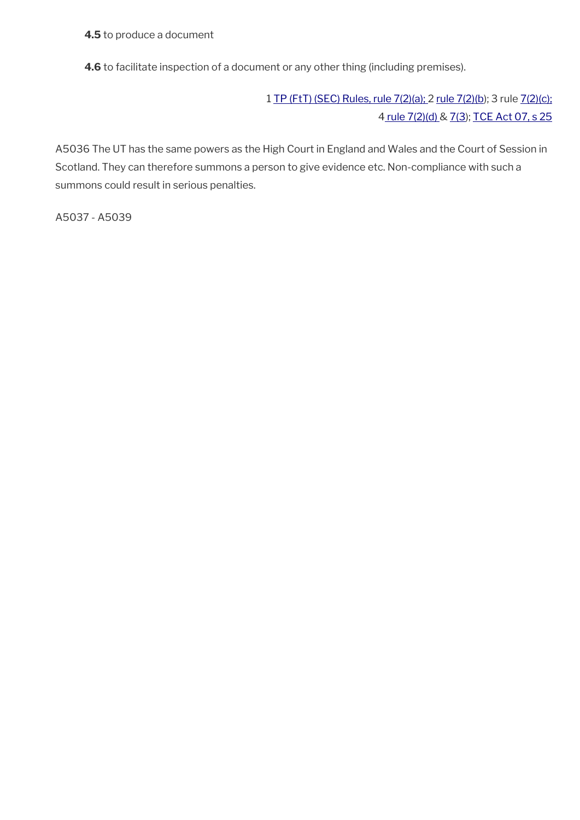**4.5** to produce a document

**4.6** to facilitate inspection of a document or any other thing (including premises).

1 [TP \(FtT\) \(SEC\) Rules, rule 7\(2\)\(a\);](http://www.legislation.gov.uk/uksi/2008/2685/article/7) 2 [rule 7\(2\)\(b\)](http://www.legislation.gov.uk/uksi/2008/2685/article/7); 3 rule [7\(2\)\(c\);](http://www.legislation.gov.uk/uksi/2008/2685/article/7) [4 rule 7\(2\)\(d\)](http://www.legislation.gov.uk/uksi/2008/2685/article/7) & [7\(3](http://www.legislation.gov.uk/uksi/2008/2685/article/7)); [TCE Act 07, s 25](http://www.legislation.gov.uk/ukpga/2007/15/section/25)

A5036 The UT has the same powers as the High Court in England and Wales and the Court of Session in Scotland. They can therefore summons a person to give evidence etc. Non-compliance with such a summons could result in serious penalties.

A5037 - A5039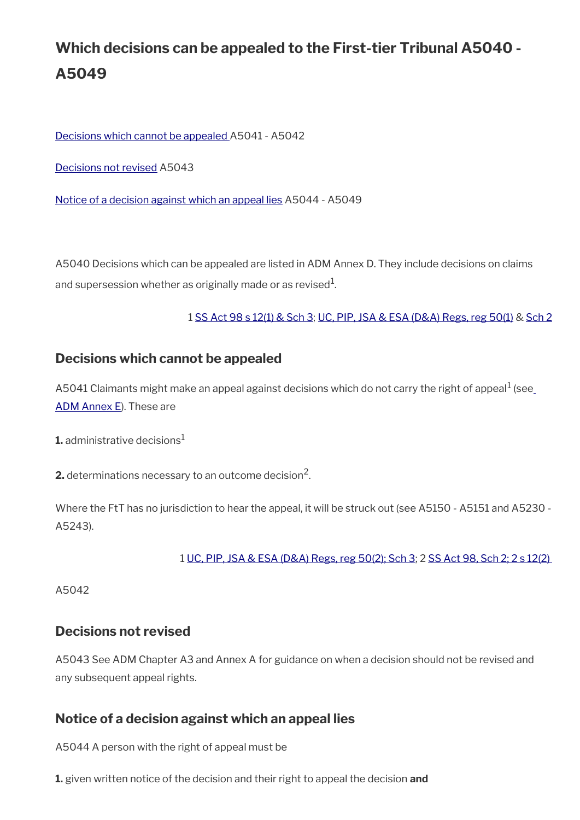# **Which decisions can be appealed to the First-tier Tribunal A5040 - A5049**

[Decisions which cannot be appealed](#page-8-2) A5041 - A5042

[Decisions not revised](#page-8-1) A5043

[Notice of a decision against which an appeal lies](#page-8-0) A5044 - A5049

A5040 Decisions which can be appealed are listed in ADM Annex D. They include decisions on claims and supersession whether as originally made or as revised $^{\rm 1}$ .

### 1 [SS Act 98 s 12\(1\) & Sch 3;](http://www.legislation.gov.uk/ukpga/1998/14/contents) [UC, PIP, JSA & ESA \(D&A\) Regs, reg 50\(1\)](http://www.legislation.gov.uk/uksi/2013/381/regulation/50) & [Sch 2](http://www.legislation.gov.uk/uksi/2013/381/schedule/2)

## <span id="page-8-2"></span>**Decisions which cannot be appealed**

A5041 Claimants might make an appeal against decisions which do not carry the right of appeal $^{\rm 1}$  (see [ADM Annex E](http://intranet.dwp.gov.uk/manual/advice-decision-making-adm/adm-annex-e-decisions-and-determinations-are-not-appealable)). These are

**1.** administrative decisions<sup>1</sup>

**2.** determinations necessary to an outcome decision<sup>2</sup>.

Where the FtT has no jurisdiction to hear the appeal, it will be struck out (see A5150 - A5151 and A5230 - A5243).

#### 1 [UC, PIP, JSA & ESA \(D&A\) Regs, reg 50\(2\);](http://www.legislation.gov.uk/uksi/2013/381/regulation/50) [Sch 3](http://www.legislation.gov.uk/uksi/2013/381/schedule/3); 2 [SS Act 98, Sch 2; 2 s 12\(2\)](http://www.legislation.gov.uk/ukpga/1998/14/contents)

A5042

## <span id="page-8-1"></span>**Decisions not revised**

A5043 See ADM Chapter A3 and Annex A for guidance on when a decision should not be revised and any subsequent appeal rights.

## <span id="page-8-0"></span>**Notice of a decision against which an appeal lies**

A5044 A person with the right of appeal must be

**1.** given written notice of the decision and their right to appeal the decision **and**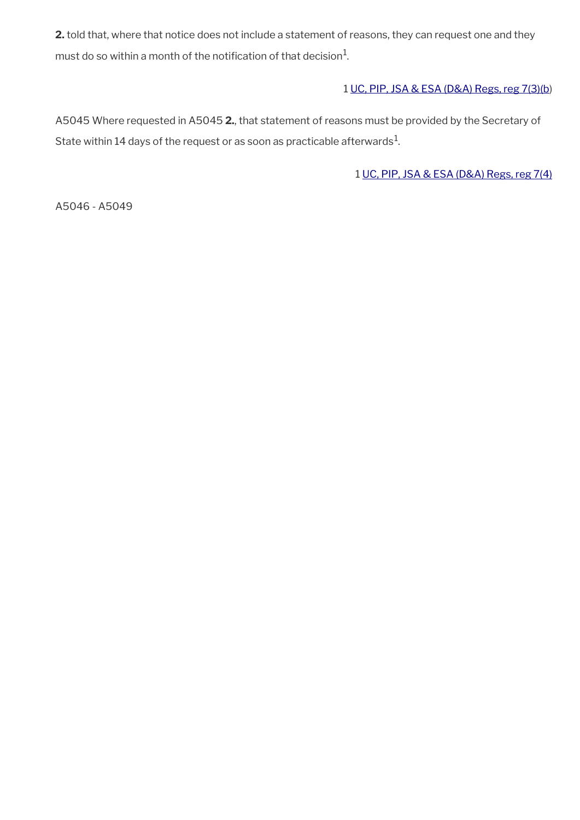**2.** told that, where that notice does not include a statement of reasons, they can request one and they must do so within a month of the notification of that decision $^1\!\!$ 

## 1 [UC, PIP, JSA & ESA \(D&A\) Regs, reg 7\(3\)\(b](http://www.legislation.gov.uk/uksi/2013/381/regulation/7))

A5045 Where requested in A5045 **2.**, that statement of reasons must be provided by the Secretary of State within 14 days of the request or as soon as practicable afterwards $^1\!$ 

1 [UC, PIP, JSA & ESA \(D&A\) Regs, reg 7\(4\)](http://www.legislation.gov.uk/uksi/2013/381/regulation/7)

A5046 - A5049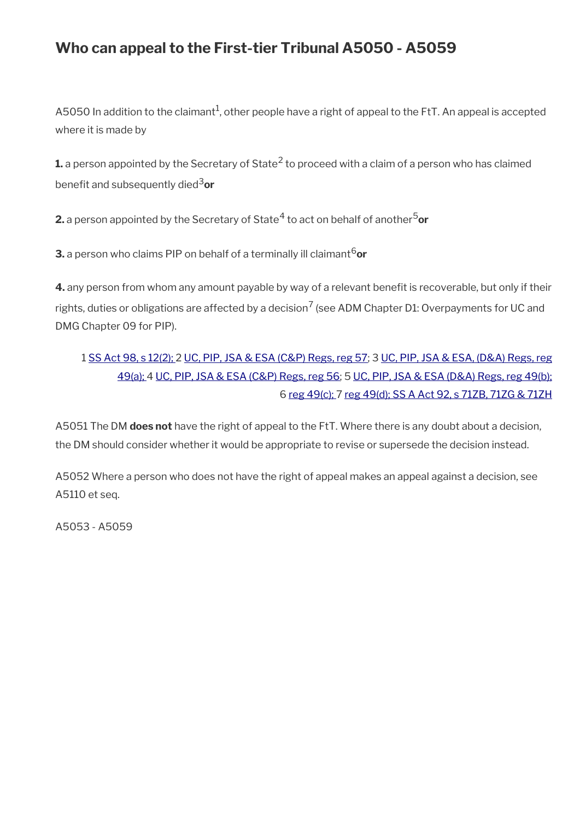# **Who can appeal to the First-tier Tribunal A5050 - A5059**

A5050 In addition to the claimant $^1$ , other people have a right of appeal to the FtT. An appeal is accepted where it is made by

 ${\bf 1}$ . a person appointed by the Secretary of State<sup>2</sup> to proceed with a claim of a person who has claimed benefit and subsequently died<sup>3</sup>or

**2.** a person appointed by the Secretary of State<sup>4</sup> to act on behalf of another<sup>5</sup>or

**3.** a person who claims PIP on behalf of a terminally ill claimant<sup>6</sup>or

**4.** any person from whom any amount payable by way of a relevant benefit is recoverable, but only if their rights, duties or obligations are affected by a decision<sup>7</sup> (see ADM Chapter D1: Overpayments for UC and DMG Chapter 09 for PIP).

# 1 [SS Act 98, s 12\(2\);](http://www.legislation.gov.uk/ukpga/1998/14/contents) 2 [UC, PIP, JSA & ESA \(C&P\) Regs, reg 57](http://www.legislation.gov.uk/uksi/2013/380/regulation/57); 3 [UC, PIP, JSA & ESA, \(D&A\) Regs, reg](http://www.legislation.gov.uk/uksi/2013/381/regulation/49) [49\(a\); 4](http://www.legislation.gov.uk/uksi/2013/381/regulation/49) [UC, PIP, JSA & ESA \(C&P\) Regs, reg 56;](http://www.legislation.gov.uk/uksi/2013/380/regulation/56) 5 [UC, PIP, JSA & ESA \(D&A\) Regs, reg 49\(b\);](http://www.legislation.gov.uk/uksi/2013/381/regulation/49) 6 [reg 49\(c\);](http://www.legislation.gov.uk/uksi/2013/381/regulation/49) 7 [reg 49\(d\);](http://www.legislation.gov.uk/uksi/2013/381/regulation/49) [SS A Act 92, s 71ZB, 71ZG & 71ZH](http://www.legislation.gov.uk/ukpga/1992/5/contents)

A5051 The DM **does not** have the right of appeal to the FtT. Where there is any doubt about a decision, the DM should consider whether it would be appropriate to revise or supersede the decision instead.

A5052 Where a person who does not have the right of appeal makes an appeal against a decision, see A5110 et seq.

A5053 - A5059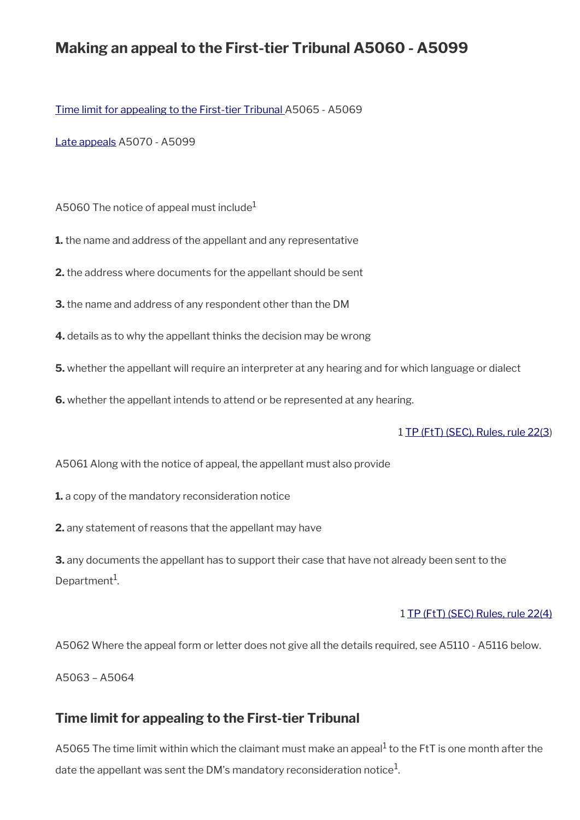# **Making an appeal to the First-tier Tribunal A5060 - A5099**

[Time limit for appealing to the First-tier Tribunal](#page-11-0) A5065 - A5069

[Late appeals](#page-12-0) A5070 - A5099

A5060 The notice of appeal must include<sup>1</sup>

**1.** the name and address of the appellant and any representative

**2.** the address where documents for the appellant should be sent

**3.** the name and address of any respondent other than the DM

**4.** details as to why the appellant thinks the decision may be wrong

**5.** whether the appellant will require an interpreter at any hearing and for which language or dialect

**6.** whether the appellant intends to attend or be represented at any hearing.

1 [TP \(FtT\) \(SEC\), Rules, rule 22\(3](http://www.legislation.gov.uk/uksi/2008/2685/article/22))

A5061 Along with the notice of appeal, the appellant must also provide

**1.** a copy of the mandatory reconsideration notice

**2.** any statement of reasons that the appellant may have

**3.** any documents the appellant has to support their case that have not already been sent to the Department<sup>1</sup>.

#### 1 [TP \(FtT\) \(SEC\) Rules, rule 22\(4\)](http://www.legislation.gov.uk/uksi/2008/2685/article/22)

A5062 Where the appeal form or letter does not give all the details required, see A5110 - A5116 below.

A5063 – A5064

## <span id="page-11-0"></span>**Time limit for appealing to the First-tier Tribunal**

A5065 The time limit within which the claimant must make an appeal<sup>1</sup> to the FtT is one month after the date the appellant was sent the DM's mandatory reconsideration notice $^1$ .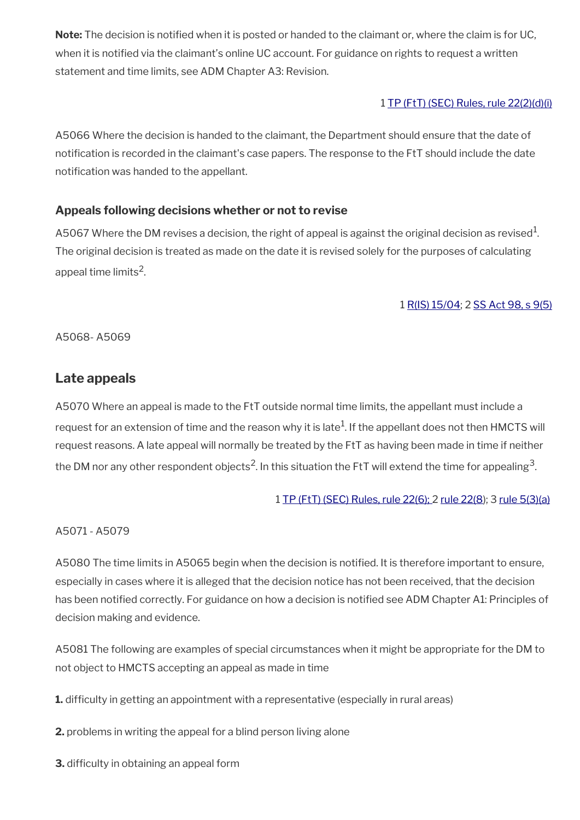Note: The decision is notified when it is posted or handed to the claimant or, where the claim is for UC, when it is notified via the claimant's online UC account. For guidance on rights to request a written statement and time limits, see ADM Chapter A3: Revision.

### 1 [TP \(FtT\) \(SEC\) Rules, rule 22\(2\)\(d\)\(i\)](http://www.legislation.gov.uk/uksi/2008/2685/article/22)

A5066 Where the decision is handed to the claimant, the Department should ensure that the date of notifcation is recorded in the claimant's case papers. The response to the FtT should include the date notification was handed to the appellant.

## **Appeals following decisions whether or not to revise**

A5067 Where the DM revises a decision, the right of appeal is against the original decision as revised $^1\!$ . The original decision is treated as made on the date it is revised solely for the purposes of calculating appeal time limits $^2$ .

## 1 [R\(IS\) 15/04;](http://intranet.dwp.gov.uk/manual/decision-benefit/ris-15-04) 2 [SS Act 98, s 9\(5\)](http://www.legislation.gov.uk/ukpga/1998/14/contents)

A5068- A5069

# <span id="page-12-0"></span>**Late appeals**

A5070 Where an appeal is made to the FtT outside normal time limits, the appellant must include a request for an extension of time and the reason why it is late $^1$ . If the appellant does not then <code>HMCTS</code> will request reasons. A late appeal will normally be treated by the FtT as having been made in time if neither the DM nor any other respondent objects<sup>2</sup>. In this situation the FtT will extend the time for appealing<sup>3</sup>.

### 1 [TP \(FtT\) \(SEC\) Rules, rule 22\(6\); 2 rule 22\(8\)](http://www.legislation.gov.uk/uksi/2008/2685/article/22); 3 [rule 5\(3\)\(a\)](http://www.legislation.gov.uk/uksi/2008/2685/article/5)

### A5071 - A5079

A5080 The time limits in A5065 begin when the decision is notifed. It is therefore important to ensure, especially in cases where it is alleged that the decision notice has not been received, that the decision has been notifed correctly. For guidance on how a decision is notifed see ADM Chapter A1: Principles of decision making and evidence.

A5081 The following are examples of special circumstances when it might be appropriate for the DM to not object to HMCTS accepting an appeal as made in time

**1.** difficulty in getting an appointment with a representative (especially in rural areas)

- **2.** problems in writing the appeal for a blind person living alone
- **3.** difficulty in obtaining an appeal form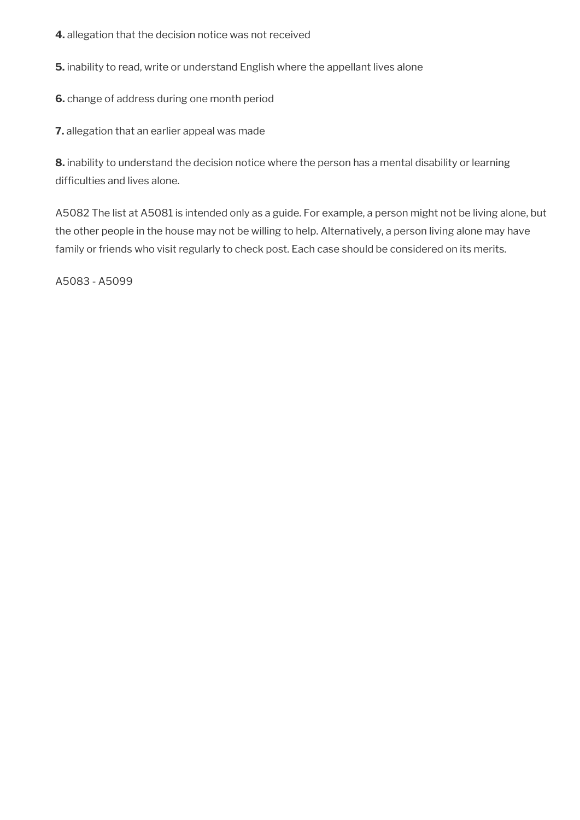- **4.** allegation that the decision notice was not received
- **5.** inability to read, write or understand English where the appellant lives alone
- **6.** change of address during one month period

**7.** allegation that an earlier appeal was made

**8.** inability to understand the decision notice where the person has a mental disability or learning difficulties and lives alone.

A5082 The list at A5081 is intended only as a guide. For example, a person might not be living alone, but the other people in the house may not be willing to help. Alternatively, a person living alone may have family or friends who visit regularly to check post. Each case should be considered on its merits.

A5083 - A5099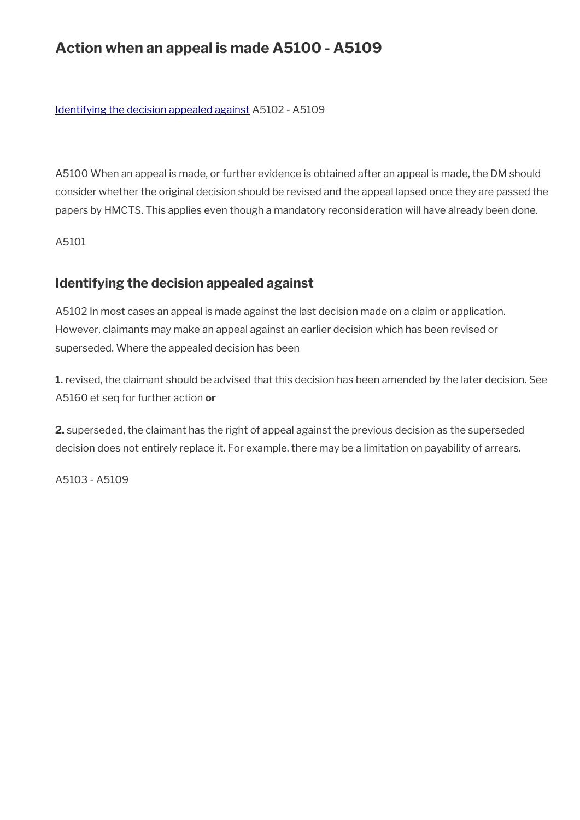# **Action when an appeal is made A5100 - A5109**

[Identifying the decision appealed against](#page-14-0) A5102 - A5109

A5100 When an appeal is made, or further evidence is obtained after an appeal is made, the DM should consider whether the original decision should be revised and the appeal lapsed once they are passed the papers by HMCTS. This applies even though a mandatory reconsideration will have already been done.

A5101

# <span id="page-14-0"></span>**Identifying the decision appealed against**

A5102 In most cases an appeal is made against the last decision made on a claim or application. However, claimants may make an appeal against an earlier decision which has been revised or superseded. Where the appealed decision has been

**1.** revised, the claimant should be advised that this decision has been amended by the later decision. See A5160 et seq for further action **or**

**2.** superseded, the claimant has the right of appeal against the previous decision as the superseded decision does not entirely replace it. For example, there may be a limitation on payability of arrears.

A5103 - A5109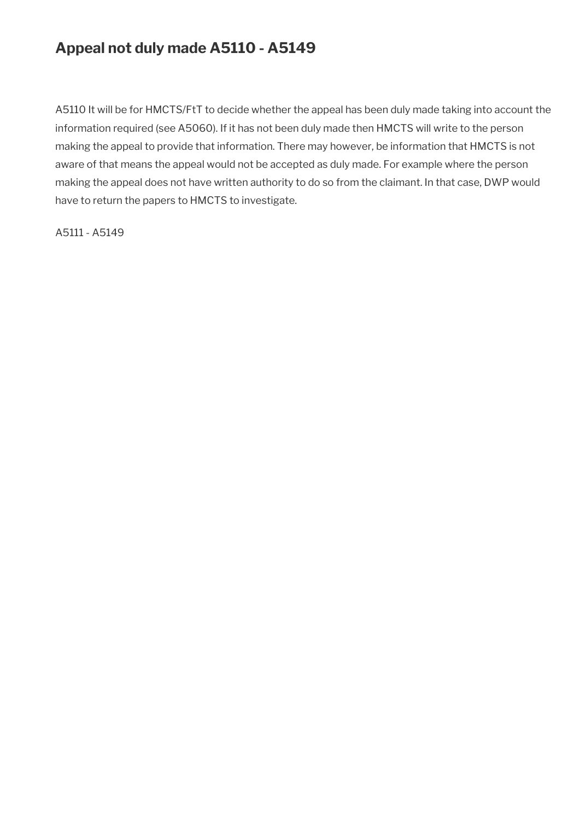# **Appeal not duly made A5110 - A5149**

A5110 It will be for HMCTS/FtT to decide whether the appeal has been duly made taking into account the information required (see A5060). If it has not been duly made then HMCTS will write to the person making the appeal to provide that information. There may however, be information that HMCTS is not aware of that means the appeal would not be accepted as duly made. For example where the person making the appeal does not have written authority to do so from the claimant. In that case, DWP would have to return the papers to HMCTS to investigate.

A5111 - A5149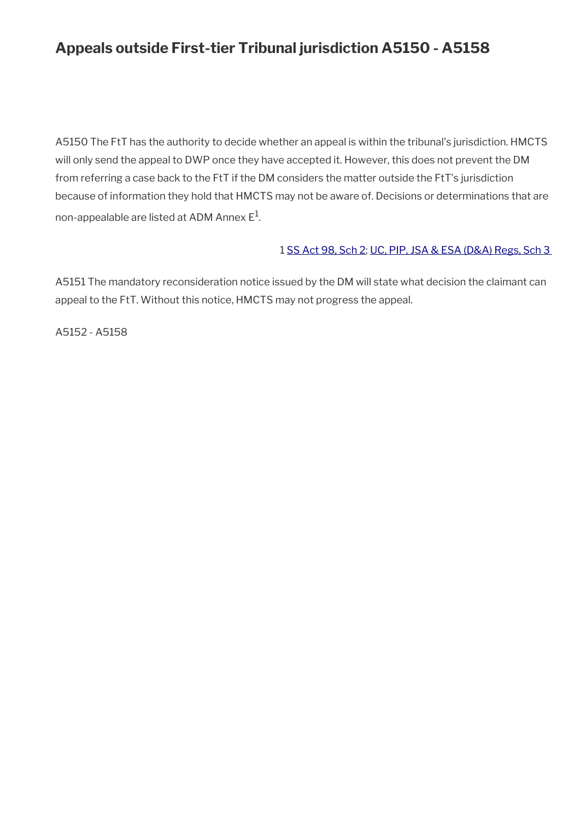# **Appeals outside First-tier Tribunal jurisdiction A5150 - A5158**

A5150 The FtT has the authority to decide whether an appeal is within the tribunal's jurisdiction. HMCTS will only send the appeal to DWP once they have accepted it. However, this does not prevent the DM from referring a case back to the FtT if the DM considers the matter outside the FtT's jurisdiction because of information they hold that HMCTS may not be aware of. Decisions or determinations that are non-appealable are listed at ADM Annex  $\mathsf{E}^1$ .

### 1 [SS Act 98, Sch 2](http://www.legislation.gov.uk/ukpga/1998/14/contents); [UC, PIP, JSA & ESA \(D&A\) Regs, Sch 3](http://www.legislation.gov.uk/uksi/2013/381/schedule/3)

A5151 The mandatory reconsideration notice issued by the DM will state what decision the claimant can appeal to the FtT. Without this notice, HMCTS may not progress the appeal.

A5152 - A5158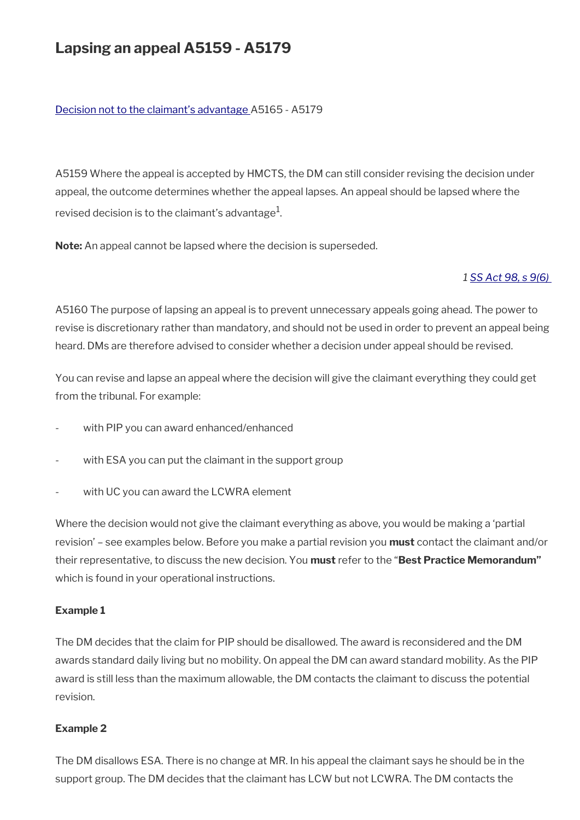# **Lapsing an appeal A5159 - A5179**

#### [Decision not to the claimant's advantage](#page-19-0) A5165 - A5179

A5159 Where the appeal is accepted by HMCTS, the DM can still consider revising the decision under appeal, the outcome determines whether the appeal lapses. An appeal should be lapsed where the revised decision is to the claimant's advantage $^{\rm 1}$ .

**Note:** An appeal cannot be lapsed where the decision is superseded.

#### *1 [SS Act 98, s 9\(6\)](http://www.legislation.gov.uk/ukpga/1998/14/contents)*

A5160 The purpose of lapsing an appeal is to prevent unnecessary appeals going ahead. The power to revise is discretionary rather than mandatory, and should not be used in order to prevent an appeal being heard. DMs are therefore advised to consider whether a decision under appeal should be revised.

You can revise and lapse an appeal where the decision will give the claimant everything they could get from the tribunal. For example:

- with PIP you can award enhanced/enhanced
- with ESA you can put the claimant in the support group
- with UC you can award the LCWRA element

Where the decision would not give the claimant everything as above, you would be making a 'partial revision' – see examples below. Before you make a partial revision you **must** contact the claimant and/or their representative, to discuss the new decision. You **must** refer to the "**Best Practice Memorandum"**  which is found in your operational instructions.

#### **Example 1**

The DM decides that the claim for PIP should be disallowed. The award is reconsidered and the DM awards standard daily living but no mobility. On appeal the DM can award standard mobility. As the PIP award is still less than the maximum allowable, the DM contacts the claimant to discuss the potential revision.

### **Example 2**

The DM disallows ESA. There is no change at MR. In his appeal the claimant says he should be in the support group. The DM decides that the claimant has LCW but not LCWRA. The DM contacts the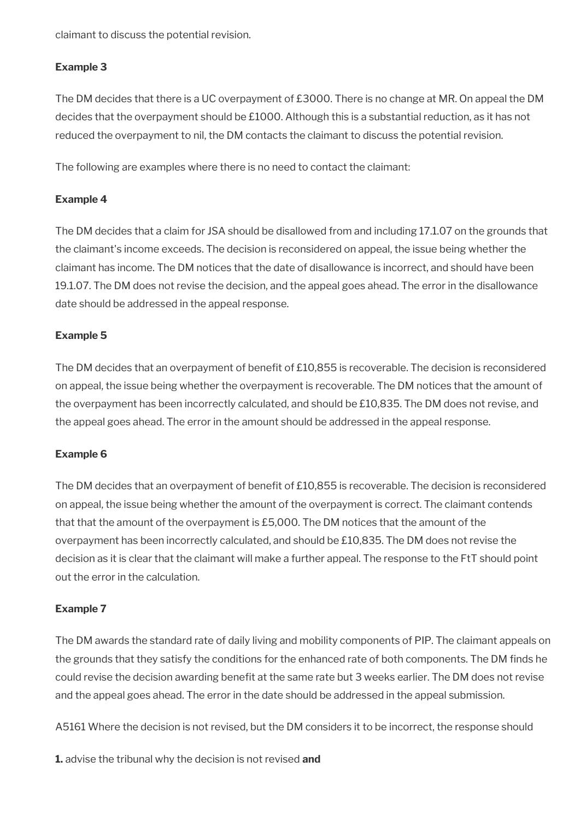claimant to discuss the potential revision.

### **Example 3**

The DM decides that there is a UC overpayment of £3000. There is no change at MR. On appeal the DM decides that the overpayment should be £1000. Although this is a substantial reduction, as it has not reduced the overpayment to nil, the DM contacts the claimant to discuss the potential revision.

The following are examples where there is no need to contact the claimant:

### **Example 4**

The DM decides that a claim for JSA should be disallowed from and including 17.1.07 on the grounds that the claimant's income exceeds. The decision is reconsidered on appeal, the issue being whether the claimant has income. The DM notices that the date of disallowance is incorrect, and should have been 19.1.07. The DM does not revise the decision, and the appeal goes ahead. The error in the disallowance date should be addressed in the appeal response.

### **Example 5**

The DM decides that an overpayment of benefit of £10,855 is recoverable. The decision is reconsidered on appeal, the issue being whether the overpayment is recoverable. The DM notices that the amount of the overpayment has been incorrectly calculated, and should be £10,835. The DM does not revise, and the appeal goes ahead. The error in the amount should be addressed in the appeal response.

#### **Example 6**

The DM decides that an overpayment of benefit of £10,855 is recoverable. The decision is reconsidered on appeal, the issue being whether the amount of the overpayment is correct. The claimant contends that that the amount of the overpayment is £5,000. The DM notices that the amount of the overpayment has been incorrectly calculated, and should be £10,835. The DM does not revise the decision as it is clear that the claimant will make a further appeal. The response to the FtT should point out the error in the calculation.

#### **Example 7**

The DM awards the standard rate of daily living and mobility components of PIP. The claimant appeals on the grounds that they satisfy the conditions for the enhanced rate of both components. The DM finds he could revise the decision awarding benefit at the same rate but 3 weeks earlier. The DM does not revise and the appeal goes ahead. The error in the date should be addressed in the appeal submission.

A5161 Where the decision is not revised, but the DM considers it to be incorrect, the response should

**1.** advise the tribunal why the decision is not revised **and**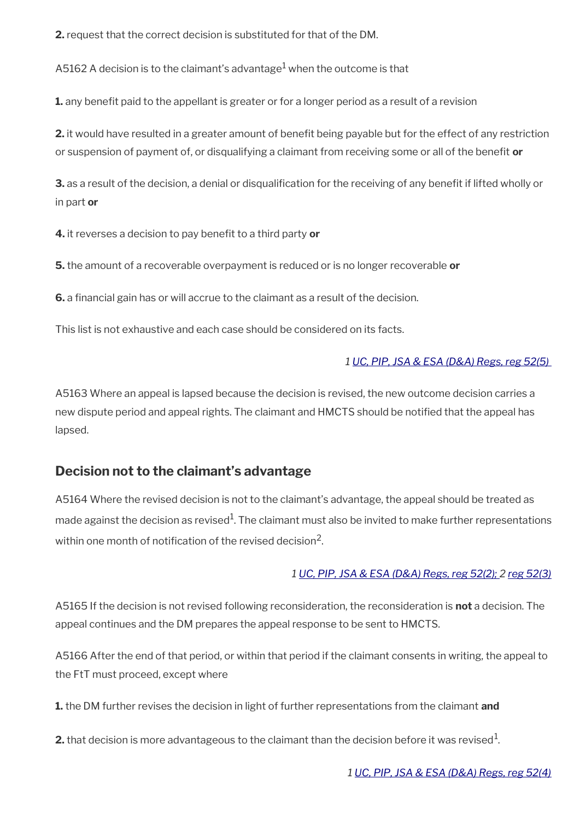**2.** request that the correct decision is substituted for that of the DM.

A5162 A decision is to the claimant's advantage $^{\rm 1}$  when the outcome is that

**1.** any benefit paid to the appellant is greater or for a longer period as a result of a revision

**2.** it would have resulted in a greater amount of benefit being payable but for the effect of any restriction or suspension of payment of, or disqualifying a claimant from receiving some or all of the beneft **or**

**3.** as a result of the decision, a denial or disqualification for the receiving of any benefit if lifted wholly or in part **or**

**4.** it reverses a decision to pay beneft to a third party **or**

**5.** the amount of a recoverable overpayment is reduced or is no longer recoverable **or**

**6.** a fnancial gain has or will accrue to the claimant as a result of the decision.

This list is not exhaustive and each case should be considered on its facts.

### *1 [UC, PIP, JSA & ESA \(D&A\) Regs, reg 52\(5\)](http://www.legislation.gov.uk/uksi/2013/381/regulation/52)*

A5163 Where an appeal is lapsed because the decision is revised, the new outcome decision carries a new dispute period and appeal rights. The claimant and HMCTS should be notifed that the appeal has lapsed.

# <span id="page-19-0"></span>**Decision not to the claimant's advantage**

A5164 Where the revised decision is not to the claimant's advantage, the appeal should be treated as made against the decision as revised $^1$ . The claimant must also be invited to make further representations within one month of notification of the revised decision<sup>2</sup>.

### *1 [UC, PIP, JSA & ESA \(D&A\) Regs, reg 52\(2\); 2 reg 52\(3\)](http://www.legislation.gov.uk/uksi/2013/381/regulation/52)*

A5165 If the decision is not revised following reconsideration, the reconsideration is **not** a decision. The appeal continues and the DM prepares the appeal response to be sent to HMCTS.

A5166 After the end of that period, or within that period if the claimant consents in writing, the appeal to the FtT must proceed, except where

**1.** the DM further revises the decision in light of further representations from the claimant **and**

 $\mathbf 2$ . that decision is more advantageous to the claimant than the decision before it was revised $^1$ .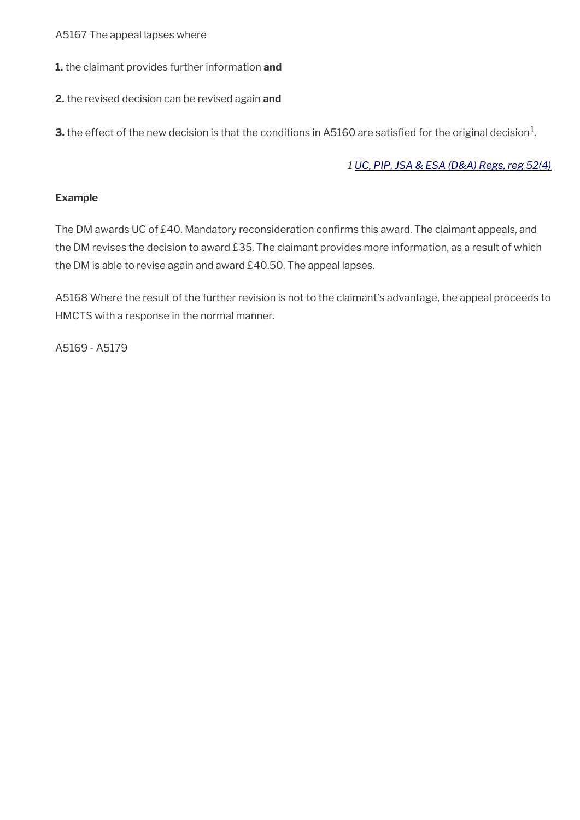A5167 The appeal lapses where

**1.** the claimant provides further information **and**

**2.** the revised decision can be revised again **and** 

 ${\bf 3}.$  the effect of the new decision is that the conditions in A5160 are satisfied for the original decision $^1$ .

### *1 [UC, PIP, JSA & ESA \(D&A\) Regs, reg 52\(4\)](http://www.legislation.gov.uk/uksi/2013/381/regulation/52)*

#### **Example**

The DM awards UC of £40. Mandatory reconsideration confirms this award. The claimant appeals, and the DM revises the decision to award £35. The claimant provides more information, as a result of which the DM is able to revise again and award £40.50. The appeal lapses.

A5168 Where the result of the further revision is not to the claimant's advantage, the appeal proceeds to HMCTS with a response in the normal manner.

A5169 - A5179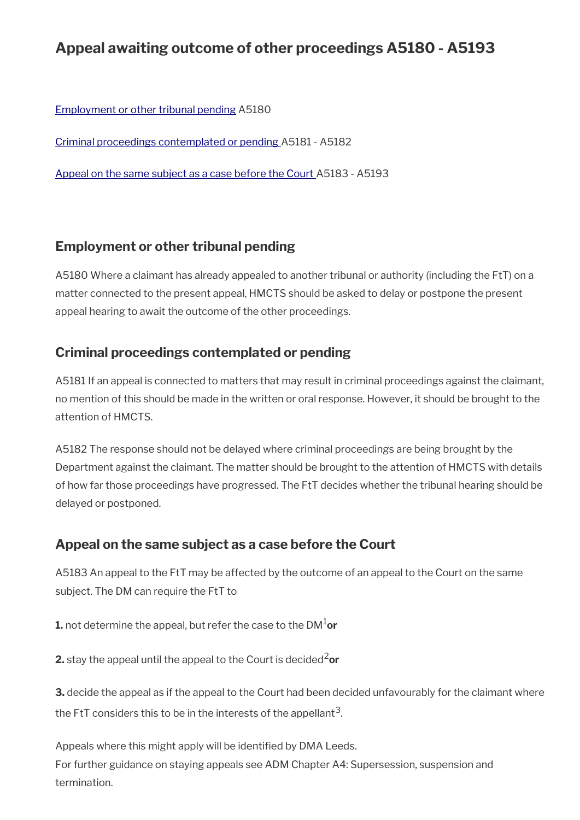# **Appeal awaiting outcome of other proceedings A5180 - A5193**

[Employment or other tribunal pending](#page-21-2) A5180

[Criminal proceedings contemplated or pending](#page-21-1) A5181 - A5182

[Appeal on the same subject as a case before the Court A](#page-21-0)5183 - A5193

# <span id="page-21-2"></span>**Employment or other tribunal pending**

A5180 Where a claimant has already appealed to another tribunal or authority (including the FtT) on a matter connected to the present appeal, HMCTS should be asked to delay or postpone the present appeal hearing to await the outcome of the other proceedings.

# <span id="page-21-1"></span>**Criminal proceedings contemplated or pending**

A5181 If an appeal is connected to matters that may result in criminal proceedings against the claimant, no mention of this should be made in the written or oral response. However, it should be brought to the attention of HMCTS.

A5182 The response should not be delayed where criminal proceedings are being brought by the Department against the claimant. The matter should be brought to the attention of HMCTS with details of how far those proceedings have progressed. The FtT decides whether the tribunal hearing should be delayed or postponed.

# <span id="page-21-0"></span>**Appeal on the same subject as a case before the Court**

A5183 An appeal to the FtT may be affected by the outcome of an appeal to the Court on the same subject. The DM can require the FtT to

**1.** not determine the appeal, but refer the case to the DM1**or**

**2.** stay the appeal until the appeal to the Court is decided<sup>2</sup>or

**3.** decide the appeal as if the appeal to the Court had been decided unfavourably for the claimant where the FtT considers this to be in the interests of the appellant $^{\rm 3}$ .

Appeals where this might apply will be identified by DMA Leeds. For further guidance on staying appeals see ADM Chapter A4: Supersession, suspension and termination.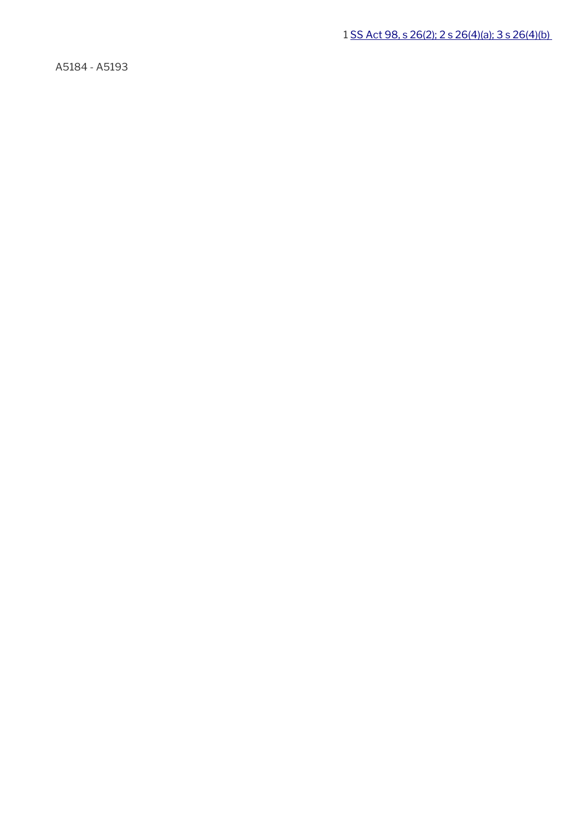1 [SS Act 98, s 26\(2\); 2 s 26\(4\)\(a\); 3 s 26\(4\)\(b\)](http://www.legislation.gov.uk/ukpga/1998/14/contents) 

A5184 - A5193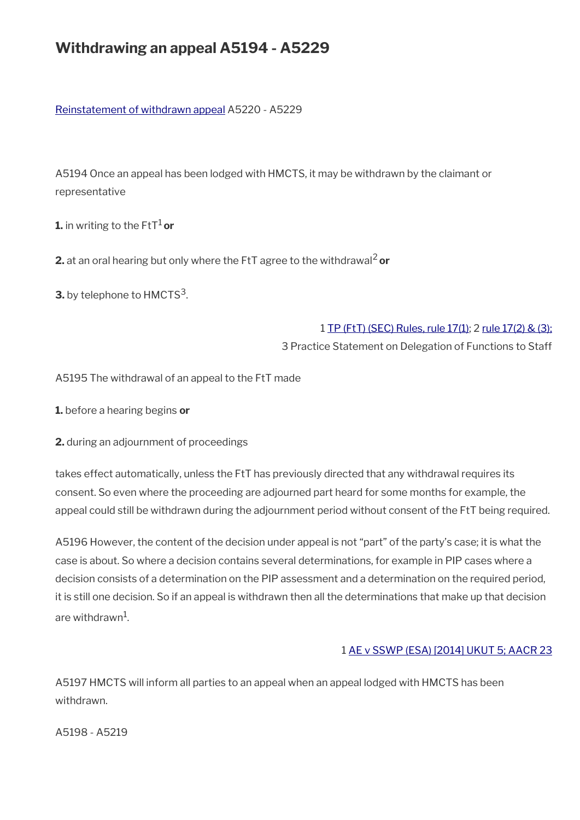# **Withdrawing an appeal A5194 - A5229**

### [Reinstatement of withdrawn appeal](#page-24-0) A5220 - A5229

A5194 Once an appeal has been lodged with HMCTS, it may be withdrawn by the claimant or representative

**1.** in writing to the  $\text{Fit}^1$  or

**2.** at an oral hearing but only where the FtT agree to the withdrawal<sup>2</sup> or

**3.** by telephone to  $\text{HMCTS}^3$ .

#### 1 [TP \(FtT\) \(SEC\) Rules, rule 17\(1\);](http://www.legislation.gov.uk/uksi/2008/2685/article/17) 2 [rule 17\(2\) & \(3\);](http://www.legislation.gov.uk/uksi/2008/2685/article/17)

3 Practice Statement on Delegation of Functions to Staff

A5195 The withdrawal of an appeal to the FtT made

**1.** before a hearing begins **or**

**2.** during an adjournment of proceedings

takes effect automatically, unless the FtT has previously directed that any withdrawal requires its consent. So even where the proceeding are adjourned part heard for some months for example, the appeal could still be withdrawn during the adjournment period without consent of the FtT being required.

A5196 However, the content of the decision under appeal is not "part" of the party's case; it is what the case is about. So where a decision contains several determinations, for example in PIP cases where a decision consists of a determination on the PIP assessment and a determination on the required period, it is still one decision. So if an appeal is withdrawn then all the determinations that make up that decision are withdrawn $^{\rm 1}$ .

#### 1 [AE v SSWP \(ESA\) \[2014\] UKUT 5; AACR 23](http://administrativeappeals.decisions.tribunals.gov.uk/Aspx/view.aspx?id=4074)

A5197 HMCTS will inform all parties to an appeal when an appeal lodged with HMCTS has been withdrawn.

A5198 - A5219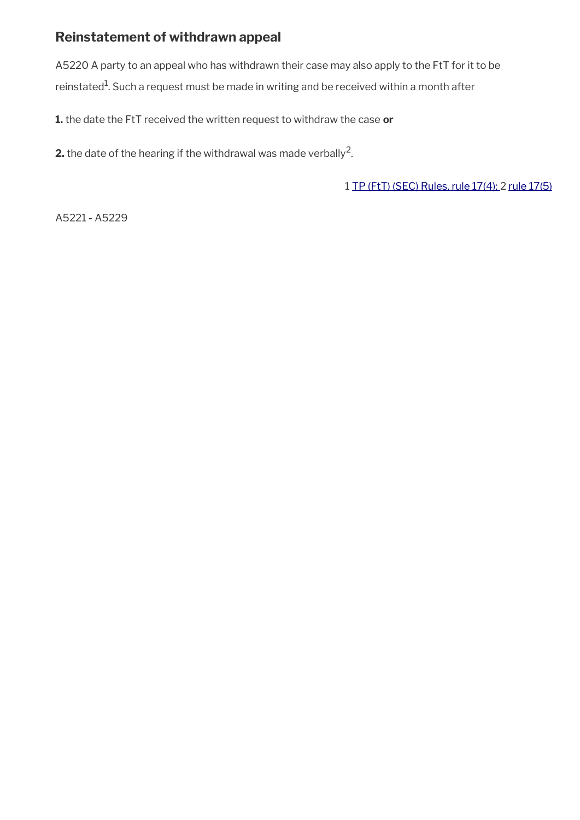# <span id="page-24-0"></span>**Reinstatement of withdrawn appeal**

A5220 A party to an appeal who has withdrawn their case may also apply to the FtT for it to be reinstated<sup>1</sup>. Such a request must be made in writing and be received within a month after

**1.** the date the FtT received the written request to withdraw the case **or**

**2.** the date of the hearing if the withdrawal was made verbally<sup>2</sup>.

1 [TP \(FtT\) \(SEC\) Rules, rule 17\(4\); 2 rule 17\(5\)](http://www.legislation.gov.uk/uksi/2008/2685/article/17)

A5221 **-** A5229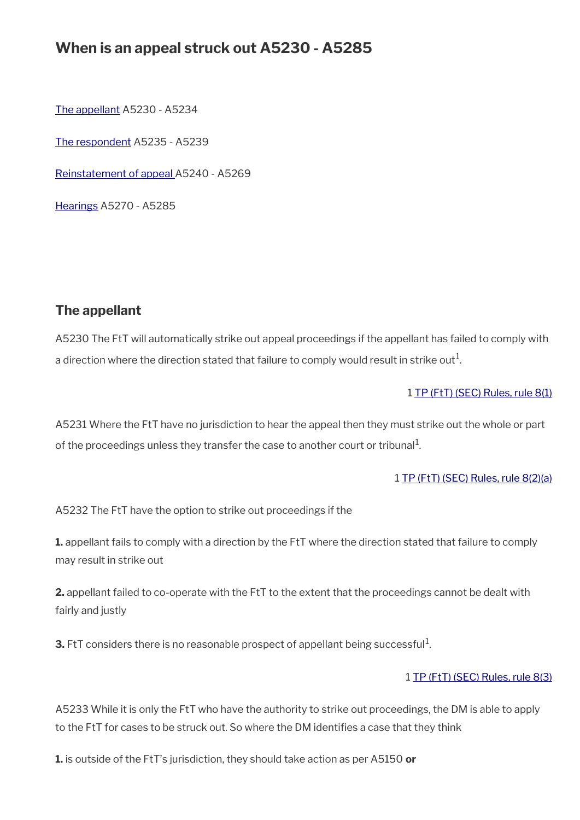# **When is an appeal struck out A5230 - A5285**

[The appellant](#page-25-0) A5230 - A5234

[The respondent](#page-26-0) A5235 - A5239

[Reinstatement of appeal A](#page-27-1)5240 - A5269

[Hearings](#page-27-0) A5270 - A5285

# <span id="page-25-0"></span>**The appellant**

A5230 The FtT will automatically strike out appeal proceedings if the appellant has failed to comply with a direction where the direction stated that failure to comply would result in strike out $^1\!$ 

### 1 [TP \(FtT\) \(SEC\) Rules, rule 8\(1\)](http://www.legislation.gov.uk/uksi/2008/2685/article/8)

A5231 Where the FtT have no jurisdiction to hear the appeal then they must strike out the whole or part of the proceedings unless they transfer the case to another court or tribunal $^{\rm 1}$ .

#### 1 [TP \(FtT\) \(SEC\) Rules, rule 8\(2\)\(a\)](http://www.legislation.gov.uk/uksi/2008/2685/article/8)

A5232 The FtT have the option to strike out proceedings if the

**1.** appellant fails to comply with a direction by the FtT where the direction stated that failure to comply may result in strike out

**2.** appellant failed to co-operate with the FtT to the extent that the proceedings cannot be dealt with fairly and justly

**3.** FtT considers there is no reasonable prospect of appellant being successful<sup>1</sup>.

#### 1 [TP \(FtT\) \(SEC\) Rules, rule 8\(3\)](http://www.legislation.gov.uk/uksi/2008/2685/article/8)

A5233 While it is only the FtT who have the authority to strike out proceedings, the DM is able to apply to the FtT for cases to be struck out. So where the DM identifes a case that they think

**1.** is outside of the FtT's jurisdiction, they should take action as per A5150 **or**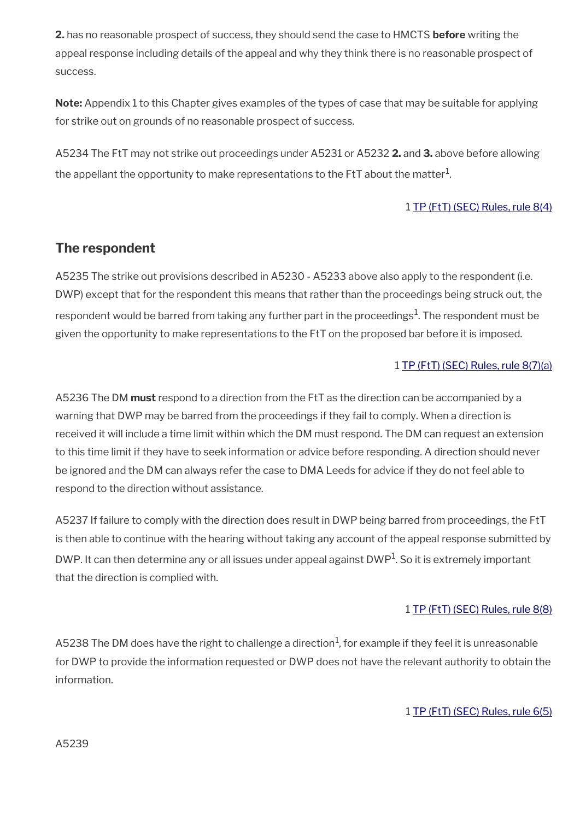**2.** has no reasonable prospect of success, they should send the case to HMCTS **before** writing the appeal response including details of the appeal and why they think there is no reasonable prospect of success.

**Note:** Appendix 1 to this Chapter gives examples of the types of case that may be suitable for applying for strike out on grounds of no reasonable prospect of success.

A5234 The FtT may not strike out proceedings under A5231 or A5232 **2.** and **3.** above before allowing the appellant the opportunity to make representations to the FtT about the matter $^{\mathrm{1}}$ .

## 1 [TP \(FtT\) \(SEC\) Rules, rule 8\(4\)](http://www.legislation.gov.uk/uksi/2008/2685/article/8)

# <span id="page-26-0"></span>**The respondent**

A5235 The strike out provisions described in A5230 - A5233 above also apply to the respondent (i.e. DWP) except that for the respondent this means that rather than the proceedings being struck out, the respondent would be barred from taking any further part in the proceedings $^1$ . The respondent must be given the opportunity to make representations to the FtT on the proposed bar before it is imposed.

### 1 [TP \(FtT\) \(SEC\) Rules, rule 8\(7\)\(a\)](http://www.legislation.gov.uk/uksi/2008/2685/article/8)

A5236 The DM **must** respond to a direction from the FtT as the direction can be accompanied by a warning that DWP may be barred from the proceedings if they fail to comply. When a direction is received it will include a time limit within which the DM must respond. The DM can request an extension to this time limit if they have to seek information or advice before responding. A direction should never be ignored and the DM can always refer the case to DMA Leeds for advice if they do not feel able to respond to the direction without assistance.

A5237 If failure to comply with the direction does result in DWP being barred from proceedings, the FtT is then able to continue with the hearing without taking any account of the appeal response submitted by DWP. It can then determine any or all issues under appeal against DWP $^1$ . So it is extremely important that the direction is complied with.

### 1 [TP \(FtT\) \(SEC\) Rules, rule 8\(8\)](http://www.legislation.gov.uk/uksi/2008/2685/article/8)

A5238 The DM does have the right to challenge a direction $^1$ , for example if they feel it is unreasonable for DWP to provide the information requested or DWP does not have the relevant authority to obtain the information.

### 1 [TP \(FtT\) \(SEC\) Rules, rule 6\(5\)](http://www.legislation.gov.uk/uksi/2008/2685/article/6)

A5239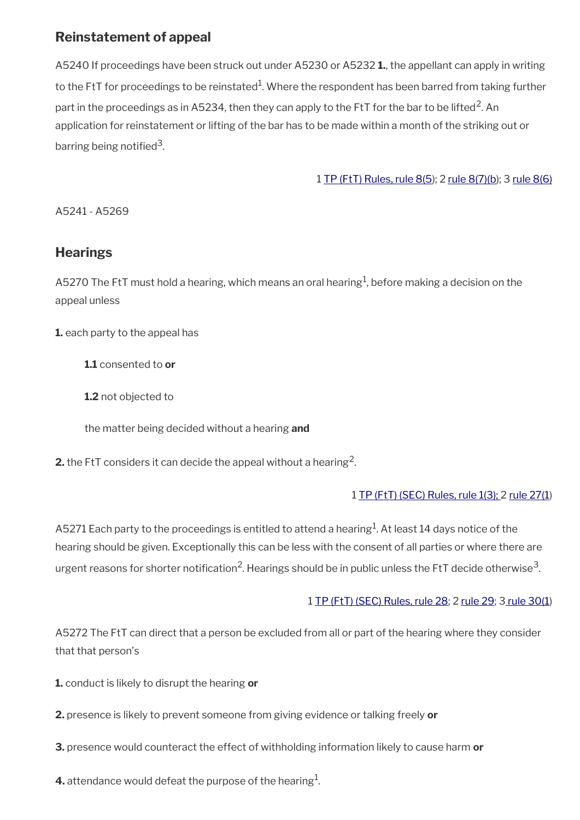# <span id="page-27-1"></span>**Reinstatement of appeal**

A5240 If proceedings have been struck out under A5230 or A5232 **1.**, the appellant can apply in writing to the FtT for proceedings to be reinstated $^1$ . Where the respondent has been barred from taking further part in the proceedings as in A5234, then they can apply to the FtT for the bar to be lifted<sup>2</sup>. An application for reinstatement or lifting of the bar has to be made within a month of the striking out or barring being notified<sup>3</sup>.

1 [TP \(FtT\) Rules, rule 8\(5\)](http://www.legislation.gov.uk/uksi/2008/2685/article/8); 2 [rule 8\(7\)\(b](http://www.legislation.gov.uk/uksi/2008/2685/article/8)); 3 [rule 8\(6\)](http://www.legislation.gov.uk/uksi/2008/2685/article/8)

A5241 - A5269

# <span id="page-27-0"></span>**Hearings**

A5270 The FtT must hold a hearing, which means an oral hearing $^1$ , before making a decision on the appeal unless

**1.** each party to the appeal has

**1.1** consented to **or**

**1.2** not objected to

the matter being decided without a hearing **and**

**2.** the FtT considers it can decide the appeal without a hearing<sup>2</sup>.

## 1 [TP \(FtT\) \(SEC\) Rules, rule 1\(3\);](http://www.legislation.gov.uk/uksi/2008/2685/article/1) 2 [rule 27\(1](http://www.legislation.gov.uk/uksi/2008/2685/article/27))

A5271 Each party to the proceedings is entitled to attend a hearing $^1$ . At least 14 days notice of the hearing should be given. Exceptionally this can be less with the consent of all parties or where there are urgent reasons for shorter notification<sup>2</sup>. Hearings should be in public unless the FtT decide otherwise<sup>3</sup>.

## 1 [TP \(FtT\) \(SEC\) Rules, rule 28](http://www.legislation.gov.uk/uksi/2008/2685/article/28); 2 [rule 29;](http://www.legislation.gov.uk/uksi/2008/2685/article/29) [3 rule 30\(1](http://www.legislation.gov.uk/uksi/2008/2685/article/30))

A5272 The FtT can direct that a person be excluded from all or part of the hearing where they consider that that person's

- **1.** conduct is likely to disrupt the hearing **or**
- **2.** presence is likely to prevent someone from giving evidence or talking freely **or**
- **3.** presence would counteract the effect of withholding information likely to cause harm **or**
- **4.** attendance would defeat the purpose of the hearing $^1$ .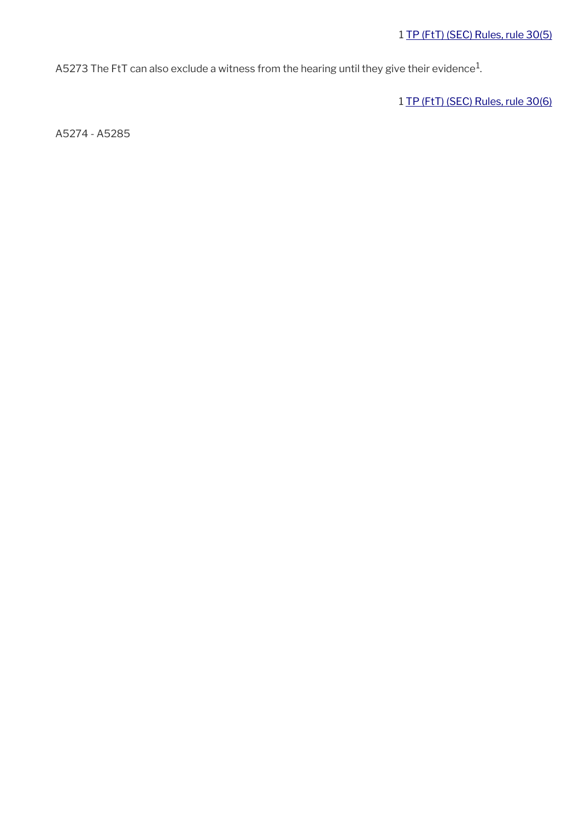A5273 The FtT can also exclude a witness from the hearing until they give their evidence $^1$ .

1 [TP \(FtT\) \(SEC\) Rules, rule 30\(6\)](http://www.legislation.gov.uk/uksi/2008/2685/article/30)

A5274 - A5285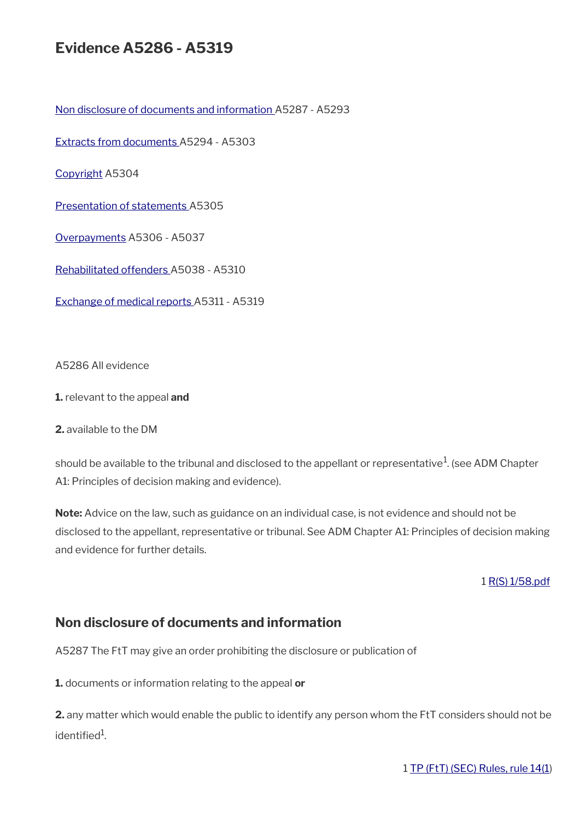# **Evidence A5286 - A5319**

[Non disclosure of documents and information](#page-29-0) A5287 - A5293

[Extracts from documents](#page-30-0) A5294 - A5303

[Copyright](#page-31-1) A5304

[Presentation of statements](#page-31-0) A5305

[Overpayments](#page-32-2) A5306 - A5037

[Rehabilitated offenders](#page-32-1) A5038 - A5310

[Exchange of medical reports](#page-32-0) A5311 - A5319

A5286 All evidence

**1.** relevant to the appeal **and**

**2.** available to the DM

should be available to the tribunal and disclosed to the appellant or representative $^1$ . (see ADM Chapter A1: Principles of decision making and evidence).

**Note:** Advice on the law, such as guidance on an individual case, is not evidence and should not be disclosed to the appellant, representative or tribunal. See ADM Chapter A1: Principles of decision making and evidence for further details.

1 [R\(S\) 1/58.pdf](../file/870774/download/R%2528S%2529%25201%252F58.pdf)

## <span id="page-29-0"></span>**Non disclosure of documents and information**

A5287 The FtT may give an order prohibiting the disclosure or publication of

**1.** documents or information relating to the appeal **or**

**2.** any matter which would enable the public to identify any person whom the FtT considers should not be identified<sup>1</sup>.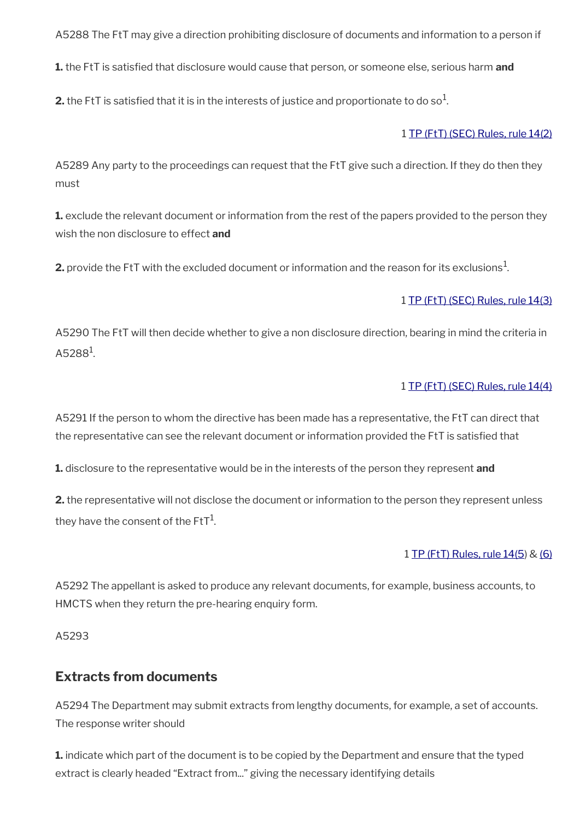A5288 The FtT may give a direction prohibiting disclosure of documents and information to a person if

**1.** the FtT is satisfed that disclosure would cause that person, or someone else, serious harm **and**

**2.** the FtT is satisfied that it is in the interests of justice and proportionate to do so $^1$ .

### 1 [TP \(FtT\) \(SEC\) Rules, rule 14\(2\)](http://www.legislation.gov.uk/uksi/2008/2685/article/14)

A5289 Any party to the proceedings can request that the FtT give such a direction. If they do then they must

**1.** exclude the relevant document or information from the rest of the papers provided to the person they wish the non disclosure to effect **and**

**2.** provide the FtT with the excluded document or information and the reason for its exclusions $^1$ .

### 1 [TP \(FtT\) \(SEC\) Rules, rule 14\(3\)](http://www.legislation.gov.uk/uksi/2008/2685/article/14)

A5290 The FtT will then decide whether to give a non disclosure direction, bearing in mind the criteria in  $A5288<sup>1</sup>$ .

### 1 [TP \(FtT\) \(SEC\) Rules, rule 14\(4\)](http://www.legislation.gov.uk/uksi/2008/2685/article/14)

A5291 If the person to whom the directive has been made has a representative, the FtT can direct that the representative can see the relevant document or information provided the FtT is satisfed that

**1.** disclosure to the representative would be in the interests of the person they represent **and**

**2.** the representative will not disclose the document or information to the person they represent unless they have the consent of the FtT $^{\rm 1}$ .

#### 1 [TP \(FtT\) Rules, rule 14\(5](http://www.legislation.gov.uk/uksi/2008/2685/article/14)) & [\(6\)](http://www.legislation.gov.uk/uksi/2008/2685/article/14)

A5292 The appellant is asked to produce any relevant documents, for example, business accounts, to HMCTS when they return the pre-hearing enquiry form.

A5293

# <span id="page-30-0"></span>**Extracts from documents**

A5294 The Department may submit extracts from lengthy documents, for example, a set of accounts. The response writer should

**1.** indicate which part of the document is to be copied by the Department and ensure that the typed extract is clearly headed "Extract from..." giving the necessary identifying details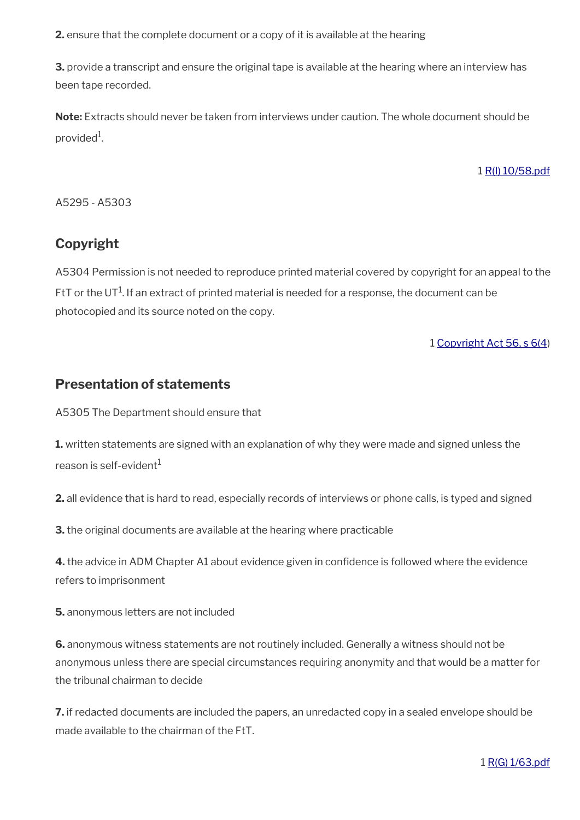**2.** ensure that the complete document or a copy of it is available at the hearing

**3.** provide a transcript and ensure the original tape is available at the hearing where an interview has been tape recorded.

**Note:** Extracts should never be taken from interviews under caution. The whole document should be provided<sup>1</sup>.

1 [R\(I\) 10/58.pdf](../file/869160/download/R%2528I%2529%252010%252F58.pdf)

A5295 - A5303

# <span id="page-31-1"></span>**Copyright**

A5304 Permission is not needed to reproduce printed material covered by copyright for an appeal to the FtT or the UT $^1$ . If an extract of printed material is needed for a response, the document can be photocopied and its source noted on the copy.

1 [Copyright Act 56, s 6\(4\)](http://www.legislation.gov.uk/ukpga/1956/74/section/6/enacted)

# <span id="page-31-0"></span>**Presentation of statements**

A5305 The Department should ensure that

**1.** written statements are signed with an explanation of why they were made and signed unless the reason is self-evident $^1$ 

**2.** all evidence that is hard to read, especially records of interviews or phone calls, is typed and signed

**3.** the original documents are available at the hearing where practicable

**4.** the advice in ADM Chapter A1 about evidence given in confdence is followed where the evidence refers to imprisonment

**5.** anonymous letters are not included

**6.** anonymous witness statements are not routinely included. Generally a witness should not be anonymous unless there are special circumstances requiring anonymity and that would be a matter for the tribunal chairman to decide

**7.** if redacted documents are included the papers, an unredacted copy in a sealed envelope should be made available to the chairman of the FtT.

1 [R\(G\) 1/63.pdf](../file/869162/download/R%2528G%2529%25201%252F63.pdf)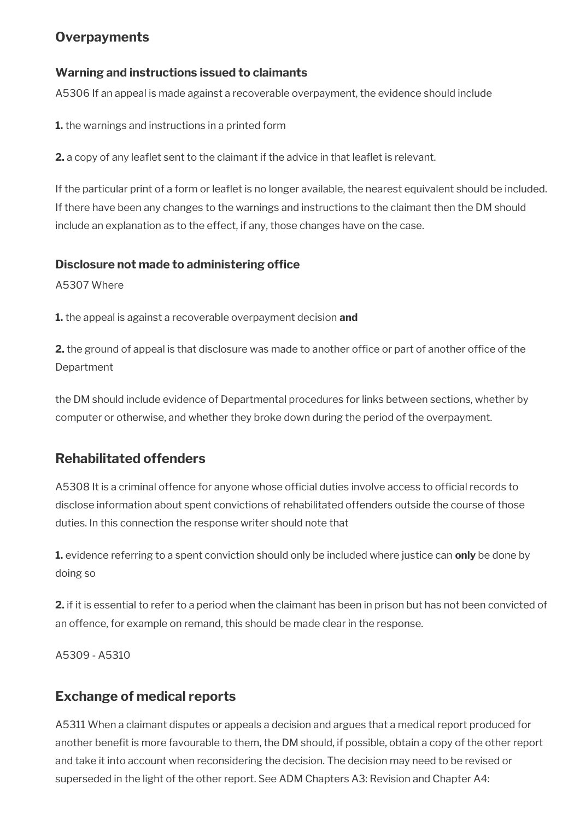# <span id="page-32-2"></span>**Overpayments**

### **Warning and instructions issued to claimants**

A5306 If an appeal is made against a recoverable overpayment, the evidence should include

**1.** the warnings and instructions in a printed form

**2.** a copy of any leaflet sent to the claimant if the advice in that leaflet is relevant.

If the particular print of a form or leaflet is no longer available, the nearest equivalent should be included. If there have been any changes to the warnings and instructions to the claimant then the DM should include an explanation as to the effect, if any, those changes have on the case.

### **Disclosure not made to administering office**

A5307 Where

**1.** the appeal is against a recoverable overpayment decision **and**

**2.** the ground of appeal is that disclosure was made to another office or part of another office of the Department

the DM should include evidence of Departmental procedures for links between sections, whether by computer or otherwise, and whether they broke down during the period of the overpayment.

# <span id="page-32-1"></span>**Rehabilitated offenders**

A5308 It is a criminal offence for anyone whose official duties involve access to official records to disclose information about spent convictions of rehabilitated offenders outside the course of those duties. In this connection the response writer should note that

**1.** evidence referring to a spent conviction should only be included where justice can **only** be done by doing so

**2.** if it is essential to refer to a period when the claimant has been in prison but has not been convicted of an offence, for example on remand, this should be made clear in the response.

A5309 - A5310

# <span id="page-32-0"></span>**Exchange of medical reports**

A5311 When a claimant disputes or appeals a decision and argues that a medical report produced for another beneft is more favourable to them, the DM should, if possible, obtain a copy of the other report and take it into account when reconsidering the decision. The decision may need to be revised or superseded in the light of the other report. See ADM Chapters A3: Revision and Chapter A4: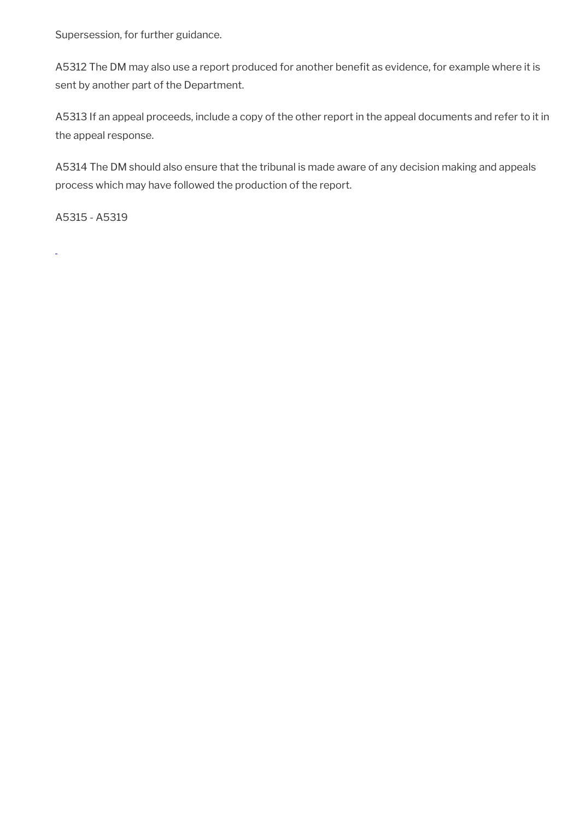Supersession, for further guidance.

A5312 The DM may also use a report produced for another benefit as evidence, for example where it is sent by another part of the Department.

A5313 If an appeal proceeds, include a copy of the other report in the appeal documents and refer to it in the appeal response.

A5314 The DM should also ensure that the tribunal is made aware of any decision making and appeals process which may have followed the production of the report.

A5315 - A5319

L.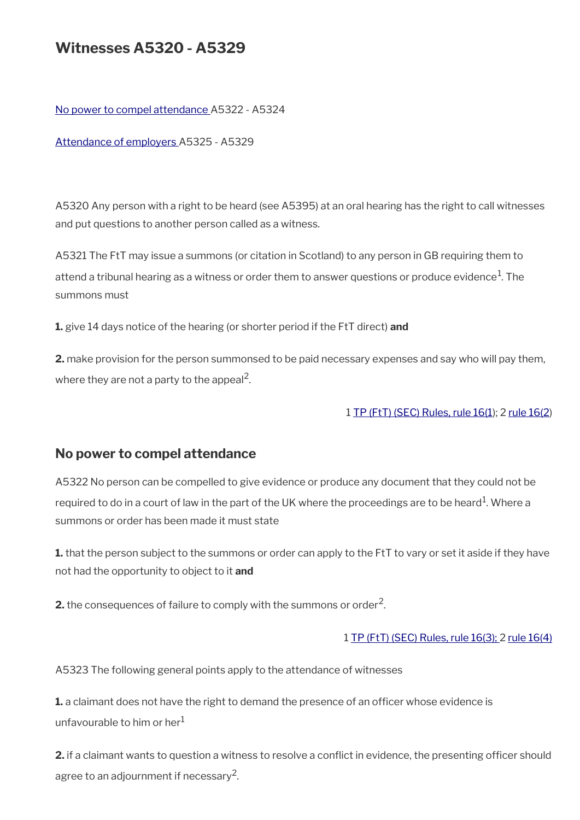# **Witnesses A5320 - A5329**

[No power to compel attendance](#page-34-0) A5322 - A5324

[Attendance of employers A](#page-35-0)5325 - A5329

A5320 Any person with a right to be heard (see A5395) at an oral hearing has the right to call witnesses and put questions to another person called as a witness.

A5321 The FtT may issue a summons (or citation in Scotland) to any person in GB requiring them to attend a tribunal hearing as a witness or order them to answer questions or produce evidence $^{\rm 1}$ . The summons must

**1.** give 14 days notice of the hearing (or shorter period if the FtT direct) **and**

**2.** make provision for the person summonsed to be paid necessary expenses and say who will pay them, where they are not a party to the appeal<sup>2</sup>.

#### 1 [TP \(FtT\) \(SEC\) Rules, rule 16\(1\)](https://www.legislation.gov.uk/uksi/2008/2685/article/16); 2 [rule 16\(2](http://www.legislation.gov.uk/uksi/2008/2685/article/16))

## <span id="page-34-0"></span>**No power to compel attendance**

A5322 No person can be compelled to give evidence or produce any document that they could not be required to do in a court of law in the part of the UK where the proceedings are to be heard $^{\rm 1}$ . Where a summons or order has been made it must state

**1.** that the person subject to the summons or order can apply to the FtT to vary or set it aside if they have not had the opportunity to object to it **and**

**2.** the consequences of failure to comply with the summons or order<sup>2</sup>.

#### 1 [TP \(FtT\) \(SEC\) Rules, rule 16\(3\);](http://www.legislation.gov.uk/uksi/2008/2685/article/16) 2 [rule 16\(4\)](http://www.legislation.gov.uk/uksi/2008/2685/article/16)

A5323 The following general points apply to the attendance of witnesses

**1.** a claimant does not have the right to demand the presence of an officer whose evidence is unfavourable to him or her $<sup>1</sup>$ </sup>

**2.** if a claimant wants to question a witness to resolve a conflict in evidence, the presenting officer should agree to an adjournment if necessary $^2$ .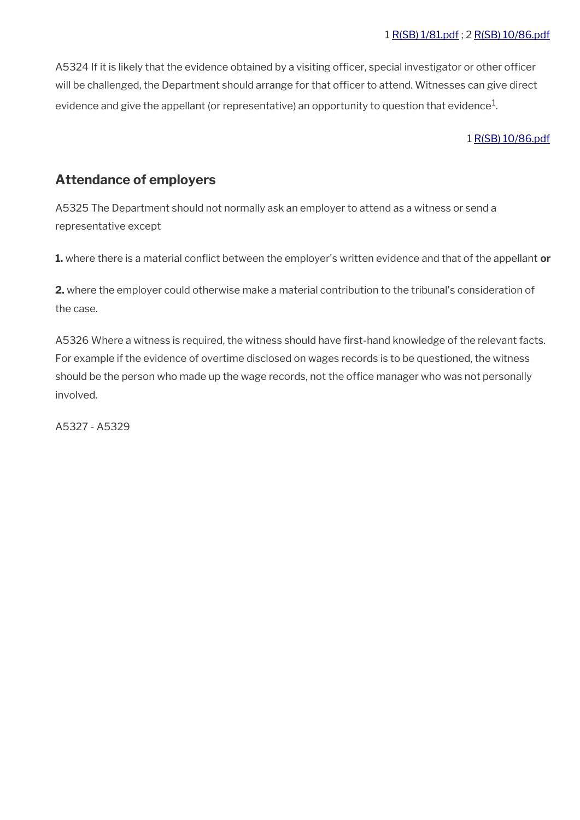A5324 If it is likely that the evidence obtained by a visiting officer, special investigator or other officer will be challenged, the Department should arrange for that officer to attend. Witnesses can give direct evidence and give the appellant (or representative) an opportunity to question that evidence $^1\!$ 

#### 1 [R\(SB\) 10/86.pdf](../file/869196/download/R%2528SB%2529%252010%252F86.pdf)

# <span id="page-35-0"></span>**Attendance of employers**

A5325 The Department should not normally ask an employer to attend as a witness or send a representative except

**1.** where there is a material confict between the employer's written evidence and that of the appellant **or**

**2.** where the employer could otherwise make a material contribution to the tribunal's consideration of the case.

A5326 Where a witness is required, the witness should have first-hand knowledge of the relevant facts. For example if the evidence of overtime disclosed on wages records is to be questioned, the witness should be the person who made up the wage records, not the office manager who was not personally involved.

A5327 - A5329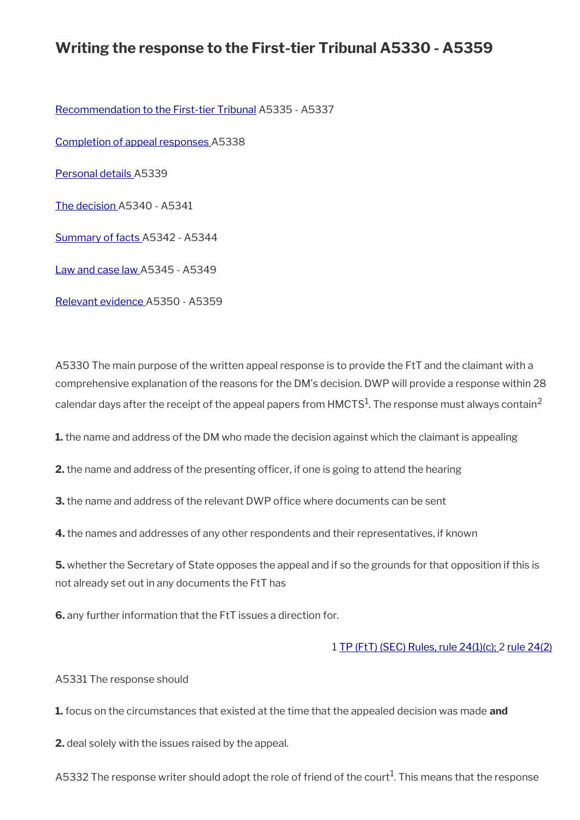# **Writing the response to the First-tier Tribunal A5330 - A5359**

[Recommendation to the First-tier Tribunal](#page-37-0) A5335 - A5337

[Completion of appeal responses A](#page-38-1)5338

[Personal details](#page-38-0) A5339

[The decision](#page-39-2) A5340 - A5341

[Summary of facts A](#page-39-1)5342 - A5344

[Law and case law](#page-39-0) A5345 - A5349

[Relevant evidence A](#page-40-0)5350 - A5359

A5330 The main purpose of the written appeal response is to provide the FtT and the claimant with a comprehensive explanation of the reasons for the DM's decision. DWP will provide a response within 28 calendar days after the receipt of the appeal papers from <code>HMCTS $^{\rm 1}$ .The</code> response must always contain $^{\rm 2}$ 

**1.** the name and address of the DM who made the decision against which the claimant is appealing

**2.** the name and address of the presenting officer, if one is going to attend the hearing

**3.** the name and address of the relevant DWP office where documents can be sent

**4.** the names and addresses of any other respondents and their representatives, if known

**5.** whether the Secretary of State opposes the appeal and if so the grounds for that opposition if this is not already set out in any documents the FtT has

**6.** any further information that the FtT issues a direction for.

1 [TP \(FtT\) \(SEC\) Rules, rule 24\(1\)\(c\);](http://www.legislation.gov.uk/uksi/2008/2685/article/24) 2 [rule 24\(2\)](http://www.legislation.gov.uk/uksi/2008/2685/article/24)

A5331 The response should

**1.** focus on the circumstances that existed at the time that the appealed decision was made **and**

**2.** deal solely with the issues raised by the appeal.

A5332 The response writer should adopt the role of friend of the court $^1$ . This means that the response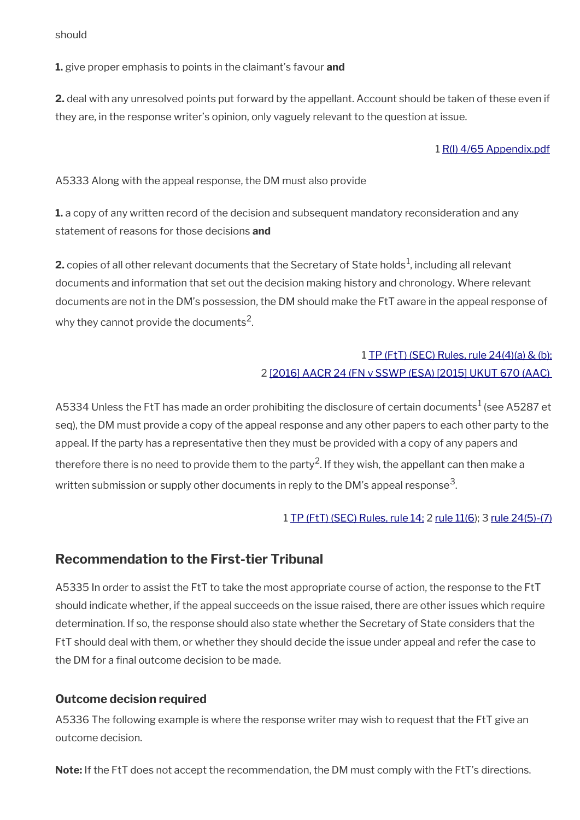should

**1.** give proper emphasis to points in the claimant's favour **and**

**2.** deal with any unresolved points put forward by the appellant. Account should be taken of these even if they are, in the response writer's opinion, only vaguely relevant to the question at issue.

### 1 [R\(I\) 4/65 Appendix.pdf](../file/870837/download/R%2528I%2529%25204%252F65%2520Appendix.pdf)

A5333 Along with the appeal response, the DM must also provide

**1.** a copy of any written record of the decision and subsequent mandatory reconsideration and any statement of reasons for those decisions **and**

**2.** copies of all other relevant documents that the Secretary of State holds $^1$ , including all relevant documents and information that set out the decision making history and chronology. Where relevant documents are not in the DM's possession, the DM should make the FtT aware in the appeal response of why they cannot provide the documents<sup>2</sup>.

## 1 [TP \(FtT\) \(SEC\) Rules, rule 24\(4\)\(a\) & \(b\);](http://www.legislation.gov.uk/uksi/2008/2685/article/24) 2 [\[2016\] AACR 24 \(FN v SSWP \(ESA\) \[2015\] UKUT 670 \(AAC\)](http://administrativeappeals.decisions.tribunals.gov.uk/Aspx/view.aspx?id=4729)

A5334 Unless the FtT has made an order prohibiting the disclosure of certain documents $^1$  (see A5287 et seq), the DM must provide a copy of the appeal response and any other papers to each other party to the appeal. If the party has a representative then they must be provided with a copy of any papers and therefore there is no need to provide them to the party<sup>2</sup>. If they wish, the appellant can then make a written submission or supply other documents in reply to the DM's appeal response $^{\rm 3}$ .

1 [TP \(FtT\) \(SEC\) Rules, rule 14;](http://www.legislation.gov.uk/uksi/2008/2685/article/14) 2 [rule 11\(6](http://www.legislation.gov.uk/uksi/2008/2685/article/11)); 3 [rule 24\(5\)-\(7\)](http://www.legislation.gov.uk/uksi/2008/2685/article/24)

## <span id="page-37-0"></span>**Recommendation to the First-tier Tribunal**

A5335 In order to assist the FtT to take the most appropriate course of action, the response to the FtT should indicate whether, if the appeal succeeds on the issue raised, there are other issues which require determination. If so, the response should also state whether the Secretary of State considers that the FtT should deal with them, or whether they should decide the issue under appeal and refer the case to the DM for a final outcome decision to be made.

## **Outcome decision required**

A5336 The following example is where the response writer may wish to request that the FtT give an outcome decision.

**Note:** If the FtT does not accept the recommendation, the DM must comply with the FtT's directions.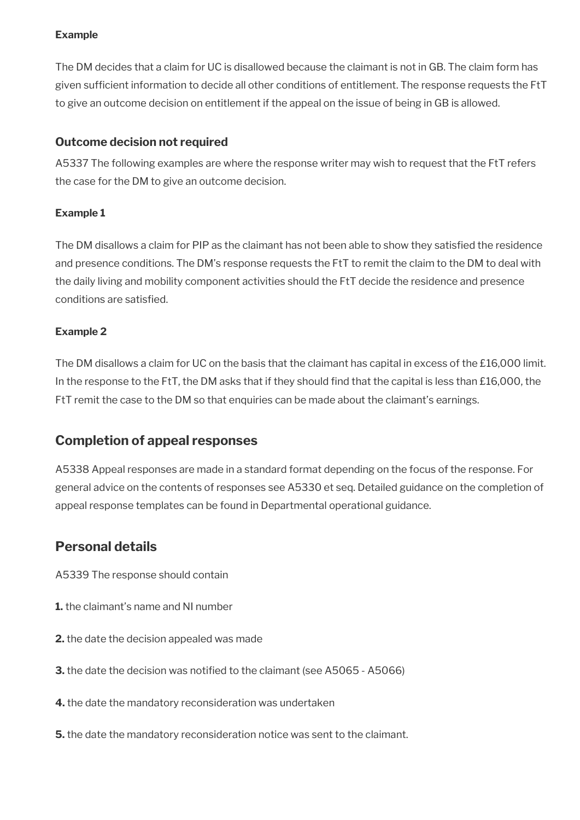### **Example**

The DM decides that a claim for UC is disallowed because the claimant is not in GB. The claim form has given sufficient information to decide all other conditions of entitlement. The response requests the FtT to give an outcome decision on entitlement if the appeal on the issue of being in GB is allowed.

### **Outcome decision not required**

A5337 The following examples are where the response writer may wish to request that the FtT refers the case for the DM to give an outcome decision.

### **Example 1**

The DM disallows a claim for PIP as the claimant has not been able to show they satisfed the residence and presence conditions. The DM's response requests the FtT to remit the claim to the DM to deal with the daily living and mobility component activities should the FtT decide the residence and presence conditions are satisfed.

### **Example 2**

The DM disallows a claim for UC on the basis that the claimant has capital in excess of the £16,000 limit. In the response to the FtT, the DM asks that if they should find that the capital is less than £16,000, the FtT remit the case to the DM so that enquiries can be made about the claimant's earnings.

# <span id="page-38-1"></span>**Completion of appeal responses**

A5338 Appeal responses are made in a standard format depending on the focus of the response. For general advice on the contents of responses see A5330 et seq. Detailed guidance on the completion of appeal response templates can be found in Departmental operational guidance.

## <span id="page-38-0"></span>**Personal details**

A5339 The response should contain

- **1.** the claimant's name and NI number
- **2.** the date the decision appealed was made
- **3.** the date the decision was notified to the claimant (see A5065 A5066)
- **4.** the date the mandatory reconsideration was undertaken
- **5.** the date the mandatory reconsideration notice was sent to the claimant.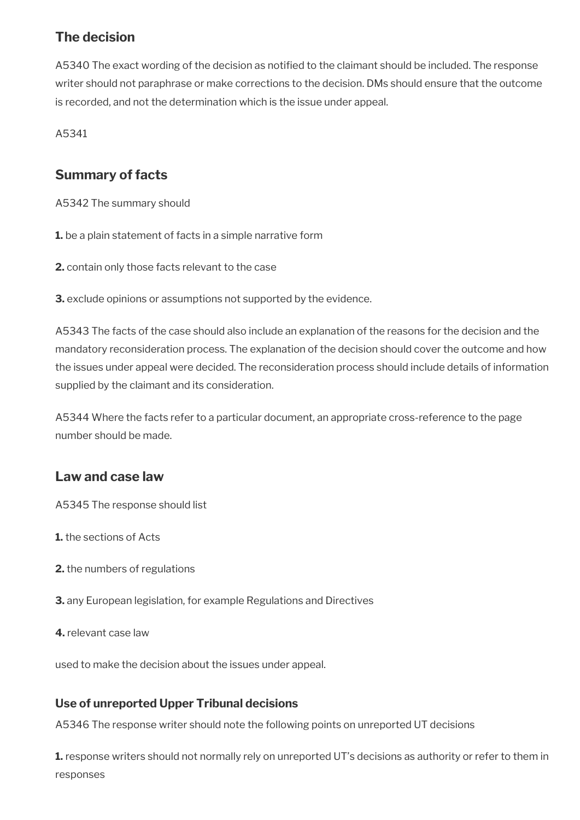# <span id="page-39-2"></span>**The decision**

A5340 The exact wording of the decision as notified to the claimant should be included. The response writer should not paraphrase or make corrections to the decision. DMs should ensure that the outcome is recorded, and not the determination which is the issue under appeal.

A5341

# <span id="page-39-1"></span>**Summary of facts**

A5342 The summary should

**1.** be a plain statement of facts in a simple narrative form

**2.** contain only those facts relevant to the case

**3.** exclude opinions or assumptions not supported by the evidence.

A5343 The facts of the case should also include an explanation of the reasons for the decision and the mandatory reconsideration process. The explanation of the decision should cover the outcome and how the issues under appeal were decided. The reconsideration process should include details of information supplied by the claimant and its consideration.

A5344 Where the facts refer to a particular document, an appropriate cross-reference to the page number should be made.

# <span id="page-39-0"></span>**Law and case law**

A5345 The response should list

- **1.** the sections of Acts
- **2.** the numbers of regulations
- **3.** any European legislation, for example Regulations and Directives
- **4.** relevant case law

used to make the decision about the issues under appeal.

## **Use of unreported Upper Tribunal decisions**

A5346 The response writer should note the following points on unreported UT decisions

**1.** response writers should not normally rely on unreported UT's decisions as authority or refer to them in responses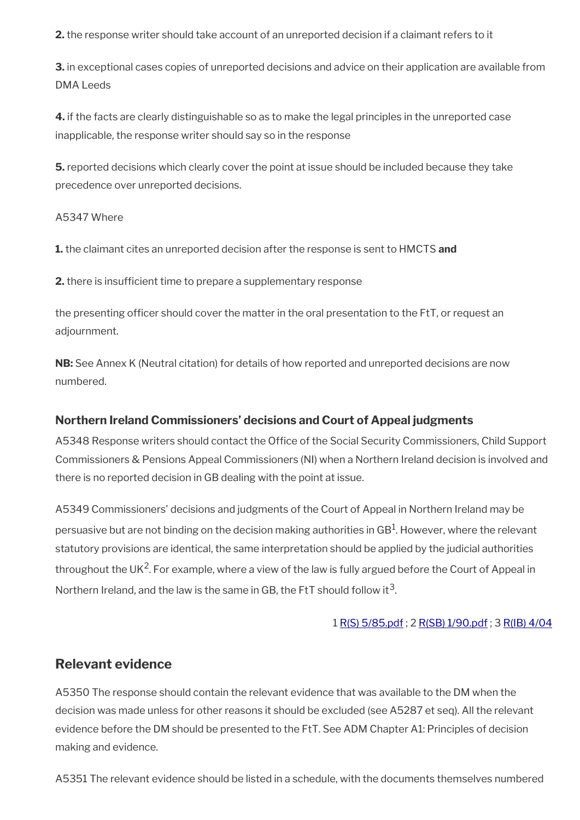**2.** the response writer should take account of an unreported decision if a claimant refers to it

**3.** in exceptional cases copies of unreported decisions and advice on their application are available from DMA Leeds

**4.** if the facts are clearly distinguishable so as to make the legal principles in the unreported case inapplicable, the response writer should say so in the response

**5.** reported decisions which clearly cover the point at issue should be included because they take precedence over unreported decisions.

#### A5347 Where

**1.** the claimant cites an unreported decision after the response is sent to HMCTS **and** 

**2.** there is insufficient time to prepare a supplementary response

the presenting officer should cover the matter in the oral presentation to the FtT, or request an adjournment.

**NB:** See Annex K (Neutral citation) for details of how reported and unreported decisions are now numbered.

## **Northern Ireland Commissioners' decisions and Court of Appeal judgments**

A5348 Response writers should contact the Office of the Social Security Commissioners, Child Support Commissioners & Pensions Appeal Commissioners (NI) when a Northern Ireland decision is involved and there is no reported decision in GB dealing with the point at issue.

A5349 Commissioners' decisions and judgments of the Court of Appeal in Northern Ireland may be persuasive but are not binding on the decision making authorities in GB $^{\rm 1}$ . However, where the relevant statutory provisions are identical, the same interpretation should be applied by the judicial authorities throughout the UK<sup>2</sup>. For example, where a view of the law is fully argued before the Court of Appeal in Northern Ireland, and the law is the same in GB, the FtT should follow it<sup>3</sup>.

### 1 [R\(S\) 5/85.pdf](../file/869198/download/R%2528S%2529%25205%252F85.pdf) ; 2 [R\(SB\) 1/90.pdf](../file/869204/download/R%2528SB%2529%25201%252F90.pdf) ; 3 [R\(IB\) 4/04](http://intranet.dwp.gov.uk/manual/decision-benefit/rib-4-04)

## <span id="page-40-0"></span>**Relevant evidence**

A5350 The response should contain the relevant evidence that was available to the DM when the decision was made unless for other reasons it should be excluded (see A5287 et seq). All the relevant evidence before the DM should be presented to the FtT. See ADM Chapter A1: Principles of decision making and evidence.

A5351 The relevant evidence should be listed in a schedule, with the documents themselves numbered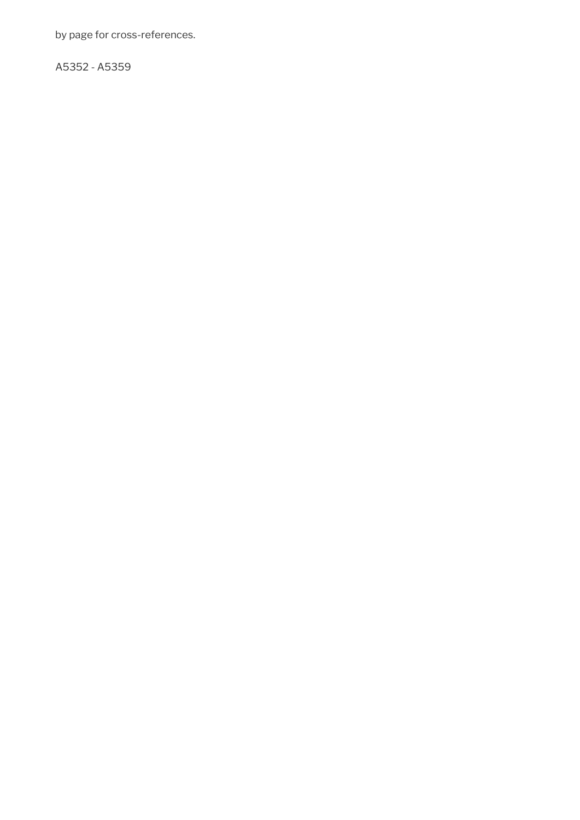by page for cross-references.

A5352 - A5359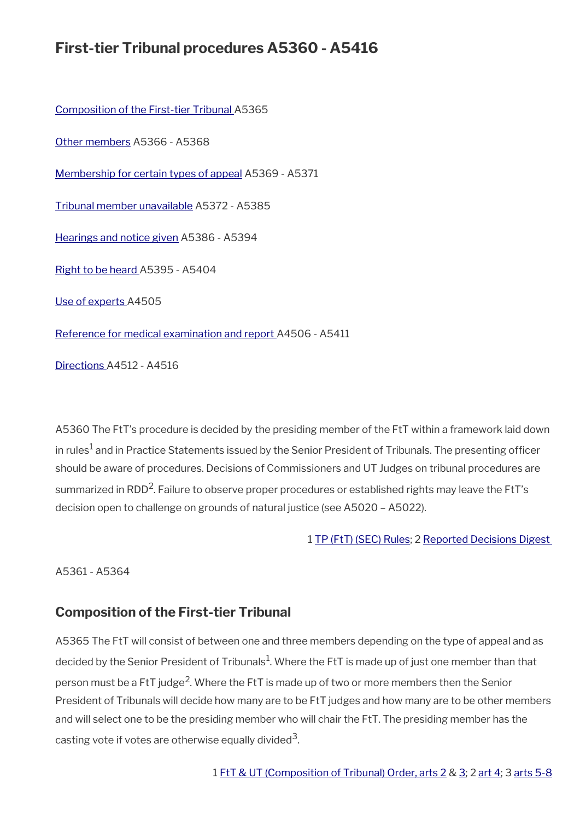# **First-tier Tribunal procedures A5360 - A5416**

[Composition of the First-tier Tribunal](#page-42-0) A5365

[Other members](#page-43-1) A5366 - A5368

[Membership for certain types of appeal](#page-43-0) A5369 - A5371

[Tribunal member unavailable](#page-44-0) A5372 - A5385

[Hearings and notice given](#page-45-1) A5386 - A5394

[Right to be heard](#page-45-0) A5395 - A5404

[Use of experts](#page-46-1) A4505

[Reference for medical examination and report](#page-46-0) A4506 - A5411

[Directions](#page-47-0) A4512 - A4516

A5360 The FtT's procedure is decided by the presiding member of the FtT within a framework laid down in rules $^1$  and in Practice Statements issued by the Senior President of Tribunals. The presenting officer should be aware of procedures. Decisions of Commissioners and UT Judges on tribunal procedures are summarized in RDD<sup>2</sup>. Failure to observe proper procedures or established rights may leave the FtT's decision open to challenge on grounds of natural justice (see A5020 – A5022).

### 1 [TP \(FtT\) \(SEC\) Rules](http://www.legislation.gov.uk/uksi/2008/2685/contents); 2 [Reported Decisions Digest](http://intranet.dwp.gov.uk/manual/reported-decisions-digest)

A5361 - A5364

## <span id="page-42-0"></span>**Composition of the First-tier Tribunal**

A5365 The FtT will consist of between one and three members depending on the type of appeal and as decided by the Senior President of Tribunals $^1$ . Where the FtT is made up of just one member than that person must be a FtT judge<sup>2</sup>. Where the FtT is made up of two or more members then the Senior President of Tribunals will decide how many are to be FtT judges and how many are to be other members and will select one to be the presiding member who will chair the FtT. The presiding member has the casting vote if votes are otherwise equally divided $^3$ .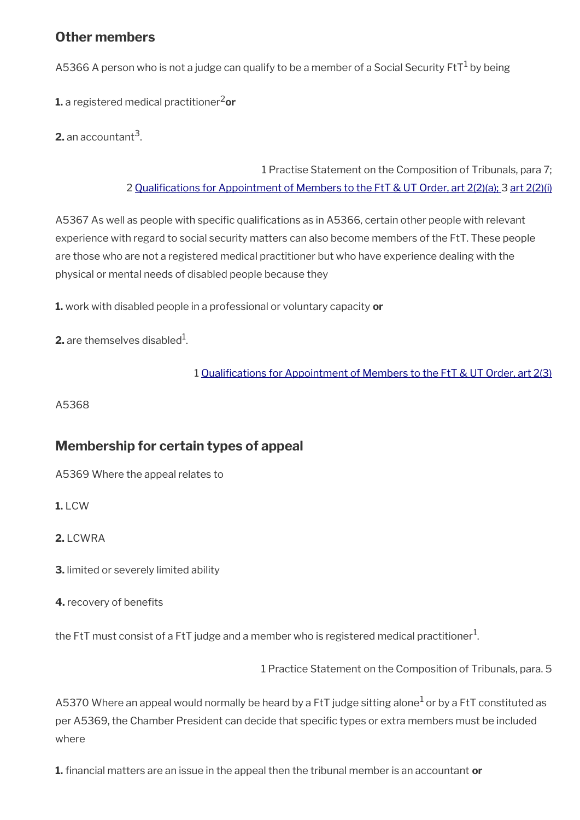## <span id="page-43-1"></span>**Other members**

A5366 A person who is not a judge can qualify to be a member of a Social Security FtT $^1$  by being

**1.** a registered medical practitioner<sup>2</sup>or

**2.** an accountant<sup>3</sup>.

1 Practise Statement on the Composition of Tribunals, para 7; 2 [Qualifcations for Appointment of Members to the FtT & UT Order, art 2\(2\)\(a\); 3](http://www.legislation.gov.uk/uksi/2008/2692/contents) [art 2\(2\)\(i\)](http://www.legislation.gov.uk/uksi/2008/2692/contents)

A5367 As well as people with specific qualifications as in A5366, certain other people with relevant experience with regard to social security matters can also become members of the FtT. These people are those who are not a registered medical practitioner but who have experience dealing with the physical or mental needs of disabled people because they

**1.** work with disabled people in a professional or voluntary capacity **or**

**2.** are themselves disabled $^1$ .

1 [Qualifcations for Appointment of Members to the FtT & UT Order, art 2\(3\)](http://www.legislation.gov.uk/uksi/2008/2692/contents)

A5368

# <span id="page-43-0"></span>**Membership for certain types of appeal**

A5369 Where the appeal relates to

**1.** LCW

**2.** LCWRA

**3.** limited or severely limited ability

**4.** recovery of benefits

the FtT must consist of a FtT judge and a member who is registered medical practitioner $^1\!$ 

1 Practice Statement on the Composition of Tribunals, para. 5

A5370 Where an appeal would normally be heard by a FtT judge sitting alone $^1$  or by a FtT constituted as per A5369, the Chamber President can decide that specifc types or extra members must be included where

**1.** fnancial matters are an issue in the appeal then the tribunal member is an accountant **or**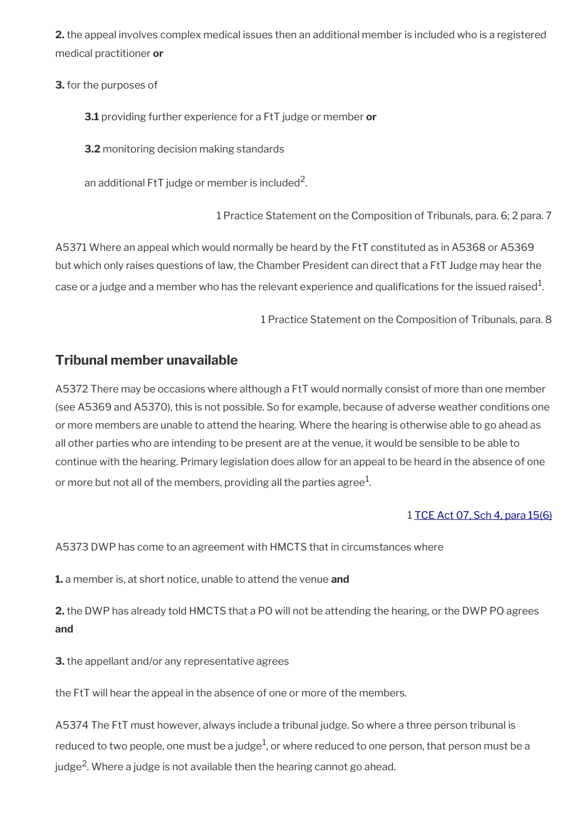**2.** the appeal involves complex medical issues then an additional member is included who is a registered medical practitioner **or**

**3.** for the purposes of

**3.1** providing further experience for a FtT judge or member **or**

**3.2** monitoring decision making standards

an additional FtT judge or member is included $^2\!$ 

1 Practice Statement on the Composition of Tribunals, para. 6; 2 para. 7

A5371 Where an appeal which would normally be heard by the FtT constituted as in A5368 or A5369 but which only raises questions of law, the Chamber President can direct that a FtT Judge may hear the case or a judge and a member who has the relevant experience and qualifications for the issued raised $^1\!$ 

1 Practice Statement on the Composition of Tribunals, para. 8

## <span id="page-44-0"></span>**Tribunal member unavailable**

A5372 There may be occasions where although a FtT would normally consist of more than one member (see A5369 and A5370), this is not possible. So for example, because of adverse weather conditions one or more members are unable to attend the hearing. Where the hearing is otherwise able to go ahead as all other parties who are intending to be present are at the venue, it would be sensible to be able to continue with the hearing. Primary legislation does allow for an appeal to be heard in the absence of one or more but not all of the members, providing all the parties agree $^1$ .

### 1 [TCE Act 07, Sch 4, para 15\(6\)](http://www.legislation.gov.uk/ukpga/2007/15/schedule/4)

A5373 DWP has come to an agreement with HMCTS that in circumstances where

**1.** a member is, at short notice, unable to attend the venue **and**

**2.** the DWP has already told HMCTS that a PO will not be attending the hearing, or the DWP PO agrees **and**

**3.** the appellant and/or any representative agrees

the FtT will hear the appeal in the absence of one or more of the members.

A5374 The FtT must however, always include a tribunal judge. So where a three person tribunal is reduced to two people, one must be a judge $^1$ , or where reduced to one person, that person must be a judge<sup>2</sup>. Where a judge is not available then the hearing cannot go ahead.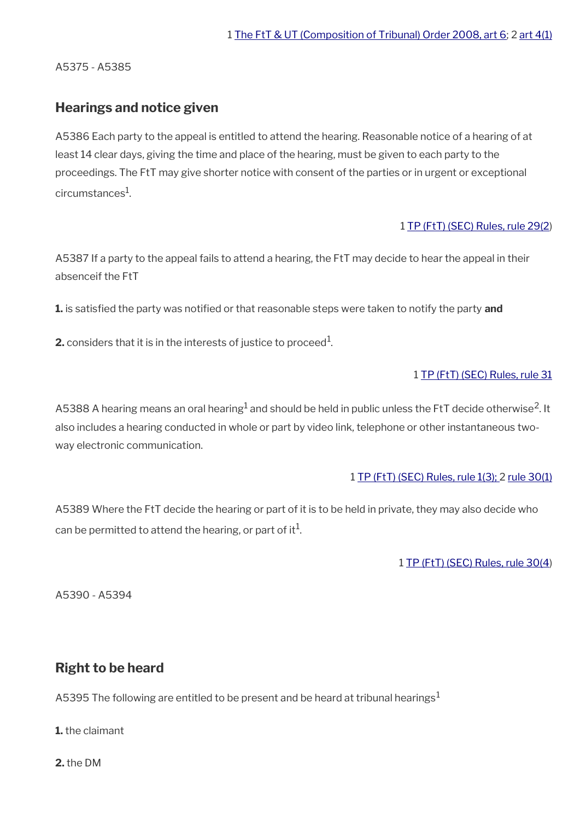A5375 - A5385

## <span id="page-45-1"></span>**Hearings and notice given**

A5386 Each party to the appeal is entitled to attend the hearing. Reasonable notice of a hearing of at least 14 clear days, giving the time and place of the hearing, must be given to each party to the proceedings. The FtT may give shorter notice with consent of the parties or in urgent or exceptional circumstances $^{\rm 1}$ .

#### 1 [TP \(FtT\) \(SEC\) Rules, rule 29\(2](http://www.legislation.gov.uk/uksi/2008/2685/article/29))

A5387 If a party to the appeal fails to attend a hearing, the FtT may decide to hear the appeal in their absenceif the FtT

**1.** is satisfed the party was notifed or that reasonable steps were taken to notify the party **and**

**2.** considers that it is in the interests of justice to proceed $^1$ .

### 1 [TP \(FtT\) \(SEC\) Rules, rule 31](http://www.legislation.gov.uk/uksi/2008/2685/article/31)

A5388 A hearing means an oral hearing $^{\rm 1}$  and should be held in public unless the FtT decide otherwise<sup>2</sup>. It also includes a hearing conducted in whole or part by video link, telephone or other instantaneous twoway electronic communication.

### 1 [TP \(FtT\) \(SEC\) Rules, rule 1\(3\); 2](http://www.legislation.gov.uk/uksi/2008/2685/article/1) [rule 30\(1\)](http://www.legislation.gov.uk/uksi/2008/2685/article/30)

A5389 Where the FtT decide the hearing or part of it is to be held in private, they may also decide who can be permitted to attend the hearing, or part of it $^1$ .

1 [TP \(FtT\) \(SEC\) Rules, rule 30\(4](http://www.legislation.gov.uk/uksi/2008/2685/article/30))

A5390 - A5394

# <span id="page-45-0"></span>**Right to be heard**

A5395 The following are entitled to be present and be heard at tribunal hearings<sup>1</sup>

**1.** the claimant

**2.** the DM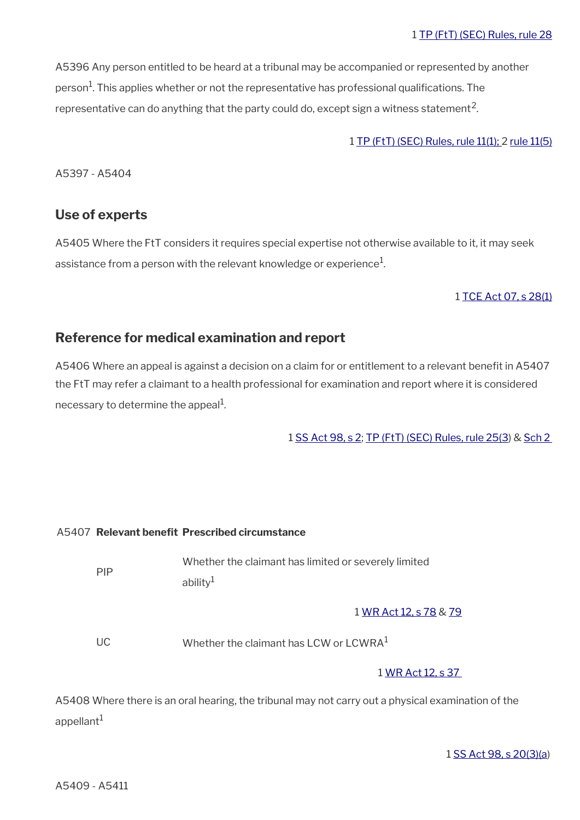#### 1 [TP \(FtT\) \(SEC\) Rules, rule 28](http://www.legislation.gov.uk/uksi/2008/2685/article/28)

A5396 Any person entitled to be heard at a tribunal may be accompanied or represented by another person<sup>1</sup>. This applies whether or not the representative has professional qualifications. The representative can do anything that the party could do, except sign a witness statement<sup>2</sup>.

#### 1 [TP \(FtT\) \(SEC\) Rules, rule 11\(1\);](http://www.legislation.gov.uk/uksi/2008/2685/article/11) 2 [rule 11\(5\)](http://www.legislation.gov.uk/uksi/2008/2685/article/11)

A5397 - A5404

### <span id="page-46-1"></span>**Use of experts**

A5405 Where the FtT considers it requires special expertise not otherwise available to it, it may seek assistance from a person with the relevant knowledge or experience $^1\!\!$ 

#### 1 [TCE Act 07, s 28\(1\)](http://www.legislation.gov.uk/ukpga/2007/15/section/28)

## <span id="page-46-0"></span>**Reference for medical examination and report**

A5406 Where an appeal is against a decision on a claim for or entitlement to a relevant benefit in A5407 the FtT may refer a claimant to a health professional for examination and report where it is considered necessary to determine the appeal $^{\rm 1}$ .

1 [SS Act 98, s 2](http://www.legislation.gov.uk/ukpga/1998/14/contents); [TP \(FtT\) \(SEC\) Rules, rule 25\(3](http://www.legislation.gov.uk/uksi/2008/2685/article/25)) & [Sch 2](http://www.legislation.gov.uk/uksi/2008/2685/schedule/2) 

#### A5407 **Relevant beneft Prescribed circumstance**

| <b>PIP</b> | Whether the claimant has limited or severely limited |
|------------|------------------------------------------------------|
|            | ability $1$                                          |

#### 1 [WR Act 12, s 78](http://www.legislation.gov.uk/ukpga/2012/5/section/78) & [79](http://www.legislation.gov.uk/ukpga/2012/5/section/79)

 $UC$  Whether the claimant has LCW or LCWRA<sup>1</sup>

1 [WR Act 12, s 37](http://www.legislation.gov.uk/ukpga/2012/5/section/37) 

A5408 Where there is an oral hearing, the tribunal may not carry out a physical examination of the appellant $1$ 

1 [SS Act 98, s 20\(3\)\(a\)](http://www.legislation.gov.uk/ukpga/1998/14/contents)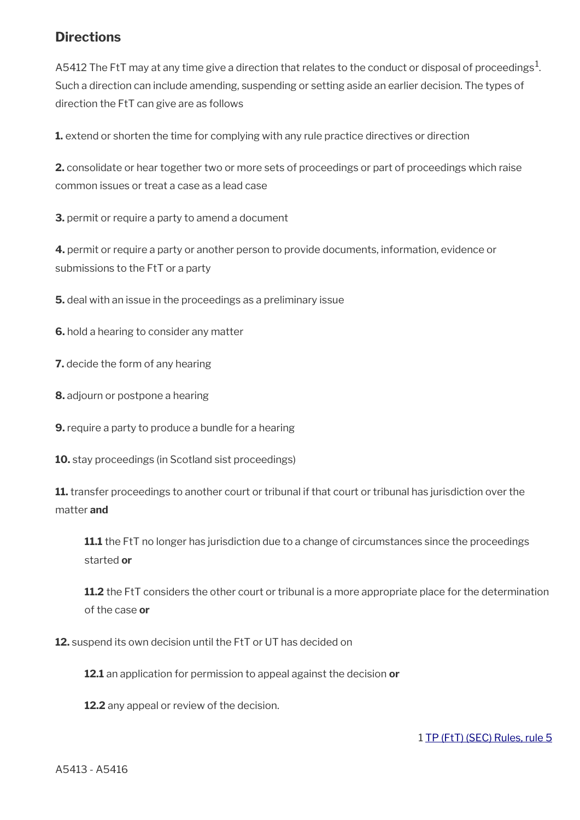# <span id="page-47-0"></span>**Directions**

A5412 The FtT may at any time give a direction that relates to the conduct or disposal of proceedings $^{\rm 1.}$ Such a direction can include amending, suspending or setting aside an earlier decision. The types of direction the FtT can give are as follows

**1.** extend or shorten the time for complying with any rule practice directives or direction

**2.** consolidate or hear together two or more sets of proceedings or part of proceedings which raise common issues or treat a case as a lead case

**3.** permit or require a party to amend a document

**4.** permit or require a party or another person to provide documents, information, evidence or submissions to the FtT or a party

**5.** deal with an issue in the proceedings as a preliminary issue

**6.** hold a hearing to consider any matter

**7.** decide the form of any hearing

- **8.** adjourn or postpone a hearing
- **9.** require a party to produce a bundle for a hearing
- **10.** stay proceedings (in Scotland sist proceedings)

**11.** transfer proceedings to another court or tribunal if that court or tribunal has jurisdiction over the matter **and**

**11.1** the FtT no longer has jurisdiction due to a change of circumstances since the proceedings started **or**

**11.2** the FtT considers the other court or tribunal is a more appropriate place for the determination of the case **or**

**12.** suspend its own decision until the FtT or UT has decided on

**12.1** an application for permission to appeal against the decision **or**

**12.2** any appeal or review of the decision.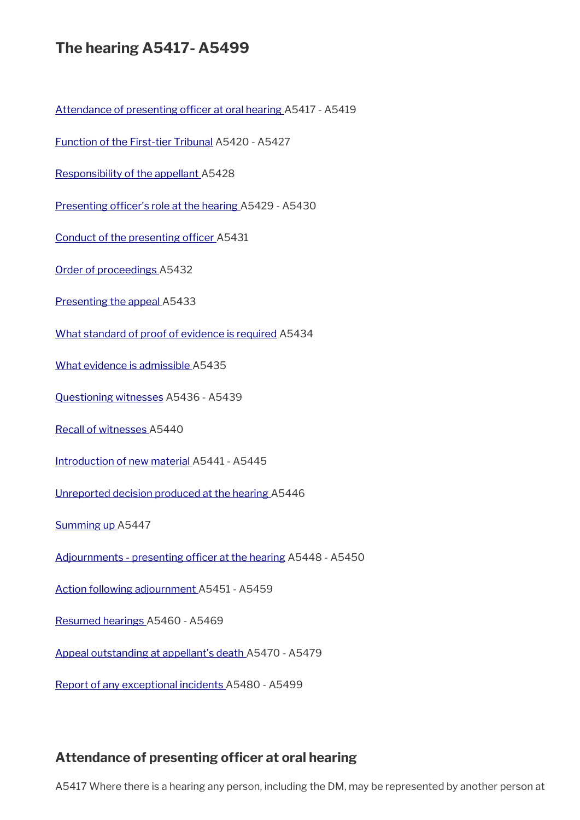# **The hearing A5417- A5499**

Attendance of presenting officer at oral hearing A5417 - A5419

[Function of the First-tier Tribunal](#page-50-0) A5420 - A5427

[Responsibility of the appellant A](#page-52-1)5428

Presenting officer's role at the hearing A5429 - A5430

Conduct of the presenting officer A5431

[Order of proceedings](#page-53-1) A5432

[Presenting the appeal A](#page-53-0)5433

[What standard of proof of evidence is required](#page-54-2) A5434

[What evidence is admissible A](#page-54-1)5435

[Questioning witnesses](#page-54-0) A5436 - A5439

[Recall of witnesses](#page-55-1) A5440

[Introduction of new material A](#page-55-0)5441 - A5445

[Unreported decision produced at the hearing](#page-56-1) A5446

[Summing up](#page-56-0) A5447

Adjournments - presenting officer at the hearing A5448 - A5450

[Action following adjournment A](#page-57-1)5451 - A5459

[Resumed hearings](#page-57-0) A5460 - A5469

[Appeal outstanding at appellant's death A](#page-58-0)5470 - A5479

[Report of any exceptional incidents A](#page-59-0)5480 - A5499

## <span id="page-49-0"></span>**Attendance of presenting officer at oral hearing**

A5417 Where there is a hearing any person, including the DM, may be represented by another person at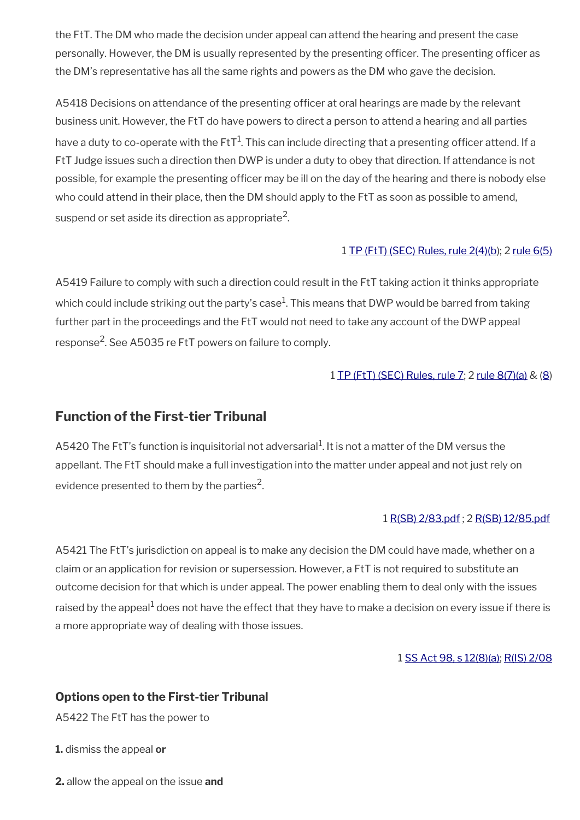the FtT. The DM who made the decision under appeal can attend the hearing and present the case personally. However, the DM is usually represented by the presenting officer. The presenting officer as the DM's representative has all the same rights and powers as the DM who gave the decision.

A5418 Decisions on attendance of the presenting officer at oral hearings are made by the relevant business unit. However, the FtT do have powers to direct a person to attend a hearing and all parties have a duty to co-operate with the FtT $^1$ . This can include directing that a presenting officer attend. If a FtT Judge issues such a direction then DWP is under a duty to obey that direction. If attendance is not possible, for example the presenting officer may be ill on the day of the hearing and there is nobody else who could attend in their place, then the DM should apply to the FtT as soon as possible to amend, suspend or set aside its direction as appropriate $^2\!$ 

### 1 [TP \(FtT\) \(SEC\) Rules, rule 2\(4\)\(b](http://www.legislation.gov.uk/uksi/2008/2685/article/24)); 2 [rule 6\(5\)](http://www.legislation.gov.uk/uksi/2008/2685/article/6)

A5419 Failure to comply with such a direction could result in the FtT taking action it thinks appropriate which could include striking out the party's case $^1$ . This means that DWP would be barred from taking further part in the proceedings and the FtT would not need to take any account of the DWP appeal response<sup>2</sup>. See A5035 re FtT powers on failure to comply.

### 1 [TP \(FtT\) \(SEC\) Rules, rule 7](http://www.legislation.gov.uk/uksi/2008/2685/article/7); 2 [rule 8\(7\)\(a\)](http://www.legislation.gov.uk/uksi/2008/2685/article/8) & [\(8](http://www.legislation.gov.uk/uksi/2008/2685/article/8))

# <span id="page-50-0"></span>**Function of the First-tier Tribunal**

A5420 The FtT's function is inquisitorial not adversarial<sup>1</sup>. It is not a matter of the DM versus the appellant. The FtT should make a full investigation into the matter under appeal and not just rely on evidence presented to them by the parties<sup>2</sup>.

### 1 [R\(SB\) 2/83.pdf](../file/869134/download/R%2528SB%2529%25202%252F83.pdf) ; 2 [R\(SB\) 12/85.pdf](../file/870748/download/R%2528SB%2529%252012%252F85.pdf)

A5421 The FtT's jurisdiction on appeal is to make any decision the DM could have made, whether on a claim or an application for revision or supersession. However, a FtT is not required to substitute an outcome decision for that which is under appeal. The power enabling them to deal only with the issues raised by the appeal<sup>1</sup> does not have the effect that they have to make a decision on every issue if there is a more appropriate way of dealing with those issues.

#### 1 [SS Act 98, s 12\(8\)\(a\)](http://www.legislation.gov.uk/ukpga/1998/14/contents); [R\(IS\) 2/08](http://intranet.dwp.gov.uk/manual/decision-benefit/ris-2-08)

### **Options open to the First-tier Tribunal**

A5422 The FtT has the power to

**1.** dismiss the appeal **or**

**2.** allow the appeal on the issue **and**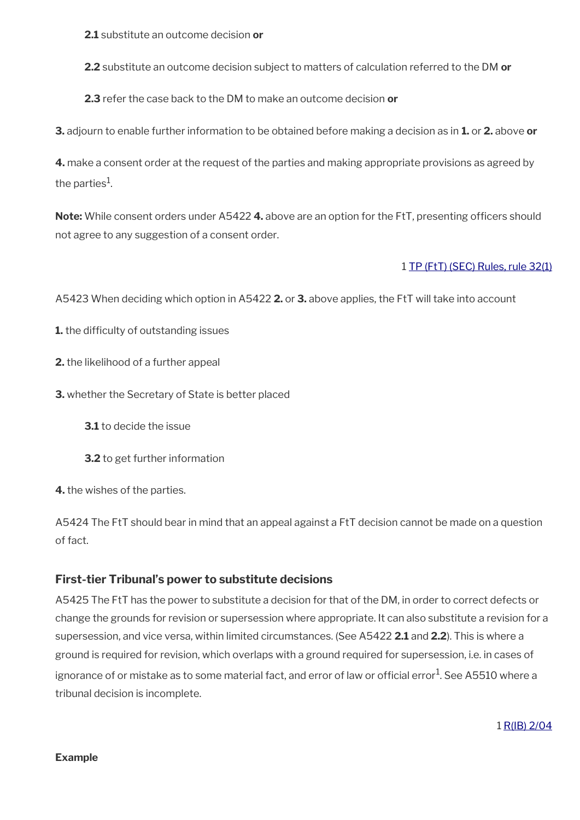**2.1** substitute an outcome decision **or**

**2.2** substitute an outcome decision subject to matters of calculation referred to the DM **or**

**2.3** refer the case back to the DM to make an outcome decision **or**

**3.** adjourn to enable further information to be obtained before making a decision as in **1.** or **2.** above **or**

**4.** make a consent order at the request of the parties and making appropriate provisions as agreed by the parties $^1\!\!$ .

**Note:** While consent orders under A5422 4. above are an option for the FtT, presenting officers should not agree to any suggestion of a consent order.

### 1 [TP \(FtT\) \(SEC\) Rules, rule 32\(1\)](http://www.legislation.gov.uk/uksi/2008/2685/article/32)

A5423 When deciding which option in A5422 **2.** or **3.** above applies, the FtT will take into account

**1.** the difficulty of outstanding issues

**2.** the likelihood of a further appeal

**3.** whether the Secretary of State is better placed

**3.1** to decide the issue

**3.2** to get further information

**4.** the wishes of the parties.

A5424 The FtT should bear in mind that an appeal against a FtT decision cannot be made on a question of fact.

## **First-tier Tribunal's power to substitute decisions**

A5425 The FtT has the power to substitute a decision for that of the DM, in order to correct defects or change the grounds for revision or supersession where appropriate. It can also substitute a revision for a supersession, and vice versa, within limited circumstances. (See A5422 **2.1** and **2.2**). This is where a ground is required for revision, which overlaps with a ground required for supersession, i.e. in cases of ignorance of or mistake as to some material fact, and error of law or official error $^1$ . See A5510 where a tribunal decision is incomplete.

1 [R\(IB\) 2/04](http://intranet.dwp.gov.uk/manual/decision-benefit/rib-2-04)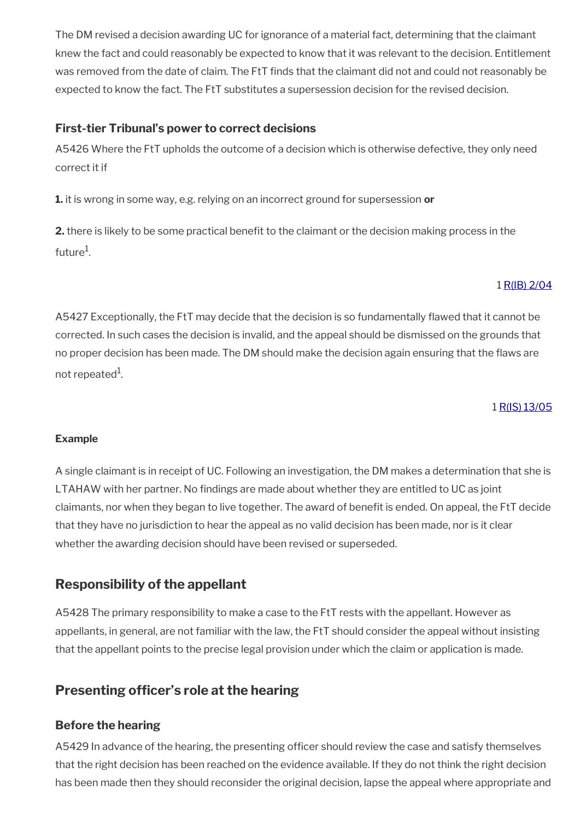The DM revised a decision awarding UC for ignorance of a material fact, determining that the claimant knew the fact and could reasonably be expected to know that it was relevant to the decision. Entitlement was removed from the date of claim. The FtT fnds that the claimant did not and could not reasonably be expected to know the fact. The FtT substitutes a supersession decision for the revised decision.

## **First-tier Tribunal's power to correct decisions**

A5426 Where the FtT upholds the outcome of a decision which is otherwise defective, they only need correct it if

**1.** it is wrong in some way, e.g. relying on an incorrect ground for supersession **or**

**2.** there is likely to be some practical benefit to the claimant or the decision making process in the future<sup>1</sup>.

## 1 [R\(IB\) 2/04](http://intranet.dwp.gov.uk/manual/decision-benefit/rib-2-04)

A5427 Exceptionally, the FtT may decide that the decision is so fundamentally flawed that it cannot be corrected. In such cases the decision is invalid, and the appeal should be dismissed on the grounds that no proper decision has been made. The DM should make the decision again ensuring that the faws are not repeated<sup>1</sup>.

#### 1 [R\(IS\) 13/05](http://intranet.dwp.gov.uk/manual/decision-benefit/ris-13-05)

### **Example**

A single claimant is in receipt of UC. Following an investigation, the DM makes a determination that she is LTAHAW with her partner. No fndings are made about whether they are entitled to UC as joint claimants, nor when they began to live together. The award of beneft is ended. On appeal, the FtT decide that they have no jurisdiction to hear the appeal as no valid decision has been made, nor is it clear whether the awarding decision should have been revised or superseded.

# <span id="page-52-1"></span>**Responsibility of the appellant**

A5428 The primary responsibility to make a case to the FtT rests with the appellant. However as appellants, in general, are not familiar with the law, the FtT should consider the appeal without insisting that the appellant points to the precise legal provision under which the claim or application is made.

# <span id="page-52-0"></span>**Presenting officer's role at the hearing**

## **Before the hearing**

A5429 In advance of the hearing, the presenting officer should review the case and satisfy themselves that the right decision has been reached on the evidence available. If they do not think the right decision has been made then they should reconsider the original decision, lapse the appeal where appropriate and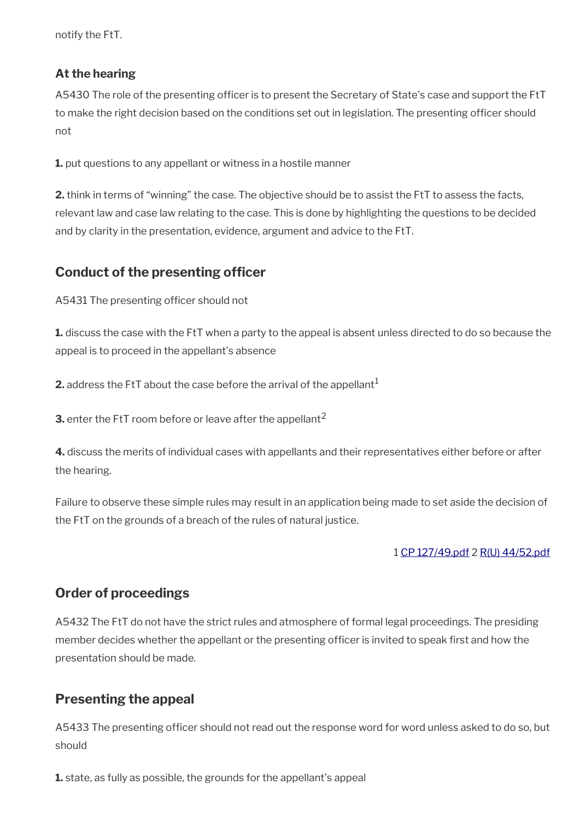notify the FtT.

## **At the hearing**

A5430 The role of the presenting officer is to present the Secretary of State's case and support the FtT to make the right decision based on the conditions set out in legislation. The presenting officer should not

**1.** put questions to any appellant or witness in a hostile manner

**2.** think in terms of "winning" the case. The objective should be to assist the FtT to assess the facts, relevant law and case law relating to the case. This is done by highlighting the questions to be decided and by clarity in the presentation, evidence, argument and advice to the FtT.

# <span id="page-53-2"></span>**Conduct of the presenting officer**

A5431 The presenting officer should not

**1.** discuss the case with the FtT when a party to the appeal is absent unless directed to do so because the appeal is to proceed in the appellant's absence

**2.** address the FtT about the case before the arrival of the appellant<sup>1</sup>

**3.** enter the FtT room before or leave after the appellant<sup>2</sup>

**4.** discuss the merits of individual cases with appellants and their representatives either before or after the hearing.

Failure to observe these simple rules may result in an application being made to set aside the decision of the FtT on the grounds of a breach of the rules of natural justice.

### 1 [CP 127/49.pdf](../file/870736/download/CP%2520127%252F49.pdf) 2 [R\(U\) 44/52.pdf](../file/869138/download/R%2528U%2529%252044%252F52.pdf)

# <span id="page-53-1"></span>**Order of proceedings**

A5432 The FtT do not have the strict rules and atmosphere of formal legal proceedings. The presiding member decides whether the appellant or the presenting officer is invited to speak first and how the presentation should be made.

# <span id="page-53-0"></span>**Presenting the appeal**

A5433 The presenting officer should not read out the response word for word unless asked to do so, but should

**1.** state, as fully as possible, the grounds for the appellant's appeal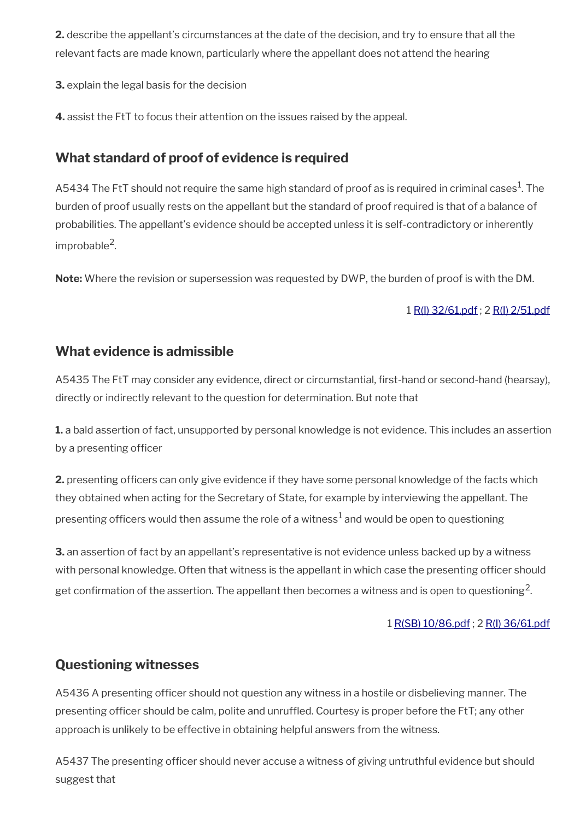**2.** describe the appellant's circumstances at the date of the decision, and try to ensure that all the relevant facts are made known, particularly where the appellant does not attend the hearing

**3.** explain the legal basis for the decision

**4.** assist the FtT to focus their attention on the issues raised by the appeal.

# <span id="page-54-2"></span>**What standard of proof of evidence is required**

A5434 The FtT should not require the same high standard of proof as is required in criminal cases $^{\rm 1}$ . The burden of proof usually rests on the appellant but the standard of proof required is that of a balance of probabilities. The appellant's evidence should be accepted unless it is self-contradictory or inherently improbable<sup>2</sup>.

**Note:** Where the revision or supersession was requested by DWP, the burden of proof is with the DM.

### 1 [R\(I\) 32/61.pdf](../file/869141/download/R%2528I%2529%252032%252F61.pdf) ; 2 [R\(I\) 2/51.pdf](../file/869142/download/R%2528I%2529%25202%252F51.pdf)

## <span id="page-54-1"></span>**What evidence is admissible**

A5435 The FtT may consider any evidence, direct or circumstantial, first-hand or second-hand (hearsay), directly or indirectly relevant to the question for determination. But note that

**1.** a bald assertion of fact, unsupported by personal knowledge is not evidence. This includes an assertion by a presenting officer

**2.** presenting officers can only give evidence if they have some personal knowledge of the facts which they obtained when acting for the Secretary of State, for example by interviewing the appellant. The presenting officers would then assume the role of a witness $^1$  and would be open to questioning

**3.** an assertion of fact by an appellant's representative is not evidence unless backed up by a witness with personal knowledge. Often that witness is the appellant in which case the presenting officer should get confirmation of the assertion. The appellant then becomes a witness and is open to questioning<sup>2</sup>.

1 [R\(SB\) 10/86.pdf](../file/869145/download/R%2528SB%2529%252010%252F86.pdf) ; 2 [R\(I\) 36/61.pdf](../file/869146/download/R%2528I%2529%252036%252F61.pdf)

# <span id="page-54-0"></span>**Questioning witnesses**

A5436 A presenting officer should not question any witness in a hostile or disbelieving manner. The presenting officer should be calm, polite and unruffled. Courtesy is proper before the FtT; any other approach is unlikely to be effective in obtaining helpful answers from the witness.

A5437 The presenting officer should never accuse a witness of giving untruthful evidence but should suggest that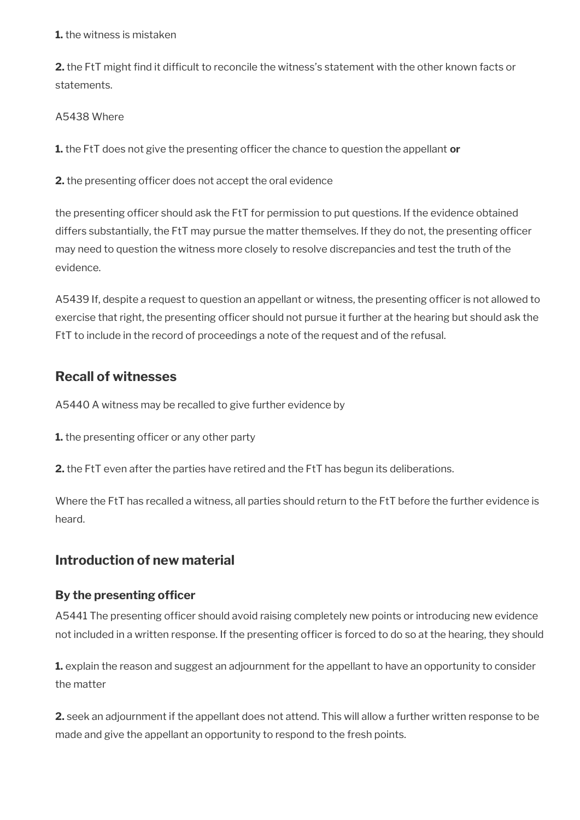#### **1.** the witness is mistaken

**2.** the FtT might find it difficult to reconcile the witness's statement with the other known facts or statements.

### A5438 Where

**1.** the FtT does not give the presenting officer the chance to question the appellant or

**2.** the presenting officer does not accept the oral evidence

the presenting officer should ask the FtT for permission to put questions. If the evidence obtained differs substantially, the FtT may pursue the matter themselves. If they do not, the presenting officer may need to question the witness more closely to resolve discrepancies and test the truth of the evidence.

A5439 If, despite a request to question an appellant or witness, the presenting officer is not allowed to exercise that right, the presenting officer should not pursue it further at the hearing but should ask the FtT to include in the record of proceedings a note of the request and of the refusal.

# <span id="page-55-1"></span>**Recall of witnesses**

A5440 A witness may be recalled to give further evidence by

- **1.** the presenting officer or any other party
- **2.** the FtT even after the parties have retired and the FtT has begun its deliberations.

Where the FtT has recalled a witness, all parties should return to the FtT before the further evidence is heard.

# <span id="page-55-0"></span>**Introduction of new material**

## **By the presenting officer**

A5441 The presenting officer should avoid raising completely new points or introducing new evidence not included in a written response. If the presenting officer is forced to do so at the hearing, they should

**1.** explain the reason and suggest an adjournment for the appellant to have an opportunity to consider the matter

**2.** seek an adjournment if the appellant does not attend. This will allow a further written response to be made and give the appellant an opportunity to respond to the fresh points.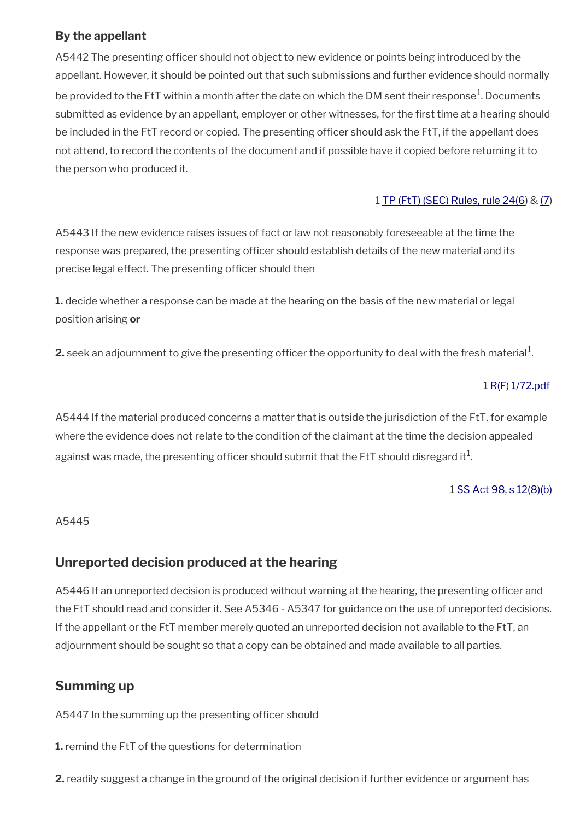## **By the appellant**

A5442 The presenting officer should not object to new evidence or points being introduced by the appellant. However, it should be pointed out that such submissions and further evidence should normally be provided to the FtT within a month after the date on which the DM sent their response $^{\rm 1}$ . Documents submitted as evidence by an appellant, employer or other witnesses, for the frst time at a hearing should be included in the FtT record or copied. The presenting officer should ask the FtT, if the appellant does not attend, to record the contents of the document and if possible have it copied before returning it to the person who produced it.

### 1 [TP \(FtT\) \(SEC\) Rules, rule 24\(6](http://www.legislation.gov.uk/uksi/2008/2685/article/24)) & [\(7](http://www.legislation.gov.uk/uksi/2008/2685/article/7))

A5443 If the new evidence raises issues of fact or law not reasonably foreseeable at the time the response was prepared, the presenting officer should establish details of the new material and its precise legal effect. The presenting officer should then

**1.** decide whether a response can be made at the hearing on the basis of the new material or legal position arising **or**

 $\bm{2}$ . seek an adjournment to give the presenting officer the opportunity to deal with the fresh material $^1$ .

### 1 [R\(F\) 1/72.pdf](../file/869148/download/R%2528F%2529%25201%252F72.pdf)

A5444 If the material produced concerns a matter that is outside the jurisdiction of the FtT, for example where the evidence does not relate to the condition of the claimant at the time the decision appealed against was made, the presenting officer should submit that the FtT should disregard it $^1\!$ 

### 1 [SS Act 98, s 12\(8\)\(b\)](http://www.legislation.gov.uk/ukpga/1998/14/contents)

#### A5445

## <span id="page-56-1"></span>**Unreported decision produced at the hearing**

A5446 If an unreported decision is produced without warning at the hearing, the presenting officer and the FtT should read and consider it. See A5346 - A5347 for guidance on the use of unreported decisions. If the appellant or the FtT member merely quoted an unreported decision not available to the FtT, an adjournment should be sought so that a copy can be obtained and made available to all parties.

# <span id="page-56-0"></span>**Summing up**

A5447 In the summing up the presenting officer should

**1.** remind the FtT of the questions for determination

**2.** readily suggest a change in the ground of the original decision if further evidence or argument has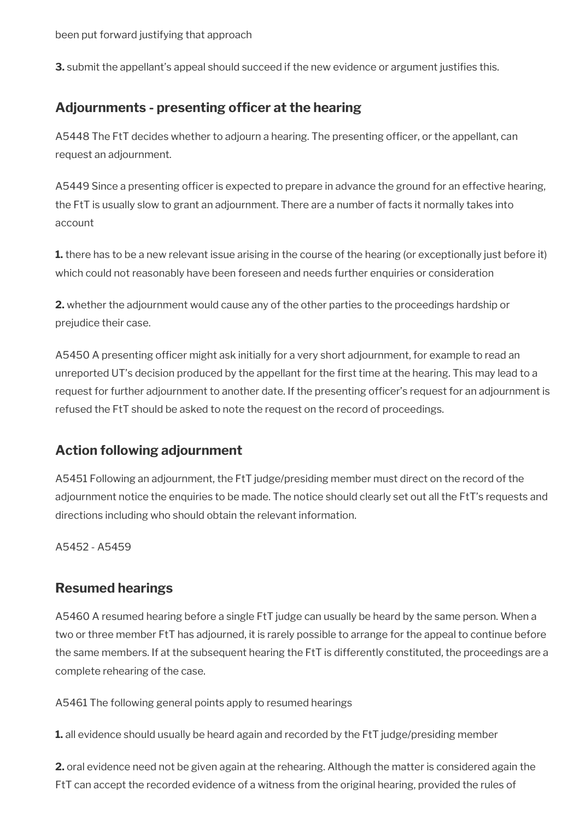**3.** submit the appellant's appeal should succeed if the new evidence or argument justifies this.

# <span id="page-57-2"></span>Adjournments - presenting officer at the hearing

A5448 The FtT decides whether to adjourn a hearing. The presenting officer, or the appellant, can request an adjournment.

A5449 Since a presenting officer is expected to prepare in advance the ground for an effective hearing, the FtT is usually slow to grant an adjournment. There are a number of facts it normally takes into account

**1.** there has to be a new relevant issue arising in the course of the hearing (or exceptionally just before it) which could not reasonably have been foreseen and needs further enquiries or consideration

**2.** whether the adjournment would cause any of the other parties to the proceedings hardship or prejudice their case.

A5450 A presenting officer might ask initially for a very short adjournment, for example to read an unreported UT's decision produced by the appellant for the first time at the hearing. This may lead to a request for further adjournment to another date. If the presenting officer's request for an adjournment is refused the FtT should be asked to note the request on the record of proceedings.

# <span id="page-57-1"></span>**Action following adjournment**

A5451 Following an adjournment, the FtT judge/presiding member must direct on the record of the adjournment notice the enquiries to be made. The notice should clearly set out all the FtT's requests and directions including who should obtain the relevant information.

A5452 - A5459

## <span id="page-57-0"></span>**Resumed hearings**

A5460 A resumed hearing before a single FtT judge can usually be heard by the same person. When a two or three member FtT has adjourned, it is rarely possible to arrange for the appeal to continue before the same members. If at the subsequent hearing the FtT is differently constituted, the proceedings are a complete rehearing of the case.

A5461 The following general points apply to resumed hearings

**1.** all evidence should usually be heard again and recorded by the FtT judge/presiding member

**2.** oral evidence need not be given again at the rehearing. Although the matter is considered again the FtT can accept the recorded evidence of a witness from the original hearing, provided the rules of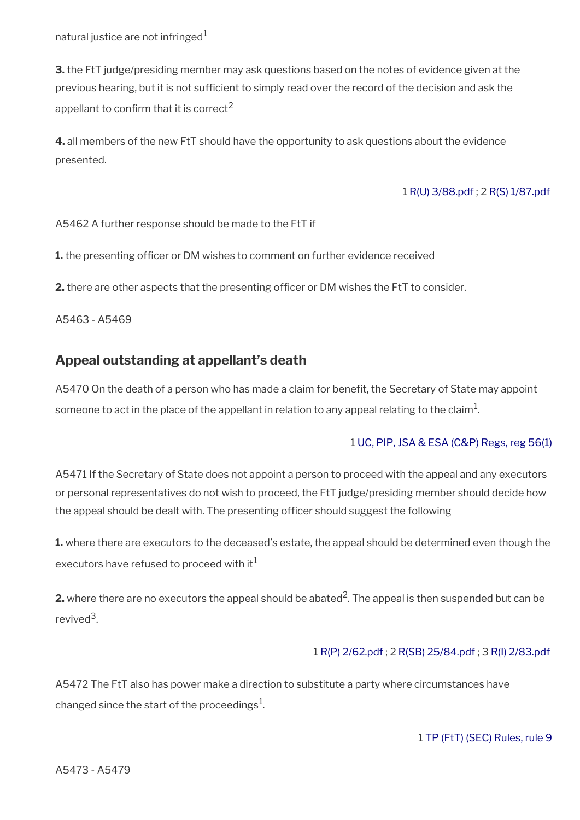natural justice are not infringed $1$ 

**3.** the FtT judge/presiding member may ask questions based on the notes of evidence given at the previous hearing, but it is not sufficient to simply read over the record of the decision and ask the appellant to confirm that it is correct<sup>2</sup>

**4.** all members of the new FtT should have the opportunity to ask questions about the evidence presented.

#### 1 [R\(U\) 3/88.pdf](../file/869151/download/R%2528U%2529%25203%252F88.pdf) ; 2 [R\(S\) 1/87.pdf](../file/869155/download/R%2528S%2529%25201%252F87.pdf)

A5462 A further response should be made to the FtT if

**1.** the presenting officer or DM wishes to comment on further evidence received

**2.** there are other aspects that the presenting officer or DM wishes the FtT to consider.

A5463 - A5469

## <span id="page-58-0"></span>**Appeal outstanding at appellant's death**

A5470 On the death of a person who has made a claim for benefit, the Secretary of State may appoint someone to act in the place of the appellant in relation to any appeal relating to the claim $^1\!$ 

#### 1 [UC, PIP, JSA & ESA \(C&P\) Regs, reg 56\(1\)](http://www.legislation.gov.uk/uksi/2013/380/regulation/56)

A5471 If the Secretary of State does not appoint a person to proceed with the appeal and any executors or personal representatives do not wish to proceed, the FtT judge/presiding member should decide how the appeal should be dealt with. The presenting officer should suggest the following

**1.** where there are executors to the deceased's estate, the appeal should be determined even though the executors have refused to proceed with it $1$ 

**2.** where there are no executors the appeal should be abated<sup>2</sup>. The appeal is then suspended but can be revived<sup>3</sup>.

### 1 [R\(P\) 2/62.pdf](../file/869157/download/R%2528P%2529%25202%252F62.pdf) ; 2 [R\(SB\) 25/84.pdf](../file/869159/download/R%2528SB%2529%252025%252F84.pdf) ; 3 [R\(I\) 2/83.pdf](../file/870741/download/R%2528I%2529%25202%252F83.pdf)

A5472 The FtT also has power make a direction to substitute a party where circumstances have changed since the start of the proceedings $^1$ .

#### 1 [TP \(FtT\) \(SEC\) Rules, rule 9](http://www.legislation.gov.uk/uksi/2008/2685/article/9)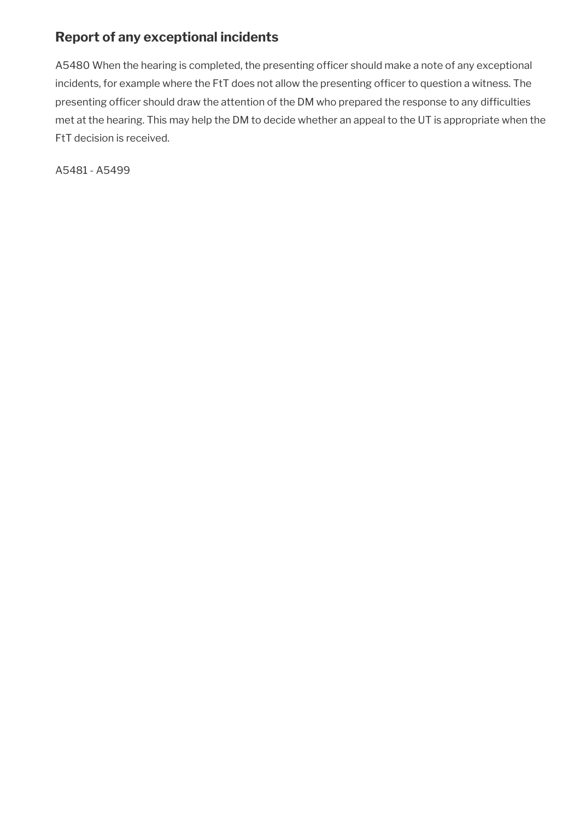# <span id="page-59-0"></span>**Report of any exceptional incidents**

A5480 When the hearing is completed, the presenting officer should make a note of any exceptional incidents, for example where the FtT does not allow the presenting officer to question a witness. The presenting officer should draw the attention of the DM who prepared the response to any difficulties met at the hearing. This may help the DM to decide whether an appeal to the UT is appropriate when the FtT decision is received.

A5481 - A5499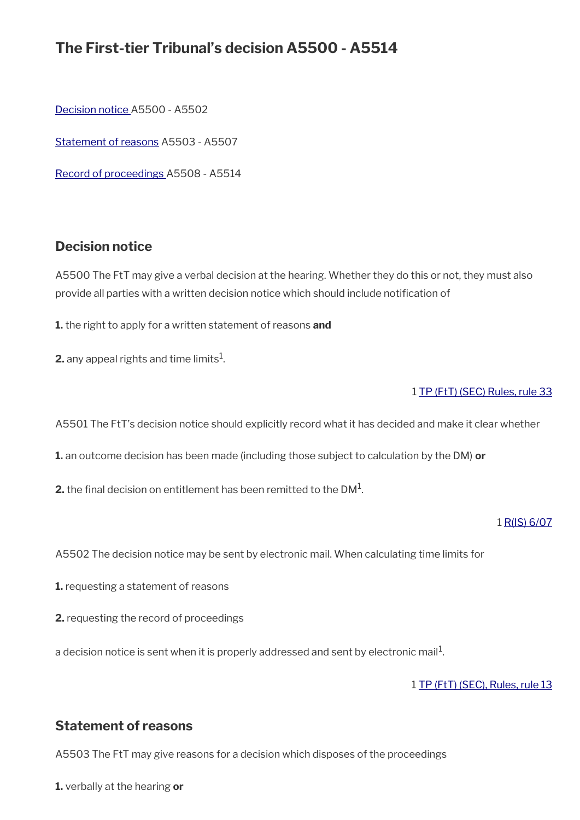# **The First-tier Tribunal's decision A5500 - A5514**

[Decision notice](#page-60-1) A5500 - A5502

[Statement of reasons](#page-60-0) A5503 - A5507

[Record of proceedings A](#page-61-0)5508 - A5514

## <span id="page-60-1"></span>**Decision notice**

A5500 The FtT may give a verbal decision at the hearing. Whether they do this or not, they must also provide all parties with a written decision notice which should include notifcation of

**1.** the right to apply for a written statement of reasons **and**

**2.** any appeal rights and time limits $^1$ .

#### 1 [TP \(FtT\) \(SEC\) Rules, rule 33](http://www.legislation.gov.uk/uksi/2008/2685/article/33)

A5501 The FtT's decision notice should explicitly record what it has decided and make it clear whether

**1.** an outcome decision has been made (including those subject to calculation by the DM) **or**

 $\mathbf{2}.$  the final decision on entitlement has been remitted to the DM $^{1}.$ 

#### 1 [R\(IS\) 6/07](http://intranet.dwp.gov.uk/manual/decision-benefit/ris-6-07)

A5502 The decision notice may be sent by electronic mail. When calculating time limits for

- **1.** requesting a statement of reasons
- **2.** requesting the record of proceedings

a decision notice is sent when it is properly addressed and sent by electronic mail $^1\!$ 

1 [TP \(FtT\) \(SEC\), Rules, rule 13](http://www.legislation.gov.uk/uksi/2008/2685/article/13)

## <span id="page-60-0"></span>**Statement of reasons**

A5503 The FtT may give reasons for a decision which disposes of the proceedings

**1.** verbally at the hearing **or**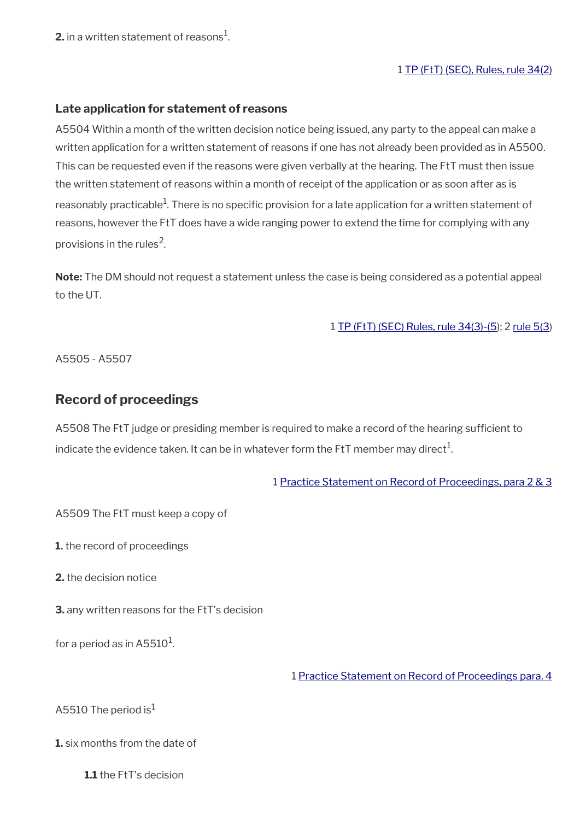**2.** in a written statement of reasons $^1$ .

#### 1 [TP \(FtT\) \(SEC\), Rules, rule 34\(2\)](http://www.legislation.gov.uk/uksi/2008/2685/article/34)

#### **Late application for statement of reasons**

A5504 Within a month of the written decision notice being issued, any party to the appeal can make a written application for a written statement of reasons if one has not already been provided as in A5500. This can be requested even if the reasons were given verbally at the hearing. The FtT must then issue the written statement of reasons within a month of receipt of the application or as soon after as is reasonably practicable<sup>1</sup>. There is no specific provision for a late application for a written statement of reasons, however the FtT does have a wide ranging power to extend the time for complying with any provisions in the rules<sup>2</sup>.

**Note:** The DM should not request a statement unless the case is being considered as a potential appeal to the UT.

1 [TP \(FtT\) \(SEC\) Rules, rule 34\(3\)-\(5](http://www.legislation.gov.uk/uksi/2008/2685/article/34)); 2 [rule 5\(3](http://www.legislation.gov.uk/uksi/2008/2685/article/34))

A5505 - A5507

### <span id="page-61-0"></span>**Record of proceedings**

A5508 The FtT judge or presiding member is required to make a record of the hearing sufficient to indicate the evidence taken. It can be in whatever form the FtT member may direct $^1\!$ 

1 [Practice Statement on Record of Proceedings, para 2 & 3](http://www.judiciary.uk/wp-content/uploads/JCO/Documents/Practice+Directions/Tribunals/RecordofproceedingsinSocialSecurityandChildSupportcasesintheSocialEntitlementChamber.pdf)

A5509 The FtT must keep a copy of

**1.** the record of proceedings

**2.** the decision notice

**3.** any written reasons for the FtT's decision

for a period as in A5510 $^{\rm 1}$ .

1 [Practice Statement on Record of Proceedings para. 4](http://www.judiciary.uk/wp-content/uploads/JCO/Documents/Practice+Directions/Tribunals/RecordofproceedingsinSocialSecurityandChildSupportcasesintheSocialEntitlementChamber.pdf)

A5510 The period is $<sup>1</sup>$ </sup>

**1.** six months from the date of

**1.1** the FtT's decision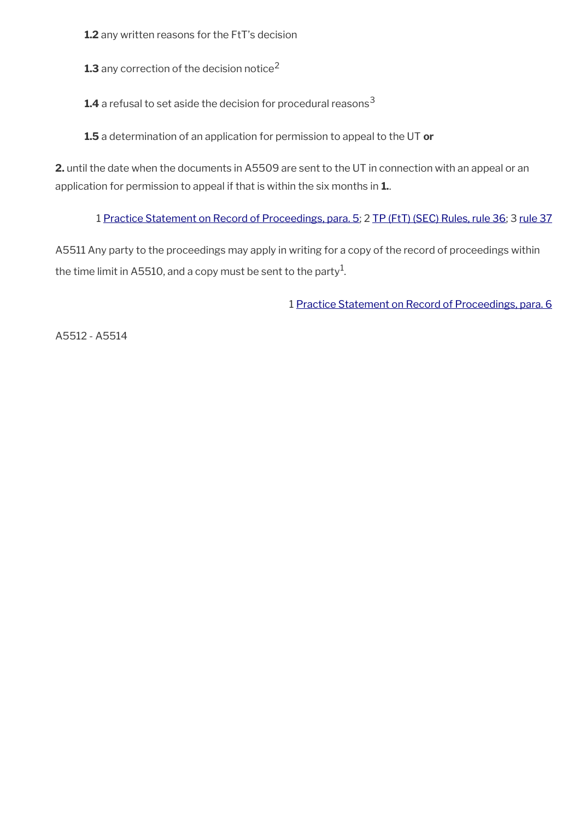**1.2** any written reasons for the FtT's decision

**1.3** any correction of the decision notice<sup>2</sup>

**1.4** a refusal to set aside the decision for procedural reasons<sup>3</sup>

**1.5** a determination of an application for permission to appeal to the UT **or**

**2.** until the date when the documents in A5509 are sent to the UT in connection with an appeal or an application for permission to appeal if that is within the six months in **1.**.

1 [Practice Statement on Record of Proceedings, para. 5](http://www.judiciary.uk/wp-content/uploads/JCO/Documents/Practice+Directions/Tribunals/RecordofproceedingsinSocialSecurityandChildSupportcasesintheSocialEntitlementChamber.pdf); 2 [TP \(FtT\) \(SEC\) Rules, rule 36](http://www.legislation.gov.uk/uksi/2008/2685/article/36); 3 [rule 37](http://www.legislation.gov.uk/uksi/2008/2685/article/37)

A5511 Any party to the proceedings may apply in writing for a copy of the record of proceedings within the time limit in A5510, and a copy must be sent to the party $^{\rm 1}$ .

1 [Practice Statement on Record of Proceedings, para. 6](http://www.judiciary.uk/wp-content/uploads/JCO/Documents/Practice+Directions/Tribunals/RecordofproceedingsinSocialSecurityandChildSupportcasesintheSocialEntitlementChamber.pdf)

A5512 - A5514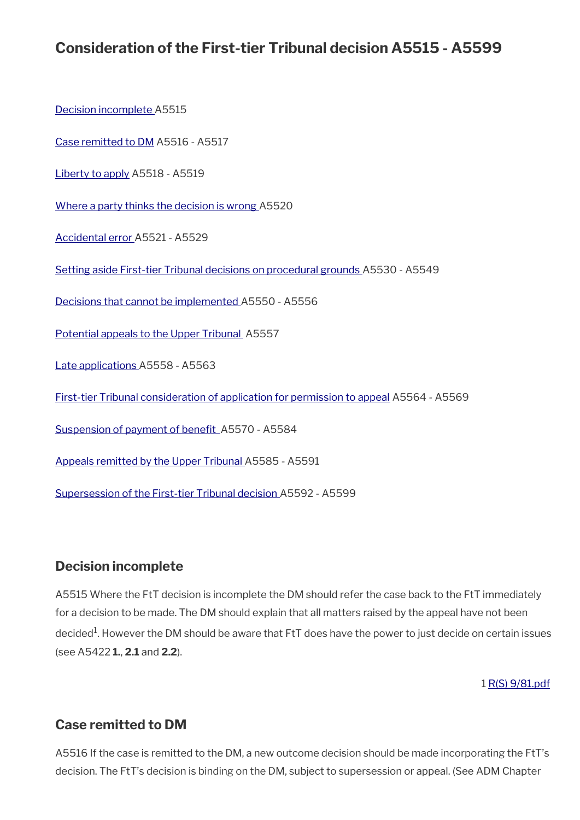# **Consideration of the First-tier Tribunal decision A5515 - A5599**

[Decision incomplete A](#page-63-1)5515

[Case remitted to DM](#page-63-0) A5516 - A5517

[Liberty to apply](#page-64-2) A5518 - A5519

[Where a party thinks the decision is wrong](#page-64-1) A5520

[Accidental error](#page-64-0) A5521 - A5529

[Setting aside First-tier Tribunal decisions on procedural grounds](#page-65-1) A5530 - A5549

[Decisions that cannot be implemented](#page-65-0) A5550 - A5556

[Potential appeals to the Upper Tribunal](#page-66-1) A5557

[Late applications A](#page-66-0)5558 - A5563

[First-tier Tribunal consideration of application for permission to appeal](#page-67-0) A5564 - A5569

Suspension of payment of benefit A5570 - A5584

[Appeals remitted by the Upper Tribunal](#page-69-1) A5585 - A5591

[Supersession of the First-tier Tribunal decision](#page-69-0) A5592 - A5599

## <span id="page-63-1"></span>**Decision incomplete**

A5515 Where the FtT decision is incomplete the DM should refer the case back to the FtT immediately for a decision to be made. The DM should explain that all matters raised by the appeal have not been decided<sup>1</sup>. However the DM should be aware that FtT does have the power to just decide on certain issues (see A5422 **1.**, **2.1** and **2.2**).

1 [R\(S\) 9/81.pdf](../file/869215/download/R%2528S%2529%25209%252F81.pdf)

## <span id="page-63-0"></span>**Case remitted to DM**

A5516 If the case is remitted to the DM, a new outcome decision should be made incorporating the FtT's decision. The FtT's decision is binding on the DM, subject to supersession or appeal. (See ADM Chapter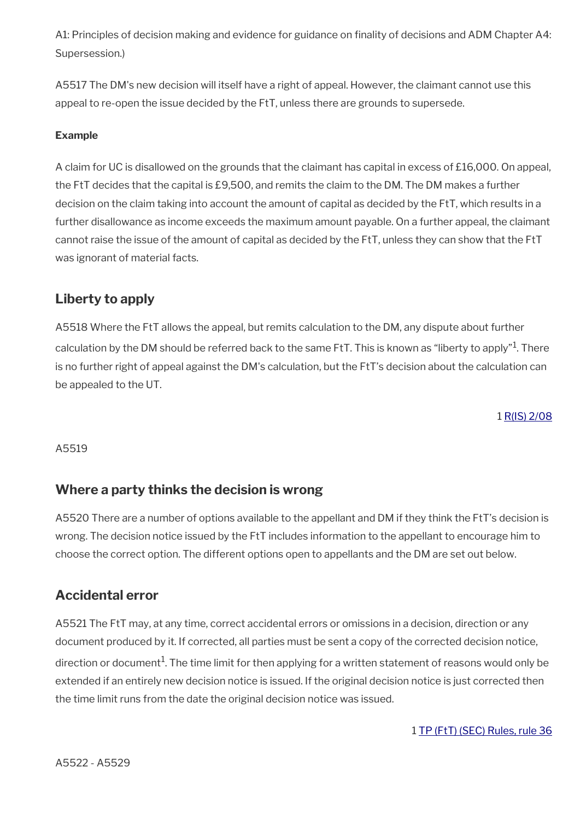A1: Principles of decision making and evidence for guidance on finality of decisions and ADM Chapter A4: Supersession.)

A5517 The DM's new decision will itself have a right of appeal. However, the claimant cannot use this appeal to re-open the issue decided by the FtT, unless there are grounds to supersede.

#### **Example**

A claim for UC is disallowed on the grounds that the claimant has capital in excess of £16,000. On appeal, the FtT decides that the capital is £9,500, and remits the claim to the DM. The DM makes a further decision on the claim taking into account the amount of capital as decided by the FtT, which results in a further disallowance as income exceeds the maximum amount payable. On a further appeal, the claimant cannot raise the issue of the amount of capital as decided by the FtT, unless they can show that the FtT was ignorant of material facts.

## <span id="page-64-2"></span>**Liberty to apply**

A5518 Where the FtT allows the appeal, but remits calculation to the DM, any dispute about further calculation by the DM should be referred back to the same FtT. This is known as "liberty to apply" $^1$ . There is no further right of appeal against the DM's calculation, but the FtT's decision about the calculation can be appealed to the UT.

1 [R\(IS\) 2/08](http://intranet.dwp.gov.uk/manual/decision-benefit/ris-2-08)

A5519

## <span id="page-64-1"></span>**Where a party thinks the decision is wrong**

A5520 There are a number of options available to the appellant and DM if they think the FtT's decision is wrong. The decision notice issued by the FtT includes information to the appellant to encourage him to choose the correct option. The different options open to appellants and the DM are set out below.

## <span id="page-64-0"></span>**Accidental error**

A5521 The FtT may, at any time, correct accidental errors or omissions in a decision, direction or any document produced by it. If corrected, all parties must be sent a copy of the corrected decision notice, direction or document $^1$ . The time limit for then applying for a written statement of reasons would only be extended if an entirely new decision notice is issued. If the original decision notice is just corrected then the time limit runs from the date the original decision notice was issued.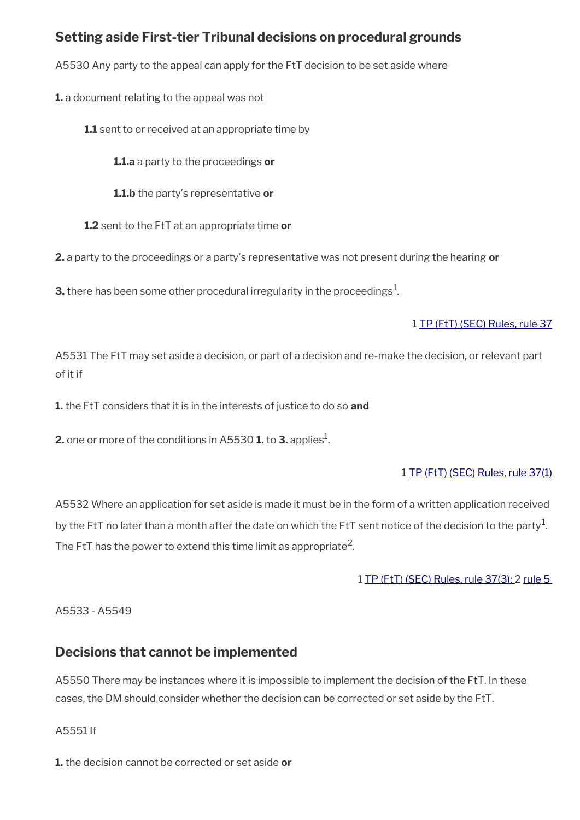# <span id="page-65-1"></span>**Setting aside First-tier Tribunal decisions on procedural grounds**

A5530 Any party to the appeal can apply for the FtT decision to be set aside where

**1.** a document relating to the appeal was not

**1.1** sent to or received at an appropriate time by

**1.1.a** a party to the proceedings **or**

**1.1.b** the party's representative **or**

**1.2** sent to the FtT at an appropriate time **or**

**2.** a party to the proceedings or a party's representative was not present during the hearing **or**

**3.** there has been some other procedural irregularity in the proceedings $^1$ .

### 1 [TP \(FtT\) \(SEC\) Rules, rule 37](http://www.legislation.gov.uk/uksi/2008/2685/article/37)

A5531 The FtT may set aside a decision, or part of a decision and re-make the decision, or relevant part of it if

**1.** the FtT considers that it is in the interests of justice to do so **and**

**2.** one or more of the conditions in A5530 **1.** to **3.** applies<sup>1</sup>.

## 1 [TP \(FtT\) \(SEC\) Rules, rule 37\(1\)](http://www.legislation.gov.uk/uksi/2008/2685/article/37)

A5532 Where an application for set aside is made it must be in the form of a written application received by the FtT no later than a month after the date on which the FtT sent notice of the decision to the party $^1\!$ . The FtT has the power to extend this time limit as appropriate<sup>2</sup>.

1 [TP \(FtT\) \(SEC\) Rules, rule 37\(3\);](http://www.legislation.gov.uk/uksi/2008/2685/article/37) 2 [rule 5](http://www.legislation.gov.uk/uksi/2008/2685/article/5) 

A5533 - A5549

## <span id="page-65-0"></span>**Decisions that cannot be implemented**

A5550 There may be instances where it is impossible to implement the decision of the FtT. In these cases, the DM should consider whether the decision can be corrected or set aside by the FtT.

A5551 If

**1.** the decision cannot be corrected or set aside **or**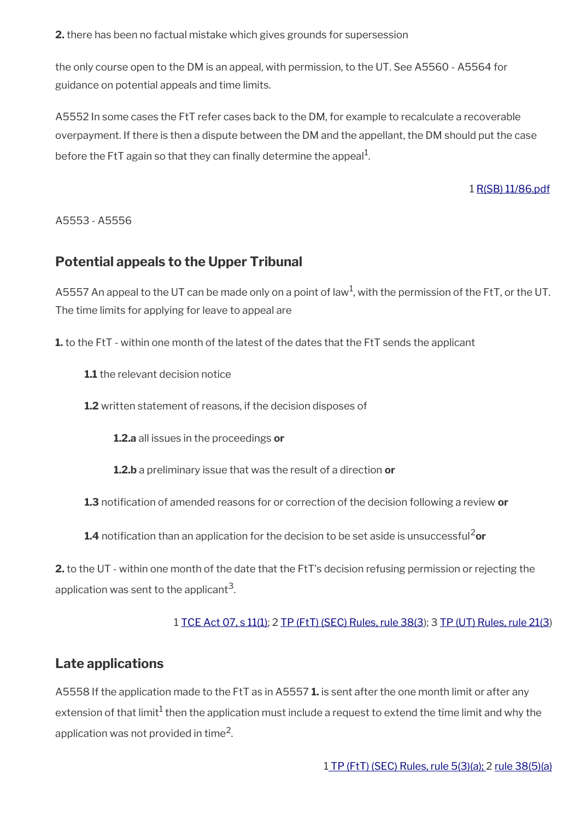**2.** there has been no factual mistake which gives grounds for supersession

the only course open to the DM is an appeal, with permission, to the UT. See A5560 - A5564 for guidance on potential appeals and time limits.

A5552 In some cases the FtT refer cases back to the DM, for example to recalculate a recoverable overpayment. If there is then a dispute between the DM and the appellant, the DM should put the case before the FtT again so that they can finally determine the appeal $^{\rm 1}$ .

1 [R\(SB\) 11/86.pdf](../file/869216/download/R%2528SB%2529%252011%252F86.pdf)

A5553 - A5556

## <span id="page-66-1"></span>**Potential appeals to the Upper Tribunal**

A5557 An appeal to the UT can be made only on a point of law<sup>1</sup>, with the permission of the FtT, or the UT. The time limits for applying for leave to appeal are

**1.** to the FtT - within one month of the latest of the dates that the FtT sends the applicant

**1.1** the relevant decision notice

**1.2** written statement of reasons, if the decision disposes of

**1.2.a** all issues in the proceedings **or**

**1.2.b** a preliminary issue that was the result of a direction **or**

**1.3** notifcation of amended reasons for or correction of the decision following a review **or**

1.4 notification than an application for the decision to be set aside is unsuccessful<sup>2</sup>or

**2.** to the UT - within one month of the date that the FtT's decision refusing permission or rejecting the application was sent to the applicant $^{\rm 3}$ .

1 [TCE Act 07, s 11\(1\);](http://www.legislation.gov.uk/ukpga/2007/15/section/11) 2 [TP \(FtT\) \(SEC\) Rules, rule 38\(3](http://www.legislation.gov.uk/uksi/2008/2685/article/38)); 3 [TP \(UT\) Rules, rule 21\(3](http://www.legislation.gov.uk/uksi/2008/2698/article/23))

## <span id="page-66-0"></span>**Late applications**

A5558 If the application made to the FtT as in A5557 **1.** is sent after the one month limit or after any extension of that limit $^1$  then the application must include a request to extend the time limit and why the application was not provided in time $^2\!$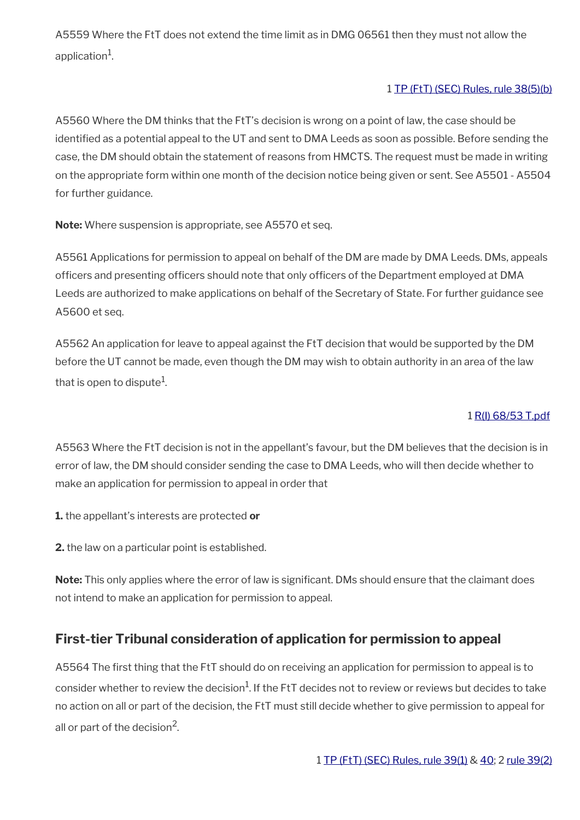A5559 Where the FtT does not extend the time limit as in DMG 06561 then they must not allow the application $^1\!\!$ .

## 1 [TP \(FtT\) \(SEC\) Rules, rule 38\(5\)\(b\)](http://www.legislation.gov.uk/uksi/2008/2685/article/38)

A5560 Where the DM thinks that the FtT's decision is wrong on a point of law, the case should be identifed as a potential appeal to the UT and sent to DMA Leeds as soon as possible. Before sending the case, the DM should obtain the statement of reasons from HMCTS. The request must be made in writing on the appropriate form within one month of the decision notice being given or sent. See A5501 - A5504 for further guidance.

**Note:** Where suspension is appropriate, see A5570 et seq.

A5561 Applications for permission to appeal on behalf of the DM are made by DMA Leeds. DMs, appeals officers and presenting officers should note that only officers of the Department employed at DMA Leeds are authorized to make applications on behalf of the Secretary of State. For further guidance see A5600 et seq.

A5562 An application for leave to appeal against the FtT decision that would be supported by the DM before the UT cannot be made, even though the DM may wish to obtain authority in an area of the law that is open to dispute $^{\rm 1}$ .

### 1 [R\(I\) 68/53 T.pdf](../file/869221/download/R%2528I%2529%252068%252F53%2520T.pdf)

A5563 Where the FtT decision is not in the appellant's favour, but the DM believes that the decision is in error of law, the DM should consider sending the case to DMA Leeds, who will then decide whether to make an application for permission to appeal in order that

**1.** the appellant's interests are protected **or**

**2.** the law on a particular point is established.

Note: This only applies where the error of law is significant. DMs should ensure that the claimant does not intend to make an application for permission to appeal.

# <span id="page-67-0"></span>**First-tier Tribunal consideration of application for permission to appeal**

A5564 The frst thing that the FtT should do on receiving an application for permission to appeal is to consider whether to review the decision $^1$ . If the FtT decides not to review or reviews but decides to take no action on all or part of the decision, the FtT must still decide whether to give permission to appeal for all or part of the decision<sup>2</sup>.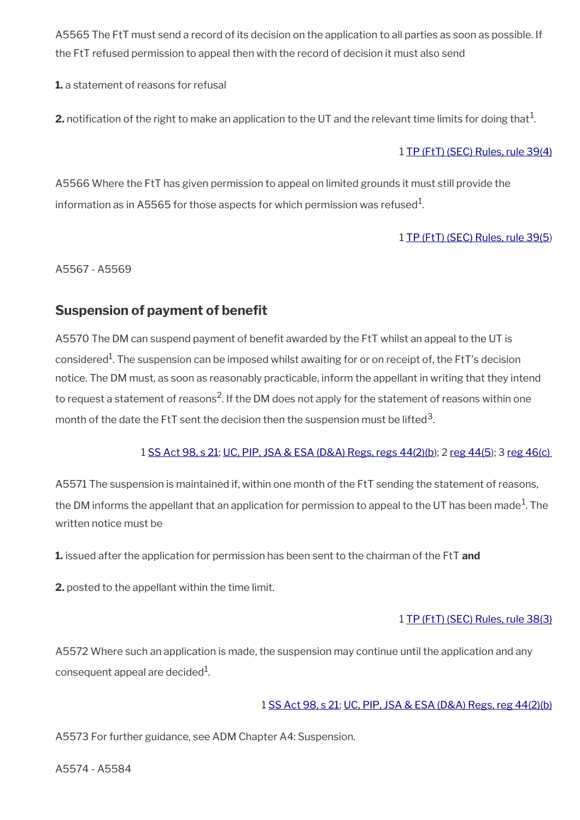A5565 The FtT must send a record of its decision on the application to all parties as soon as possible. If the FtT refused permission to appeal then with the record of decision it must also send

**1.** a statement of reasons for refusal

**2.** notification of the right to make an application to the UT and the relevant time limits for doing that  $^1$ .

### 1 [TP \(FtT\) \(SEC\) Rules, rule 39\(4\)](http://www.legislation.gov.uk/uksi/2008/2685/article/39)

A5566 Where the FtT has given permission to appeal on limited grounds it must still provide the information as in A5565 for those aspects for which permission was refused $^{\rm 1}$ .

## 1 [TP \(FtT\) \(SEC\) Rules, rule 39\(5](http://www.legislation.gov.uk/uksi/2008/2685/article/39))

A5567 - A5569

# <span id="page-68-0"></span>**Suspension of payment of benefit**

A5570 The DM can suspend payment of beneft awarded by the FtT whilst an appeal to the UT is considered $^1$ . The suspension can be imposed whilst awaiting for or on receipt of, the FtT's decision notice. The DM must, as soon as reasonably practicable, inform the appellant in writing that they intend to request a statement of reasons<sup>2</sup>. If the DM does not apply for the statement of reasons within one month of the date the FtT sent the decision then the suspension must be lifted $^{\rm 3}$ .

### 1 [SS Act 98, s 21](http://www.legislation.gov.uk/ukpga/1998/14/contents); [UC, PIP, JSA & ESA \(D&A\) Regs, regs 44\(2\)\(b\)](http://www.legislation.gov.uk/uksi/2013/381/regulation/44); 2 [reg 44\(5](http://www.legislation.gov.uk/uksi/2013/381/regulation/44)); 3 [reg 46\(c\)](http://www.legislation.gov.uk/uksi/2013/381/regulation/46)

A5571 The suspension is maintained if, within one month of the FtT sending the statement of reasons, the DM informs the appellant that an application for permission to appeal to the UT has been made $^{\rm 1}$ . The written notice must be

**1.** issued after the application for permission has been sent to the chairman of the FtT **and**

**2.** posted to the appellant within the time limit.

## 1 [TP \(FtT\) \(SEC\) Rules, rule 38\(3\)](http://www.legislation.gov.uk/uksi/2008/2685/article/38)

A5572 Where such an application is made, the suspension may continue until the application and any consequent appeal are decided $^{\rm 1}$ .

## 1 [SS Act 98, s 21](http://www.legislation.gov.uk/ukpga/1998/14/contents); [UC, PIP, JSA & ESA \(D&A\) Regs, reg 44\(2\)\(b\)](http://www.legislation.gov.uk/uksi/2013/381/regulation/44)

A5573 For further guidance, see ADM Chapter A4: Suspension.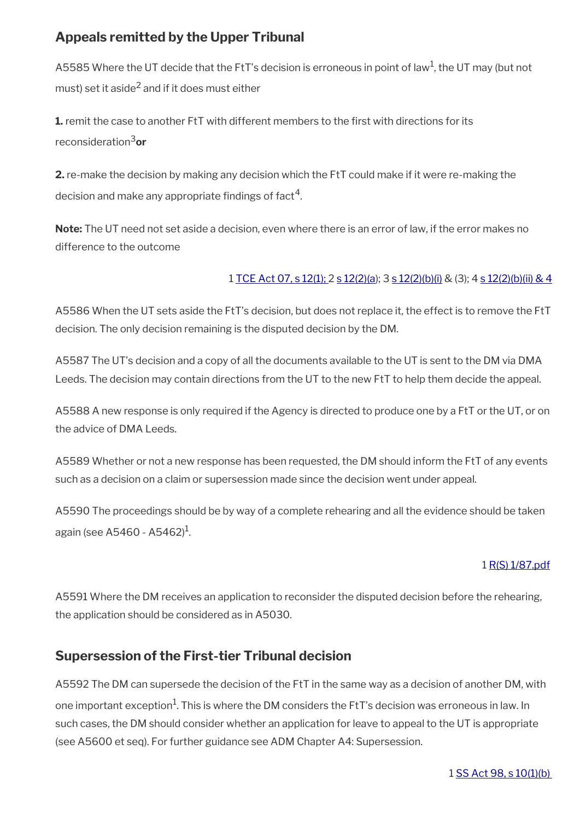# <span id="page-69-1"></span>**Appeals remitted by the Upper Tribunal**

A5585 Where the UT decide that the FtT's decision is erroneous in point of law<sup>1</sup>, the UT may (but not must) set it aside $^2$  and if it does must either

**1.** remit the case to another FtT with different members to the first with directions for its reconsideration3**or**

**2.** re-make the decision by making any decision which the FtT could make if it were re-making the decision and make any appropriate findings of fact $^{\rm 4}.$ 

**Note:** The UT need not set aside a decision, even where there is an error of law, if the error makes no difference to the outcome

## 1 [TCE Act 07, s 12\(1\);](http://www.legislation.gov.uk/ukpga/2007/15/section/12) 2 [s 12\(2\)\(a](http://www.legislation.gov.uk/ukpga/2007/15/section/12)); 3 [s 12\(2\)\(b\)\(i\)](http://www.legislation.gov.uk/ukpga/2007/15/section/12) & (3); 4 [s 12\(2\)\(b\)\(ii\) & 4](http://www.legislation.gov.uk/ukpga/2007/15/section/12)

A5586 When the UT sets aside the FtT's decision, but does not replace it, the effect is to remove the FtT decision. The only decision remaining is the disputed decision by the DM.

A5587 The UT's decision and a copy of all the documents available to the UT is sent to the DM via DMA Leeds. The decision may contain directions from the UT to the new FtT to help them decide the appeal.

A5588 A new response is only required if the Agency is directed to produce one by a FtT or the UT, or on the advice of DMA Leeds.

A5589 Whether or not a new response has been requested, the DM should inform the FtT of any events such as a decision on a claim or supersession made since the decision went under appeal.

A5590 The proceedings should be by way of a complete rehearing and all the evidence should be taken again (see A5460 - A5462) $^{\rm 1}$ .

### 1 [R\(S\) 1/87.pdf](../file/869224/download/R%2528S%2529%25201%252F87.pdf)

A5591 Where the DM receives an application to reconsider the disputed decision before the rehearing, the application should be considered as in A5030.

## <span id="page-69-0"></span>**Supersession of the First-tier Tribunal decision**

A5592 The DM can supersede the decision of the FtT in the same way as a decision of another DM, with one important exception $^1$ . This is where the DM considers the FtT's decision was erroneous in law. In such cases, the DM should consider whether an application for leave to appeal to the UT is appropriate (see A5600 et seq). For further guidance see ADM Chapter A4: Supersession.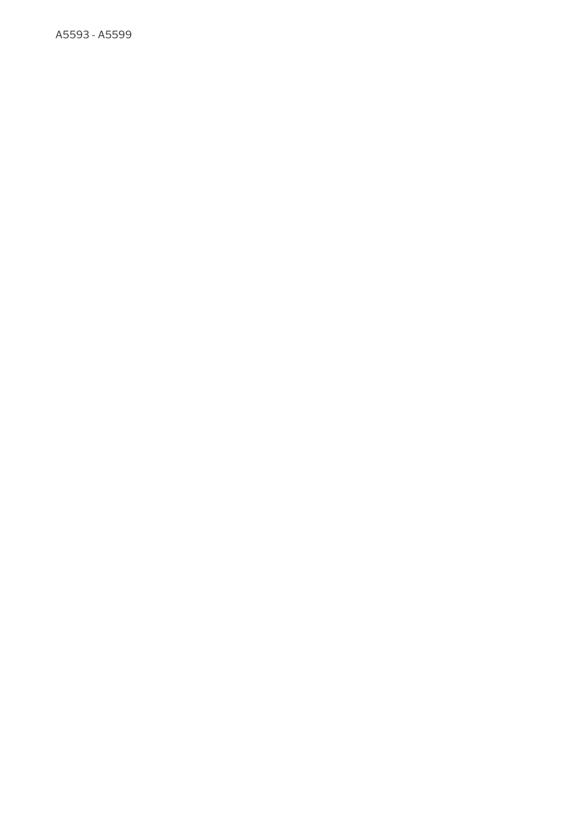A5593 - A5599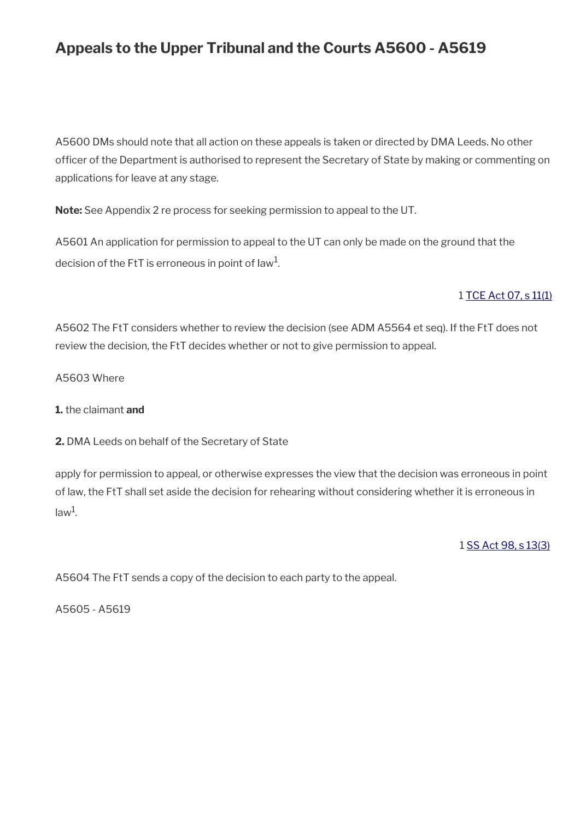# **Appeals to the Upper Tribunal and the Courts A5600 - A5619**

A5600 DMs should note that all action on these appeals is taken or directed by DMA Leeds. No other officer of the Department is authorised to represent the Secretary of State by making or commenting on applications for leave at any stage.

**Note:** See Appendix 2 re process for seeking permission to appeal to the UT.

A5601 An application for permission to appeal to the UT can only be made on the ground that the decision of the FtT is erroneous in point of law $^{\rm 1}$ .

### 1 [TCE Act 07, s 11\(1\)](http://www.legislation.gov.uk/ukpga/2007/15/section/11)

A5602 The FtT considers whether to review the decision (see ADM A5564 et seq). If the FtT does not review the decision, the FtT decides whether or not to give permission to appeal.

A5603 Where

#### **1.** the claimant **and**

**2.** DMA Leeds on behalf of the Secretary of State

apply for permission to appeal, or otherwise expresses the view that the decision was erroneous in point of law, the FtT shall set aside the decision for rehearing without considering whether it is erroneous in law<sup>1</sup>.

1 [SS Act 98, s 13\(3\)](http://www.legislation.gov.uk/ukpga/1998/14/contents)

A5604 The FtT sends a copy of the decision to each party to the appeal.

A5605 - A5619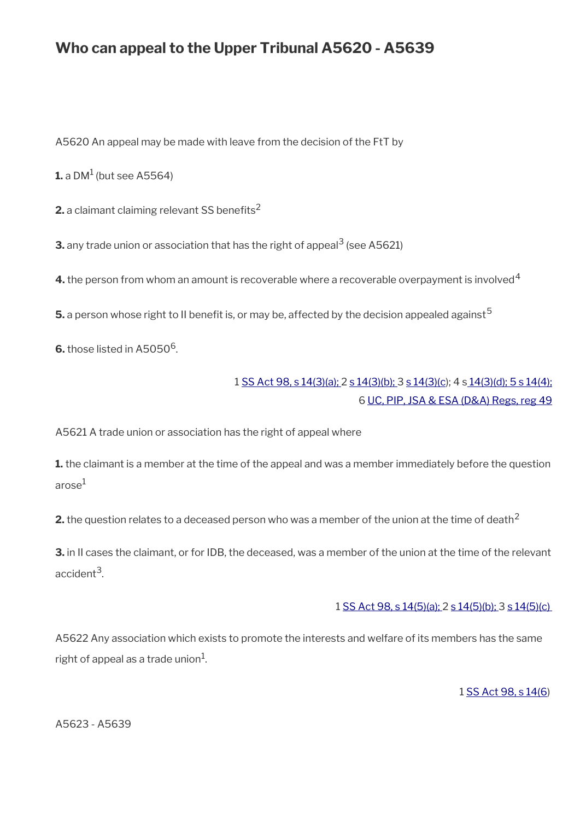# **Who can appeal to the Upper Tribunal A5620 - A5639**

A5620 An appeal may be made with leave from the decision of the FtT by

 ${\mathbf 1}$ . a DM $^1$  (but see A5564)

**2.** a claimant claiming relevant SS benefits<sup>2</sup>

**3.** any trade union or association that has the right of appeal $^3$  (see A5621)

**4.** the person from whom an amount is recoverable where a recoverable overpayment is involved<sup>4</sup>

**5.** a person whose right to II benefit is, or may be, affected by the decision appealed against<sup>5</sup>

 $6.$  those listed in A5050 $^6$ .

## 1 [SS Act 98, s 14\(3\)\(a\);](http://www.legislation.gov.uk/ukpga/1998/14/contents) 2 [s 14\(3\)\(b\); 3](http://www.legislation.gov.uk/ukpga/1998/14/contents) [s 14\(3\)\(c\)](http://www.legislation.gov.uk/ukpga/1998/14/contents); 4 s [14\(3\)\(d\); 5 s 14\(4\);](http://www.legislation.gov.uk/ukpga/1998/14/contents) 6 [UC, PIP, JSA & ESA \(D&A\) Regs, reg 49](http://www.legislation.gov.uk/uksi/2013/381/regulation/49)

A5621 A trade union or association has the right of appeal where

**1.** the claimant is a member at the time of the appeal and was a member immediately before the question arose<sup>1</sup>

**2.** the question relates to a deceased person who was a member of the union at the time of death<sup>2</sup>

**3.** in II cases the claimant, or for IDB, the deceased, was a member of the union at the time of the relevant accident<sup>3</sup>.

#### 1 [SS Act 98, s 14\(5\)\(a\);](http://www.legislation.gov.uk/ukpga/1998/14/contents) 2 [s 14\(5\)\(b\);](http://www.legislation.gov.uk/ukpga/1998/14/contents) 3 [s 14\(5\)\(c\)](http://www.legislation.gov.uk/ukpga/1998/14/contents)

A5622 Any association which exists to promote the interests and welfare of its members has the same right of appeal as a trade union $^1\!\!$ .

1 [SS Act 98, s 14\(6\)](http://www.legislation.gov.uk/ukpga/1998/14/contents)

A5623 - A5639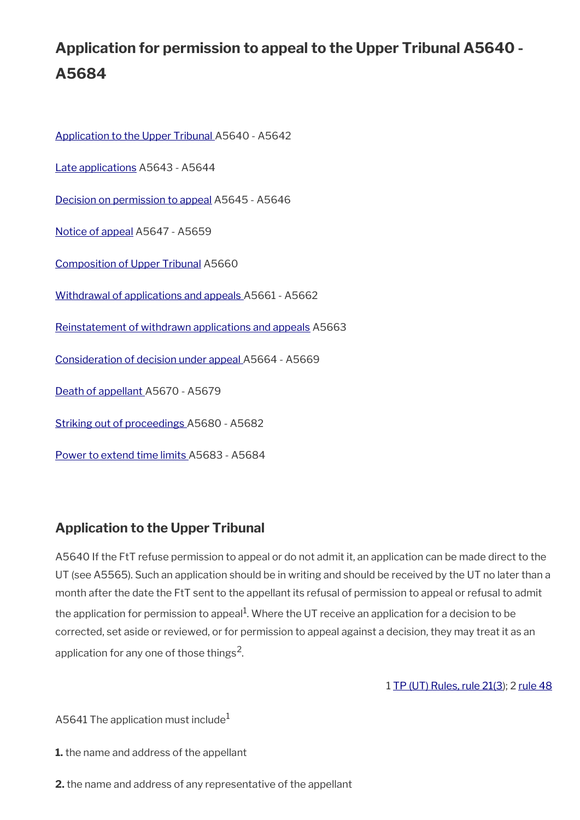# **Application for permission to appeal to the Upper Tribunal A5640 - A5684**

[Application to the Upper Tribunal A](#page-73-0)5640 - A5642 [Late applications](#page-66-0) A5643 - A5644 [Decision on permission to appeal](#page-74-0) A5645 - A5646 [Notice of appeal](#page-75-0) A5647 - A5659 [Composition of Upper Tribunal](#page-76-3) A5660 [Withdrawal of applications and appeals](#page-76-2) A5661 - A5662 [Reinstatement of withdrawn applications and appeals](#page-76-1) A5663 [Consideration of decision under appeal](#page-76-0) A5664 - A5669 [Death of appellant A](#page-77-1)5670 - A5679 [Striking out of proceedings A](#page-77-0)5680 - A5682 [Power to extend time limits A](#page-78-0)5683 - A5684

# <span id="page-73-0"></span>**Application to the Upper Tribunal**

A5640 If the FtT refuse permission to appeal or do not admit it, an application can be made direct to the UT (see A5565). Such an application should be in writing and should be received by the UT no later than a month after the date the FtT sent to the appellant its refusal of permission to appeal or refusal to admit the application for permission to appeal<sup>1</sup>. Where the UT receive an application for a decision to be corrected, set aside or reviewed, or for permission to appeal against a decision, they may treat it as an application for any one of those things<sup>2</sup>.

1 [TP \(UT\) Rules, rule 21\(3](http://www.legislation.gov.uk/uksi/2008/2698/article/21)); 2 [rule 48](http://www.legislation.gov.uk/uksi/2008/2698/article/48)

A5641 The application must include<sup>1</sup>

**1.** the name and address of the appellant

**2.** the name and address of any representative of the appellant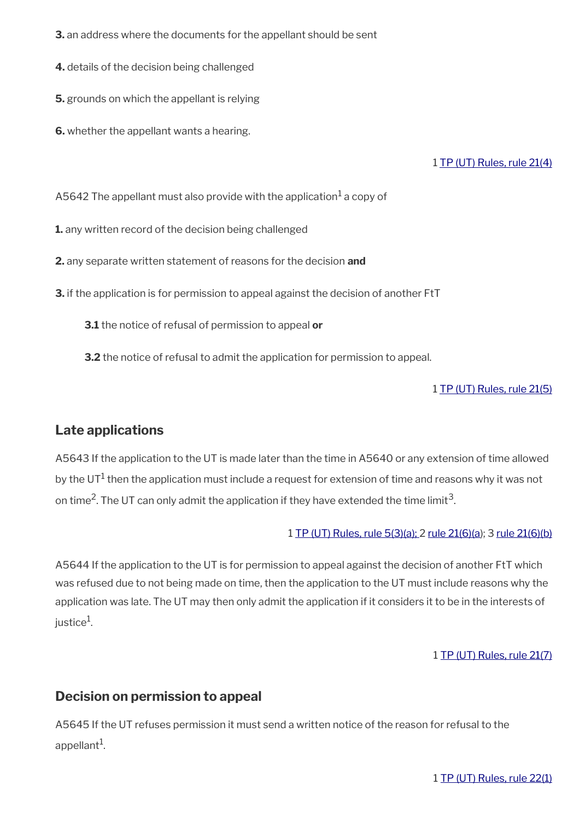- **3.** an address where the documents for the appellant should be sent
- **4.** details of the decision being challenged
- **5.** grounds on which the appellant is relying
- **6.** whether the appellant wants a hearing.

#### 1 [TP \(UT\) Rules, rule 21\(4\)](http://www.legislation.gov.uk/uksi/2008/2698/article/21)

A5642 The appellant must also provide with the application $^1$  a copy of

**1.** any written record of the decision being challenged

**2.** any separate written statement of reasons for the decision **and**

**3.** if the application is for permission to appeal against the decision of another FtT

**3.1** the notice of refusal of permission to appeal **or**

**3.2** the notice of refusal to admit the application for permission to appeal.

#### 1 [TP \(UT\) Rules, rule 21\(5\)](http://www.legislation.gov.uk/uksi/2008/2698/article/21)

### **Late applications**

A5643 If the application to the UT is made later than the time in A5640 or any extension of time allowed by the UT $^1$  then the application must include a request for extension of time and reasons why it was not on time<sup>2</sup>. The UT can only admit the application if they have extended the time limit<sup>3</sup>.

#### 1 [TP \(UT\) Rules, rule 5\(3\)\(a\); 2](http://www.legislation.gov.uk/uksi/2008/2698/article/5) [rule 21\(6\)\(a](http://www.legislation.gov.uk/uksi/2008/2698/article/21)); 3 [rule 21\(6\)\(b\)](http://www.legislation.gov.uk/uksi/2008/2698/article/21)

A5644 If the application to the UT is for permission to appeal against the decision of another FtT which was refused due to not being made on time, then the application to the UT must include reasons why the application was late. The UT may then only admit the application if it considers it to be in the interests of justice $^1$ .

#### 1 [TP \(UT\) Rules, rule 21\(7\)](http://www.legislation.gov.uk/uksi/2008/2698/article/21)

## <span id="page-74-0"></span>**Decision on permission to appeal**

A5645 If the UT refuses permission it must send a written notice of the reason for refusal to the appellant<sup>1</sup>.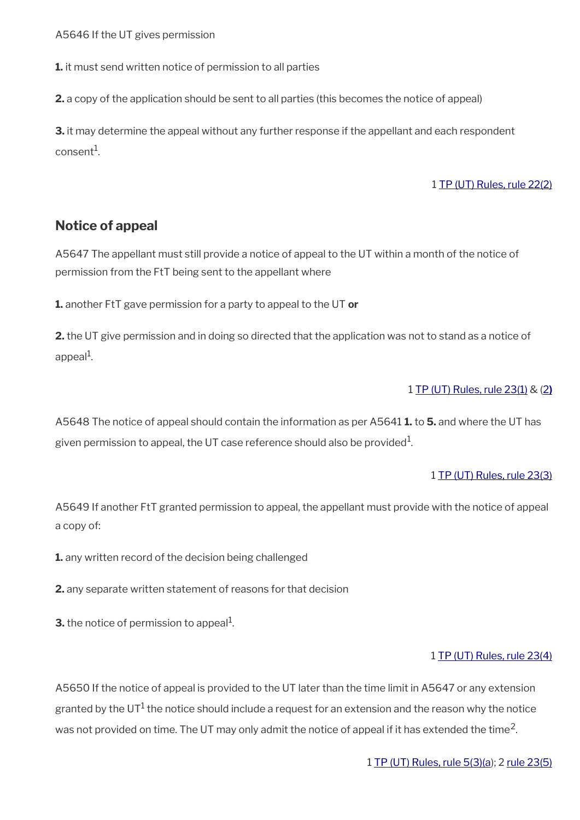A5646 If the UT gives permission

**1.** it must send written notice of permission to all parties

**2.** a copy of the application should be sent to all parties (this becomes the notice of appeal)

**3.** it may determine the appeal without any further response if the appellant and each respondent  $\,$ consent $^1$ .

#### 1 [TP \(UT\) Rules, rule 22\(2\)](http://www.legislation.gov.uk/uksi/2008/2698/article/22)

#### <span id="page-75-0"></span>**Notice of appeal**

A5647 The appellant must still provide a notice of appeal to the UT within a month of the notice of permission from the FtT being sent to the appellant where

**1.** another FtT gave permission for a party to appeal to the UT **or**

**2.** the UT give permission and in doing so directed that the application was not to stand as a notice of appeal<sup>1</sup>.

#### 1 [TP \(UT\) Rules, rule 23\(1\)](http://www.legislation.gov.uk/uksi/2008/2698/article/23) & [\( 2](http://www.legislation.gov.uk/uksi/2008/2698/article/23) **)**

A5648 The notice of appeal should contain the information as per A5641 **1.** to **5.** and where the UT has given permission to appeal, the UT case reference should also be provided $^1$ .

#### 1 [TP \(UT\) Rules, rule 23\(3\)](http://www.legislation.gov.uk/uksi/2008/2698/article/23)

A5649 If another FtT granted permission to appeal, the appellant must provide with the notice of appeal a copy of:

**1.** any written record of the decision being challenged

**2.** any separate written statement of reasons for that decision

**3.** the notice of permission to appeal $^1$ .

#### 1 [TP \(UT\) Rules, rule 23\(4\)](http://www.legislation.gov.uk/uksi/2008/2698/article/23)

A5650 If the notice of appeal is provided to the UT later than the time limit in A5647 or any extension granted by the UT $^1$  the notice should include a request for an extension and the reason why the notice was not provided on time. The UT may only admit the notice of appeal if it has extended the time<sup>2</sup>.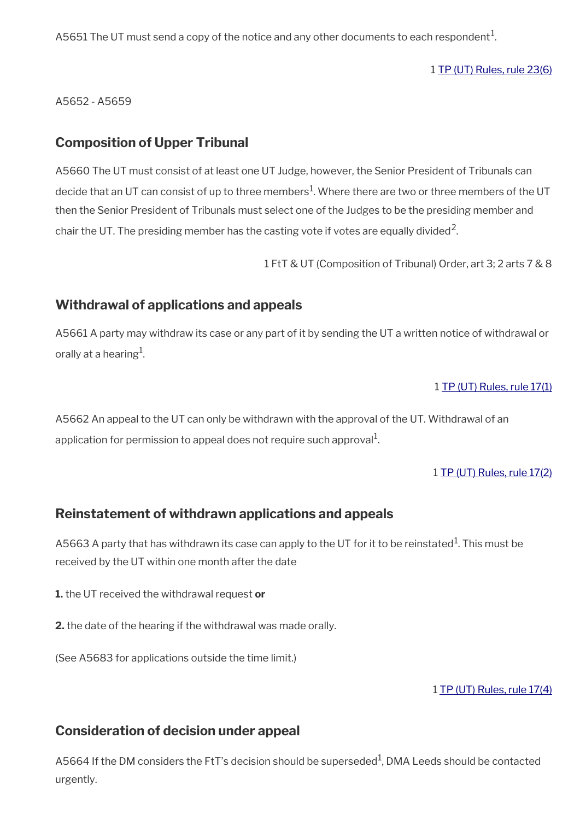A5651 The UT must send a copy of the notice and any other documents to each respondent $^{\mathrm{1}}$ .

1 [TP \(UT\) Rules, rule 23\(6\)](http://www.legislation.gov.uk/uksi/2008/2698/article/23)

A5652 - A5659

## <span id="page-76-3"></span>**Composition of Upper Tribunal**

A5660 The UT must consist of at least one UT Judge, however, the Senior President of Tribunals can decide that an UT can consist of up to three members $^1$ . Where there are two or three members of the UT then the Senior President of Tribunals must select one of the Judges to be the presiding member and chair the UT. The presiding member has the casting vote if votes are equally divided<sup>2</sup>.

1 FtT & UT (Composition of Tribunal) Order, art 3; 2 arts 7 & 8

## <span id="page-76-2"></span>**Withdrawal of applications and appeals**

A5661 A party may withdraw its case or any part of it by sending the UT a written notice of withdrawal or orally at a hearing $^{\rm 1}$ .

#### 1 [TP \(UT\) Rules, rule 17\(1\)](http://www.legislation.gov.uk/uksi/2008/2698/article/17)

A5662 An appeal to the UT can only be withdrawn with the approval of the UT. Withdrawal of an application for permission to appeal does not require such approval $^{\rm 1}$ .

#### 1 [TP \(UT\) Rules, rule 17\(2\)](http://www.legislation.gov.uk/uksi/2008/2698/article/17)

### <span id="page-76-1"></span>**Reinstatement of withdrawn applications and appeals**

A5663 A party that has withdrawn its case can apply to the UT for it to be reinstated $^{\rm 1}$ . This must be received by the UT within one month after the date

- **1.** the UT received the withdrawal request **or**
- **2.** the date of the hearing if the withdrawal was made orally.

(See A5683 for applications outside the time limit.)

1 [TP \(UT\) Rules, rule 17\(4\)](http://www.legislation.gov.uk/uksi/2008/2698/article/17)

## <span id="page-76-0"></span>**Consideration of decision under appeal**

A5664 If the DM considers the FtT's decision should be superseded<sup>1</sup>, DMA Leeds should be contacted urgently.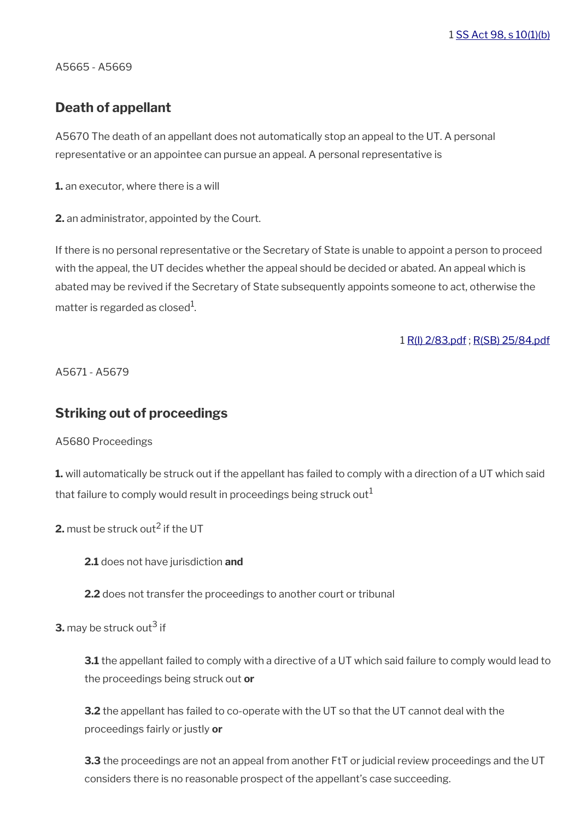1 [SS Act 98, s 10\(1\)\(b\)](http://www.legislation.gov.uk/ukpga/1998/14/contents)

A5665 - A5669

## <span id="page-77-1"></span>**Death of appellant**

A5670 The death of an appellant does not automatically stop an appeal to the UT. A personal representative or an appointee can pursue an appeal. A personal representative is

**1.** an executor, where there is a will

**2.** an administrator, appointed by the Court.

If there is no personal representative or the Secretary of State is unable to appoint a person to proceed with the appeal, the UT decides whether the appeal should be decided or abated. An appeal which is abated may be revived if the Secretary of State subsequently appoints someone to act, otherwise the matter is regarded as closed $^{\rm 1}$ .

1 [R\(I\) 2/83.pdf](../file/869227/download/R%2528I%2529%25202%252F83.pdf) ; [R\(SB\) 25/84.pdf](../file/869230/download/R%2528SB%2529%252025%252F84.pdf)

A5671 - A5679

### <span id="page-77-0"></span>**Striking out of proceedings**

A5680 Proceedings

**1.** will automatically be struck out if the appellant has failed to comply with a direction of a UT which said that failure to comply would result in proceedings being struck out<sup>1</sup>

**2.** must be struck out<sup>2</sup> if the UT

**2.1** does not have jurisdiction **and**

**2.2** does not transfer the proceedings to another court or tribunal

**3.** may be struck out<sup>3</sup> if

**3.1** the appellant failed to comply with a directive of a UT which said failure to comply would lead to the proceedings being struck out **or**

**3.2** the appellant has failed to co-operate with the UT so that the UT cannot deal with the proceedings fairly or justly **or**

**3.3** the proceedings are not an appeal from another FtT or judicial review proceedings and the UT considers there is no reasonable prospect of the appellant's case succeeding.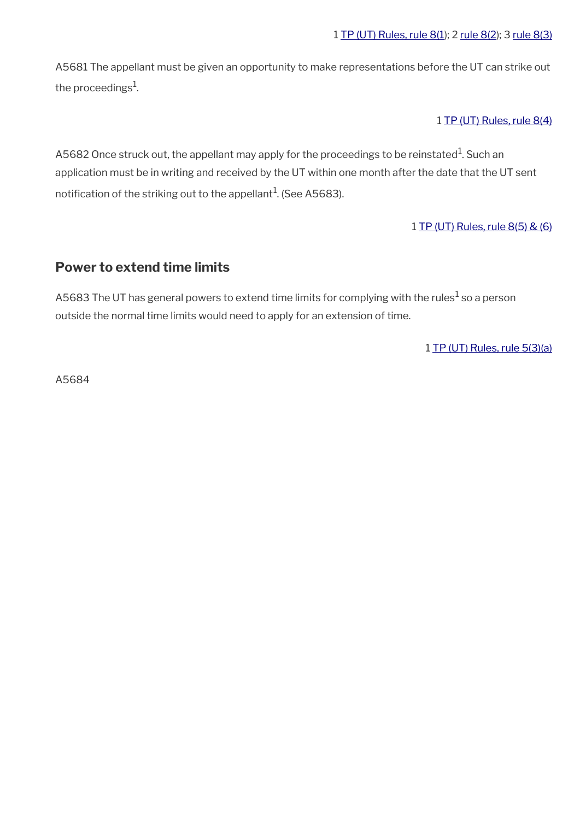A5681 The appellant must be given an opportunity to make representations before the UT can strike out the proceedings $^{\rm 1}$ .

1 [TP \(UT\) Rules, rule 8\(4\)](http://www.legislation.gov.uk/uksi/2008/2698/article/8)

A5682 Once struck out, the appellant may apply for the proceedings to be reinstated $^1$ . Such an application must be in writing and received by the UT within one month after the date that the UT sent notification of the striking out to the appellant $^{\rm 1}$ . (See A5683).

1 [TP \(UT\) Rules, rule 8\(5\) & \(6\)](http://www.legislation.gov.uk/uksi/2008/2698/article/8)

## <span id="page-78-0"></span>**Power to extend time limits**

A5683 The UT has general powers to extend time limits for complying with the rules $^1$  so a person outside the normal time limits would need to apply for an extension of time.

1 [TP \(UT\) Rules, rule 5\(3\)\(a\)](http://www.legislation.gov.uk/uksi/2008/2698/article/5)

A5684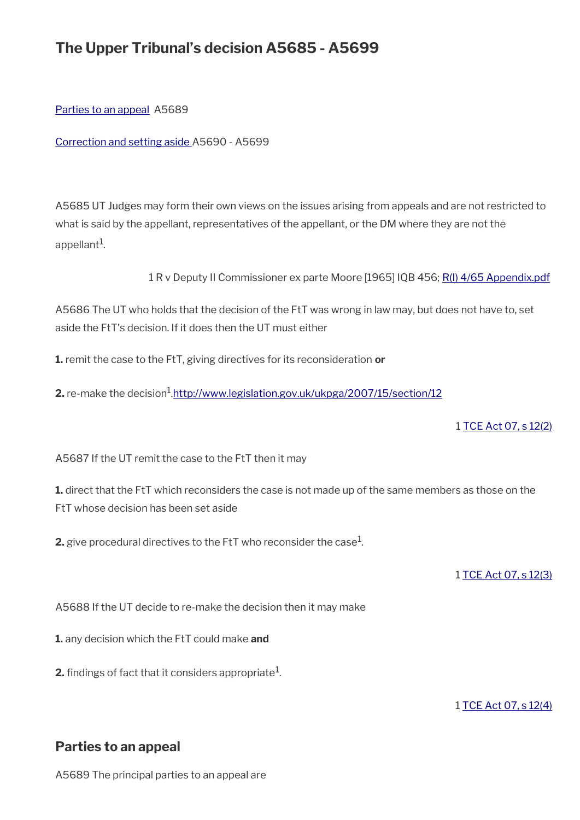# **The Upper Tribunal's decision A5685 - A5699**

[Parties to an appeal](#page-79-0) A5689

[Correction and setting aside](#page-80-0) A5690 - A5699

A5685 UT Judges may form their own views on the issues arising from appeals and are not restricted to what is said by the appellant, representatives of the appellant, or the DM where they are not the appellant $^1$ .

1 R v Deputy II Commissioner ex parte Moore [1965] IQB 456; [R\(I\) 4/65 Appendix.pdf](../file/870893/download/R%2528I%2529%25204%252F65%2520Appendix.pdf)

A5686 The UT who holds that the decision of the FtT was wrong in law may, but does not have to, set aside the FtT's decision. If it does then the UT must either

**1.** remit the case to the FtT, giving directives for its reconsideration **or**

**2.** re-make the decision<sup>1</sup>.<u><http://www.legislation.gov.uk/ukpga/2007/15/section/12></u>

1 [TCE Act 07, s 12\(2\)](http://www.legislation.gov.uk/ukpga/2007/15/section/12)

A5687 If the UT remit the case to the FtT then it may

**1.** direct that the FtT which reconsiders the case is not made up of the same members as those on the FtT whose decision has been set aside

**2.** give procedural directives to the FtT who reconsider the case $^1$ .

1 [TCE Act 07, s 12\(3\)](http://www.legislation.gov.uk/ukpga/2007/15/section/12)

A5688 If the UT decide to re-make the decision then it may make

**1.** any decision which the FtT could make **and**

**2.** findings of fact that it considers appropriate $^1$ .

1 [TCE Act 07, s 12\(4\)](http://www.legislation.gov.uk/ukpga/2007/15/section/12)

# <span id="page-79-0"></span>**Parties to an appeal**

A5689 The principal parties to an appeal are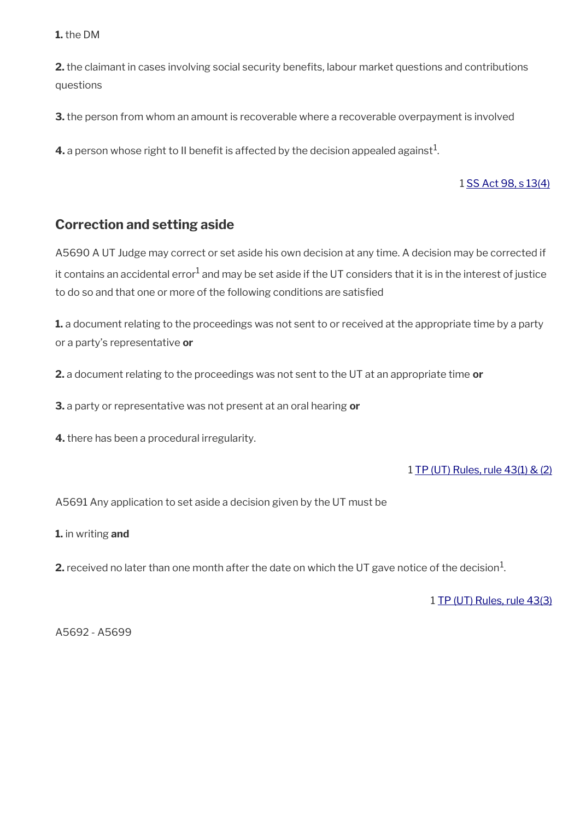#### **1.** the DM

**2.** the claimant in cases involving social security benefits, labour market questions and contributions questions

**3.** the person from whom an amount is recoverable where a recoverable overpayment is involved

**4.** a person whose right to II benefit is affected by the decision appealed against $^1$ .

#### 1 [SS Act 98, s 13\(4\)](http://www.legislation.gov.uk/ukpga/1998/14/contents)

# <span id="page-80-0"></span>**Correction and setting aside**

A5690 A UT Judge may correct or set aside his own decision at any time. A decision may be corrected if it contains an accidental error $^1$  and may be set aside if the UT considers that it is in the interest of justice to do so and that one or more of the following conditions are satisfed

**1.** a document relating to the proceedings was not sent to or received at the appropriate time by a party or a party's representative **or** 

**2.** a document relating to the proceedings was not sent to the UT at an appropriate time **or**

**3.** a party or representative was not present at an oral hearing **or** 

**4.** there has been a procedural irregularity.

#### 1 [TP \(UT\) Rules, rule 43\(1\) & \(2\)](http://www.legislation.gov.uk/uksi/2008/2698/article/43)

A5691 Any application to set aside a decision given by the UT must be

**1.** in writing **and**

**2.** received no later than one month after the date on which the UT gave notice of the decision $^1$ .

1 [TP \(UT\) Rules, rule 43\(3\)](http://www.legislation.gov.uk/uksi/2008/2698/article/43)

A5692 - A5699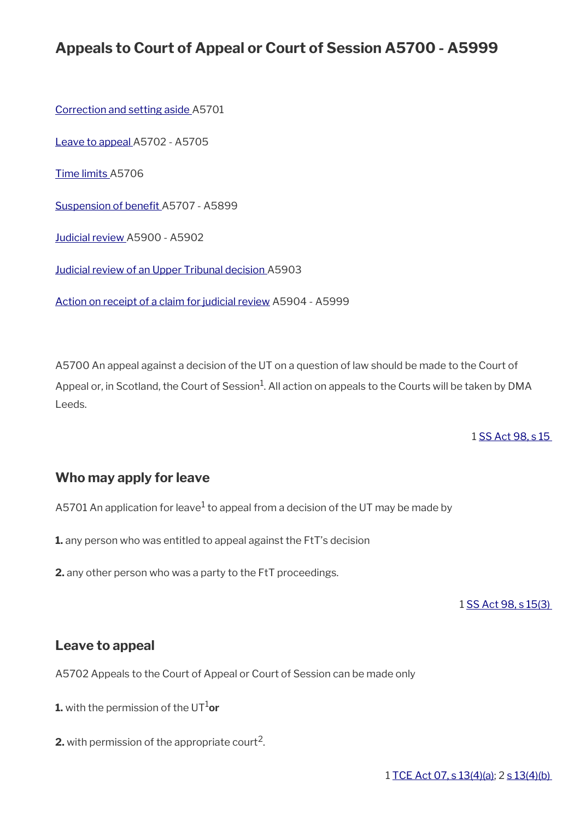# **Appeals to Court of Appeal or Court of Session A5700 - A5999**

[Correction and setting aside](#page-81-1) A5701

[Leave to appeal A](#page-81-0)5702 - A5705

[Time limits A](#page-82-2)5706

Suspension of benefit A5707 - A5899

[Judicial review A](#page-82-0)5900 - A5902

[Judicial review of an Upper Tribunal decision](#page-83-1) A5903

[Action on receipt of a claim for judicial review](#page-83-0) A5904 - A5999

A5700 An appeal against a decision of the UT on a question of law should be made to the Court of Appeal or, in Scotland, the Court of Session $^1$ . All action on appeals to the Courts will be taken by DMA Leeds.

1 [SS Act 98, s 15](http://www.legislation.gov.uk/ukpga/1998/14/contents) 

# <span id="page-81-1"></span>**Who may apply for leave**

A5701 An application for leave $^1$  to appeal from a decision of the UT may be made by

**1.** any person who was entitled to appeal against the FtT's decision

**2.** any other person who was a party to the FtT proceedings.

1 [SS Act 98, s 15\(3\)](http://www.legislation.gov.uk/ukpga/1998/14/contents) 

### <span id="page-81-0"></span>**Leave to appeal**

A5702 Appeals to the Court of Appeal or Court of Session can be made only

**1.** with the permission of the  $UT^1$ or

**2.** with permission of the appropriate court<sup>2</sup>.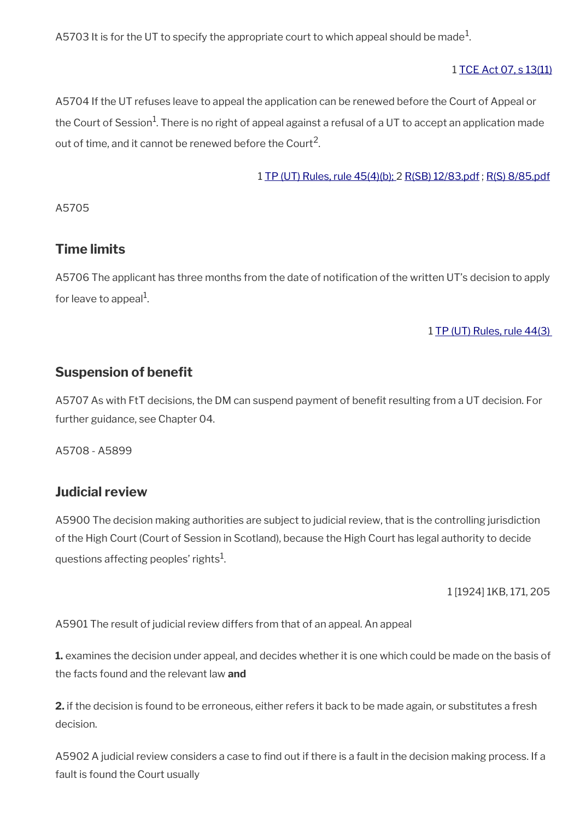A5703 It is for the UT to specify the appropriate court to which appeal should be made $^1\!$ 

#### 1 [TCE Act 07, s 13\(11\)](http://www.legislation.gov.uk/ukpga/2007/15/section/13)

A5704 If the UT refuses leave to appeal the application can be renewed before the Court of Appeal or the Court of Session<sup>1</sup>. There is no right of appeal against a refusal of a UT to accept an application made out of time, and it cannot be renewed before the Court<sup>2</sup>.

1 [TP \(UT\) Rules, rule 45\(4\)\(b\); 2](http://www.legislation.gov.uk/uksi/2008/2698/article/45) [R\(SB\) 12/83.pdf](../file/869231/download/R%2528SB%2529%252012%252F83.pdf) ; [R\(S\) 8/85.pdf](../file/869232/download/R%2528S%2529%25208%252F85.pdf)

A5705

## <span id="page-82-2"></span>**Time limits**

A5706 The applicant has three months from the date of notification of the written UT's decision to apply for leave to appeal<sup>1</sup>.

#### 1 [TP \(UT\) Rules, rule 44\(3\)](http://www.legislation.gov.uk/uksi/2008/2698/article/44)

## <span id="page-82-1"></span>**Suspension of benefit**

A5707 As with FtT decisions, the DM can suspend payment of benefit resulting from a UT decision. For further guidance, see Chapter 04.

A5708 - A5899

#### <span id="page-82-0"></span>**Judicial review**

A5900 The decision making authorities are subject to judicial review, that is the controlling jurisdiction of the High Court (Court of Session in Scotland), because the High Court has legal authority to decide questions affecting peoples' rights $^{\rm 1}$ .

1 [1924] 1KB, 171, 205

A5901 The result of judicial review differs from that of an appeal. An appeal

**1.** examines the decision under appeal, and decides whether it is one which could be made on the basis of the facts found and the relevant law **and**

**2.** if the decision is found to be erroneous, either refers it back to be made again, or substitutes a fresh decision.

A5902 A judicial review considers a case to find out if there is a fault in the decision making process. If a fault is found the Court usually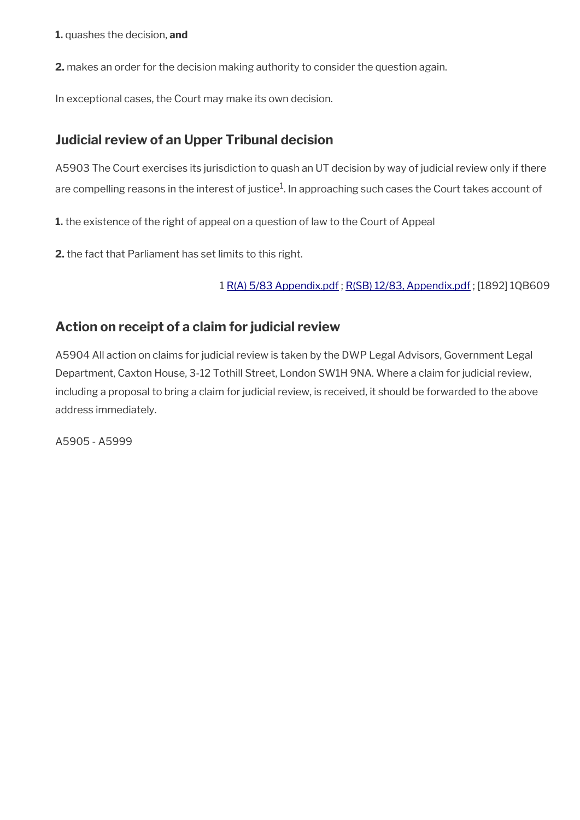**1.** quashes the decision, **and**

**2.** makes an order for the decision making authority to consider the question again.

In exceptional cases, the Court may make its own decision.

# <span id="page-83-1"></span>**Judicial review of an Upper Tribunal decision**

A5903 The Court exercises its jurisdiction to quash an UT decision by way of judicial review only if there are compelling reasons in the interest of justice $^1$ . In approaching such cases the Court takes account of

**1.** the existence of the right of appeal on a question of law to the Court of Appeal

**2.** the fact that Parliament has set limits to this right.

1 [R\(A\) 5/83 Appendix.pdf](../file/869684/download/R%2528A%2529%25205%252F83%2520Appendix.pdf) ; [R\(SB\) 12/83, Appendix.pdf](../file/870900/download/R%2528SB%2529%252012%252F83%252C%2520Appendix.pdf) ; [1892] 1QB609

# <span id="page-83-0"></span>**Action on receipt of a claim for judicial review**

A5904 All action on claims for judicial review is taken by the DWP Legal Advisors, Government Legal Department, Caxton House, 3-12 Tothill Street, London SW1H 9NA. Where a claim for judicial review, including a proposal to bring a claim for judicial review, is received, it should be forwarded to the above address immediately.

A5905 - A5999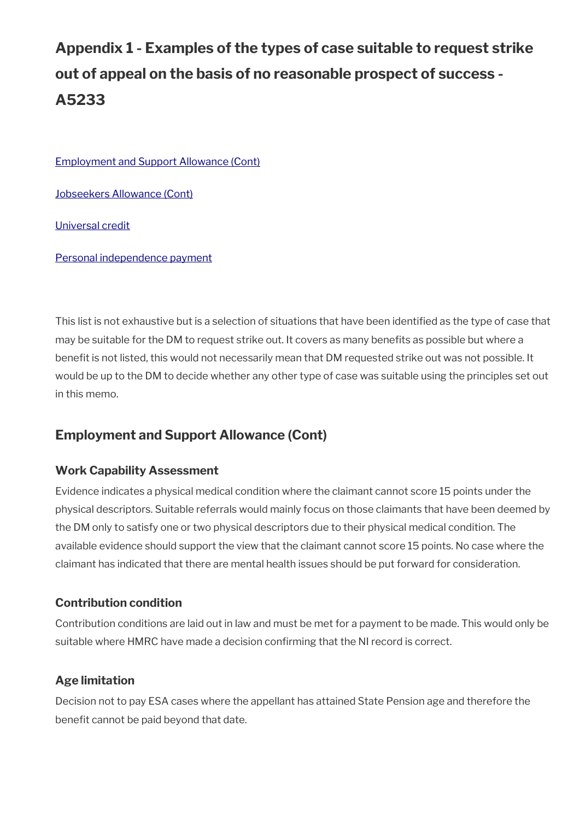# **Appendix 1 - Examples of the types of case suitable to request strike out of appeal on the basis of no reasonable prospect of success - A5233**

[Employment and Support Allowance \(Cont\)](#page-84-0)

[Jobseekers Allowance \(Cont\)](#page-85-2)

[Universal credit](#page-85-1)

[Personal independence payment](#page-85-0)

This list is not exhaustive but is a selection of situations that have been identifed as the type of case that may be suitable for the DM to request strike out. It covers as many benefits as possible but where a benefit is not listed, this would not necessarily mean that DM requested strike out was not possible. It would be up to the DM to decide whether any other type of case was suitable using the principles set out in this memo.

# <span id="page-84-0"></span>**Employment and Support Allowance (Cont)**

### **Work Capability Assessment**

Evidence indicates a physical medical condition where the claimant cannot score 15 points under the physical descriptors. Suitable referrals would mainly focus on those claimants that have been deemed by the DM only to satisfy one or two physical descriptors due to their physical medical condition. The available evidence should support the view that the claimant cannot score 15 points. No case where the claimant has indicated that there are mental health issues should be put forward for consideration.

### **Contribution condition**

Contribution conditions are laid out in law and must be met for a payment to be made. This would only be suitable where HMRC have made a decision confrming that the NI record is correct.

## **Age limitation**

Decision not to pay ESA cases where the appellant has attained State Pension age and therefore the benefit cannot be paid beyond that date.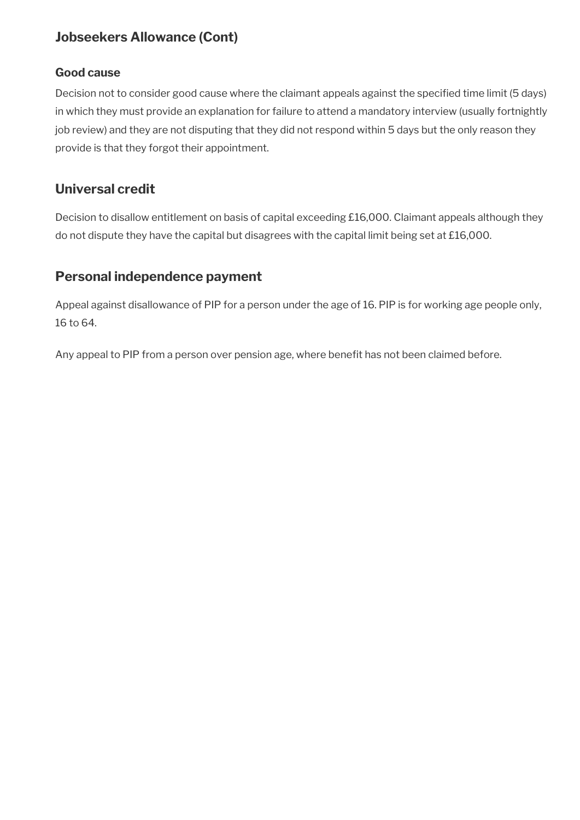# <span id="page-85-2"></span>**Jobseekers Allowance (Cont)**

#### **Good cause**

Decision not to consider good cause where the claimant appeals against the specifed time limit (5 days) in which they must provide an explanation for failure to attend a mandatory interview (usually fortnightly job review) and they are not disputing that they did not respond within 5 days but the only reason they provide is that they forgot their appointment.

## <span id="page-85-1"></span>**Universal credit**

Decision to disallow entitlement on basis of capital exceeding £16,000. Claimant appeals although they do not dispute they have the capital but disagrees with the capital limit being set at £16,000.

# <span id="page-85-0"></span>**Personal independence payment**

Appeal against disallowance of PIP for a person under the age of 16. PIP is for working age people only, 16 to 64.

Any appeal to PIP from a person over pension age, where benefit has not been claimed before.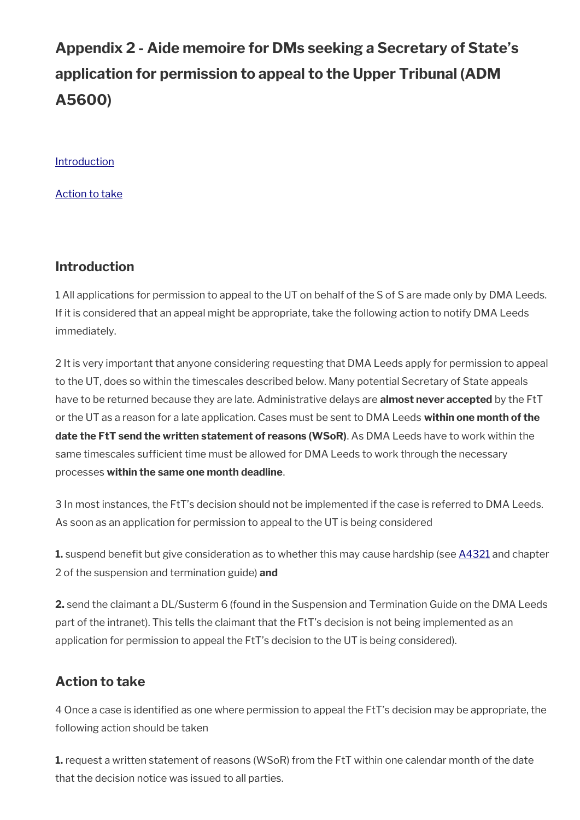# **Appendix 2 - Aide memoire for DMs seeking a Secretary of State's application for permission to appeal to the Upper Tribunal (ADM A5600)**

**[Introduction](#page-1-0)** 

[Action to take](#page-86-0)

## **Introduction**

1 All applications for permission to appeal to the UT on behalf of the S of S are made only by DMA Leeds. If it is considered that an appeal might be appropriate, take the following action to notify DMA Leeds immediately.

2 It is very important that anyone considering requesting that DMA Leeds apply for permission to appeal to the UT, does so within the timescales described below. Many potential Secretary of State appeals have to be returned because they are late. Administrative delays are **almost never accepted** by the FtT or the UT as a reason for a late application. Cases must be sent to DMA Leeds **within one month of the date the FtT send the written statement of reasons (WSoR)**. As DMA Leeds have to work within the same timescales sufficient time must be allowed for DMA Leeds to work through the necessary processes **within the same one month deadline**.

3 In most instances, the FtT's decision should not be implemented if the case is referred to DMA Leeds. As soon as an application for permission to appeal to the UT is being considered

**1.** suspend benefit but give consideration as to whether this may cause hardship (see [A4321](https://intranet.dwp.gov.uk/manual/advice-decision-making-adm/suspension-and-termination-benefit-a4321-a4345) and chapter 2 of the suspension and termination guide) **and** 

**2.** send the claimant a DL/Susterm 6 (found in the Suspension and Termination Guide on the DMA Leeds part of the intranet). This tells the claimant that the FtT's decision is not being implemented as an application for permission to appeal the FtT's decision to the UT is being considered).

# <span id="page-86-0"></span>**Action to take**

4 Once a case is identifed as one where permission to appeal the FtT's decision may be appropriate, the following action should be taken

**1.** request a written statement of reasons (WSoR) from the FtT within one calendar month of the date that the decision notice was issued to all parties.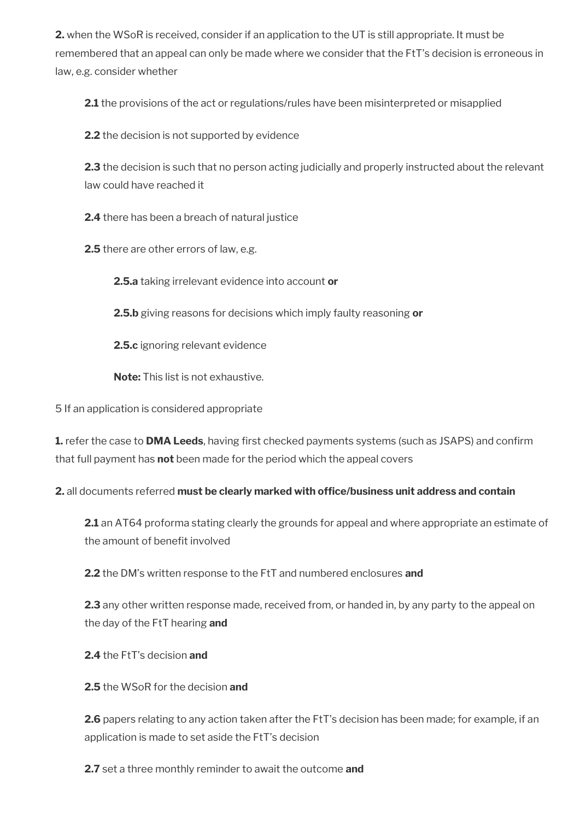**2.** when the WSoR is received, consider if an application to the UT is still appropriate. It must be remembered that an appeal can only be made where we consider that the FtT's decision is erroneous in law, e.g. consider whether

**2.1** the provisions of the act or regulations/rules have been misinterpreted or misapplied

**2.2** the decision is not supported by evidence

**2.3** the decision is such that no person acting judicially and properly instructed about the relevant law could have reached it

**2.4** there has been a breach of natural justice

**2.5** there are other errors of law, e.g.

**2.5.a** taking irrelevant evidence into account **or**

**2.5.b** giving reasons for decisions which imply faulty reasoning **or**

**2.5.c** ignoring relevant evidence

**Note:** This list is not exhaustive.

5 If an application is considered appropriate

1. refer the case to DMA Leeds, having first checked payments systems (such as JSAPS) and confirm that full payment has **not** been made for the period which the appeal covers

**2.** all documents referred **must be clearly marked with offce/business unit address and contain**

**2.1** an AT64 proforma stating clearly the grounds for appeal and where appropriate an estimate of the amount of benefit involved

**2.2** the DM's written response to the FtT and numbered enclosures **and**

**2.3** any other written response made, received from, or handed in, by any party to the appeal on the day of the FtT hearing **and**

**2.4** the FtT's decision **and**

**2.5** the WSoR for the decision **and**

**2.6** papers relating to any action taken after the FtT's decision has been made; for example, if an application is made to set aside the FtT's decision

**2.7** set a three monthly reminder to await the outcome **and**